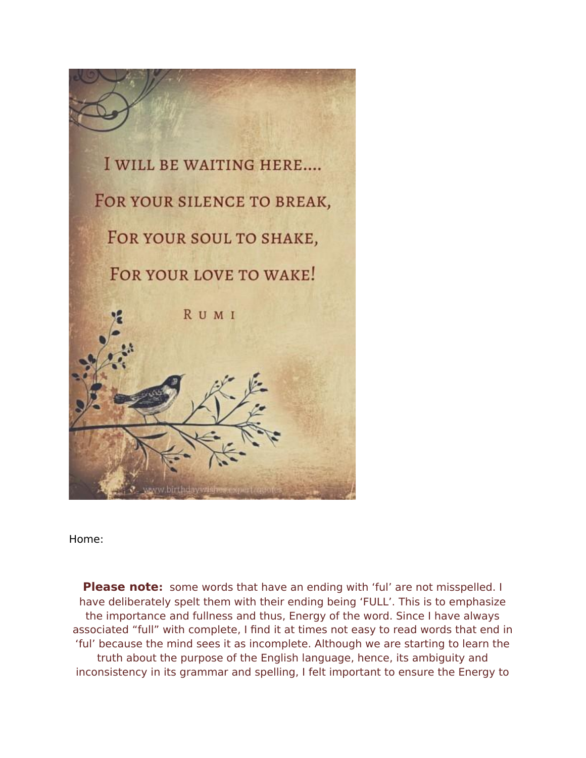

Home:

**Please note:** some words that have an ending with 'ful' are not misspelled. I have deliberately spelt them with their ending being 'FULL'. This is to emphasize the importance and fullness and thus, Energy of the word. Since I have always associated "full" with complete, I fnd it at times not easy to read words that end in 'ful' because the mind sees it as incomplete. Although we are starting to learn the truth about the purpose of the English language, hence, its ambiguity and inconsistency in its grammar and spelling, I felt important to ensure the Energy to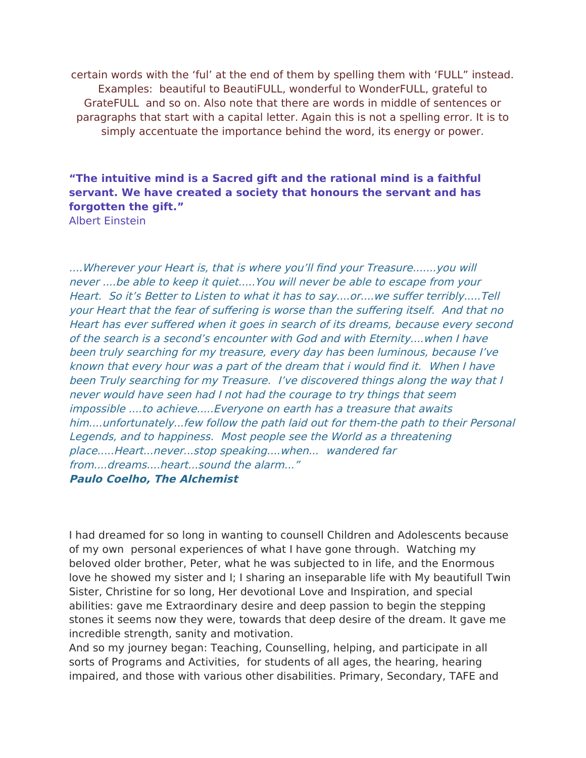certain words with the 'ful' at the end of them by spelling them with 'FULL" instead. Examples: beautiful to BeautiFULL, wonderful to WonderFULL, grateful to GrateFULL and so on. Also note that there are words in middle of sentences or paragraphs that start with a capital letter. Again this is not a spelling error. It is to simply accentuate the importance behind the word, its energy or power.

#### **"The intuitive mind is a Sacred gift and the rational mind is a faithful servant. We have created a society that honours the servant and has forgotten the gift."**

Albert Einstein

....Wherever your Heart is, that is where you'll find your Treasure.......you will never ....be able to keep it quiet.....You will never be able to escape from your Heart. So it's Better to Listen to what it has to say....or....we sufer terribly.....Tell your Heart that the fear of sufering is worse than the sufering itself. And that no Heart has ever suffered when it goes in search of its dreams, because every second of the search is a second's encounter with God and with Eternity....when I have been truly searching for my treasure, every day has been luminous, because I've known that every hour was a part of the dream that i would fnd it. When I have been Truly searching for my Treasure. I've discovered things along the way that I never would have seen had I not had the courage to try things that seem impossible ....to achieve.....Everyone on earth has a treasure that awaits him....unfortunately...few follow the path laid out for them-the path to their Personal Legends, and to happiness. Most people see the World as a threatening place.....Heart...never...stop speaking....when... wandered far from....dreams....heart...sound the alarm..." **Paulo Coelho, The Alchemist**

I had dreamed for so long in wanting to counsell Children and Adolescents because of my own personal experiences of what I have gone through. Watching my beloved older brother, Peter, what he was subjected to in life, and the Enormous love he showed my sister and I; I sharing an inseparable life with My beautifull Twin Sister, Christine for so long, Her devotional Love and Inspiration, and special abilities: gave me Extraordinary desire and deep passion to begin the stepping stones it seems now they were, towards that deep desire of the dream. It gave me incredible strength, sanity and motivation.

And so my journey began: Teaching, Counselling, helping, and participate in all sorts of Programs and Activities, for students of all ages, the hearing, hearing impaired, and those with various other disabilities. Primary, Secondary, TAFE and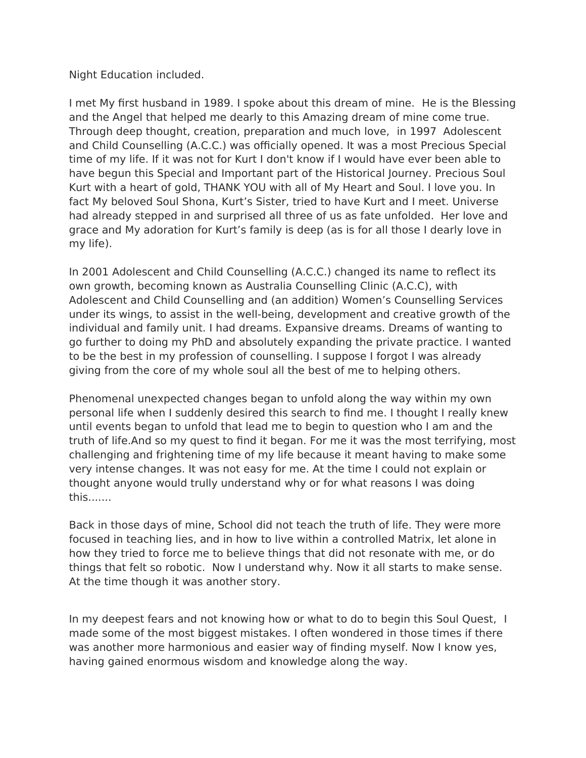Night Education included.

I met My frst husband in 1989. I spoke about this dream of mine. He is the Blessing and the Angel that helped me dearly to this Amazing dream of mine come true. Through deep thought, creation, preparation and much love, in 1997 Adolescent and Child Counselling (A.C.C.) was officially opened. It was a most Precious Special time of my life. If it was not for Kurt I don't know if I would have ever been able to have begun this Special and Important part of the Historical Journey. Precious Soul Kurt with a heart of gold, THANK YOU with all of My Heart and Soul. I love you. In fact My beloved Soul Shona, Kurt's Sister, tried to have Kurt and I meet. Universe had already stepped in and surprised all three of us as fate unfolded. Her love and grace and My adoration for Kurt's family is deep (as is for all those I dearly love in my life).

In 2001 Adolescent and Child Counselling (A.C.C.) changed its name to refect its own growth, becoming known as Australia Counselling Clinic (A.C.C), with Adolescent and Child Counselling and (an addition) Women's Counselling Services under its wings, to assist in the well-being, development and creative growth of the individual and family unit. I had dreams. Expansive dreams. Dreams of wanting to go further to doing my PhD and absolutely expanding the private practice. I wanted to be the best in my profession of counselling. I suppose I forgot I was already giving from the core of my whole soul all the best of me to helping others.

Phenomenal unexpected changes began to unfold along the way within my own personal life when I suddenly desired this search to fnd me. I thought I really knew until events began to unfold that lead me to begin to question who I am and the truth of life.And so my quest to fnd it began. For me it was the most terrifying, most challenging and frightening time of my life because it meant having to make some very intense changes. It was not easy for me. At the time I could not explain or thought anyone would trully understand why or for what reasons I was doing this.......

Back in those days of mine, School did not teach the truth of life. They were more focused in teaching lies, and in how to live within a controlled Matrix, let alone in how they tried to force me to believe things that did not resonate with me, or do things that felt so robotic. Now I understand why. Now it all starts to make sense. At the time though it was another story.

In my deepest fears and not knowing how or what to do to begin this Soul Quest, I made some of the most biggest mistakes. I often wondered in those times if there was another more harmonious and easier way of fnding myself. Now I know yes, having gained enormous wisdom and knowledge along the way.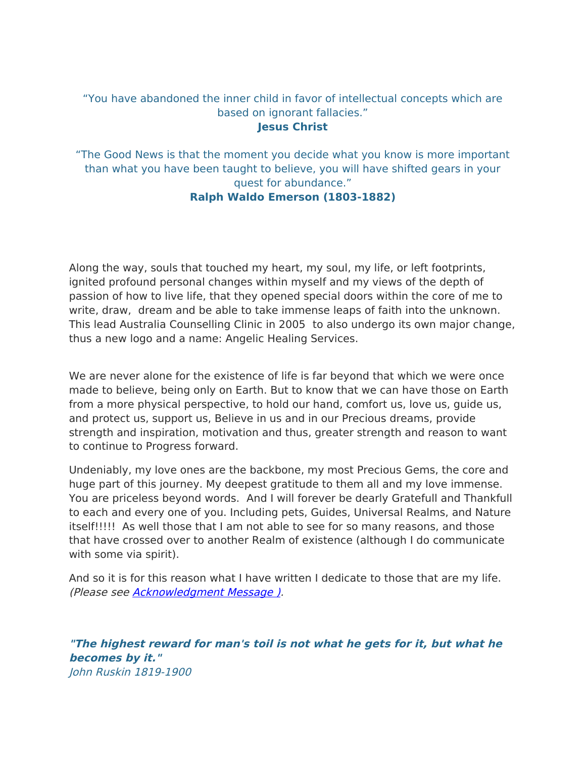#### "You have abandoned the inner child in favor of intellectual concepts which are based on ignorant fallacies." **Jesus Christ**

"The Good News is that the moment you decide what you know is more important than what you have been taught to believe, you will have shifted gears in your quest for abundance." **Ralph Waldo Emerson (1803-1882)**

Along the way, souls that touched my heart, my soul, my life, or left footprints, ignited profound personal changes within myself and my views of the depth of passion of how to live life, that they opened special doors within the core of me to write, draw, dream and be able to take immense leaps of faith into the unknown. This lead Australia Counselling Clinic in 2005 to also undergo its own major change, thus a new logo and a name: Angelic Healing Services.

We are never alone for the existence of life is far beyond that which we were once made to believe, being only on Earth. But to know that we can have those on Earth from a more physical perspective, to hold our hand, comfort us, love us, guide us, and protect us, support us, Believe in us and in our Precious dreams, provide strength and inspiration, motivation and thus, greater strength and reason to want to continue to Progress forward.

Undeniably, my love ones are the backbone, my most Precious Gems, the core and huge part of this journey. My deepest gratitude to them all and my love immense. You are priceless beyond words. And I will forever be dearly Gratefull and Thankfull to each and every one of you. Including pets, Guides, Universal Realms, and Nature itself!!!!! As well those that I am not able to see for so many reasons, and those that have crossed over to another Realm of existence (although I do communicate with some via spirit).

And so it is for this reason what I have written I dedicate to those that are my life. (Please see [Acknowledgment Message \)](http://weebly-link/427166689584817304).

**"The highest reward for man's toil is not what he gets for it, but what he becomes by it."** John Ruskin 1819-1900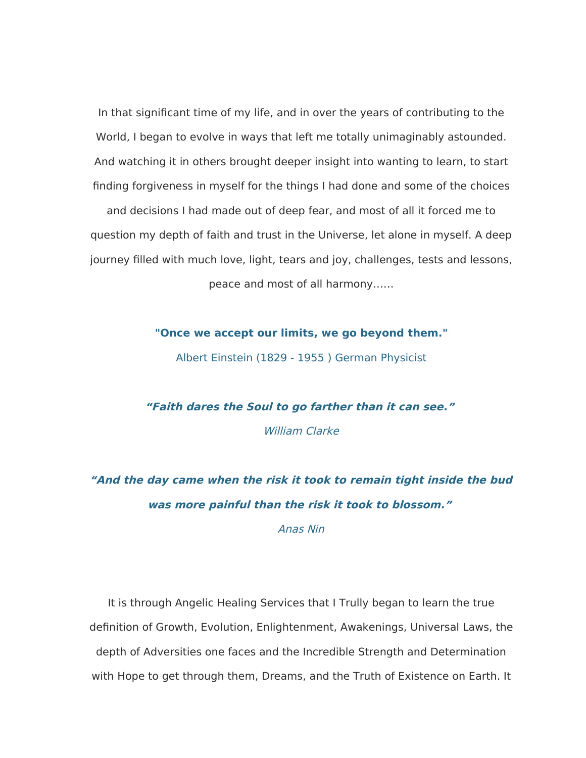In that signifcant time of my life, and in over the years of contributing to the World, I began to evolve in ways that left me totally unimaginably astounded. And watching it in others brought deeper insight into wanting to learn, to start fnding forgiveness in myself for the things I had done and some of the choices and decisions I had made out of deep fear, and most of all it forced me to question my depth of faith and trust in the Universe, let alone in myself. A deep journey flled with much love, light, tears and joy, challenges, tests and lessons,

peace and most of all harmony……

**"Once we accept our limits, we go beyond them."**

Albert Einstein (1829 - 1955 ) German Physicist

**"Faith dares the Soul to go farther than it can see."** William Clarke

**"And the day came when the risk it took to remain tight inside the bud was more painful than the risk it took to blossom."**

Anas Nin

It is through Angelic Healing Services that I Trully began to learn the true defnition of Growth, Evolution, Enlightenment, Awakenings, Universal Laws, the depth of Adversities one faces and the Incredible Strength and Determination with Hope to get through them, Dreams, and the Truth of Existence on Earth. It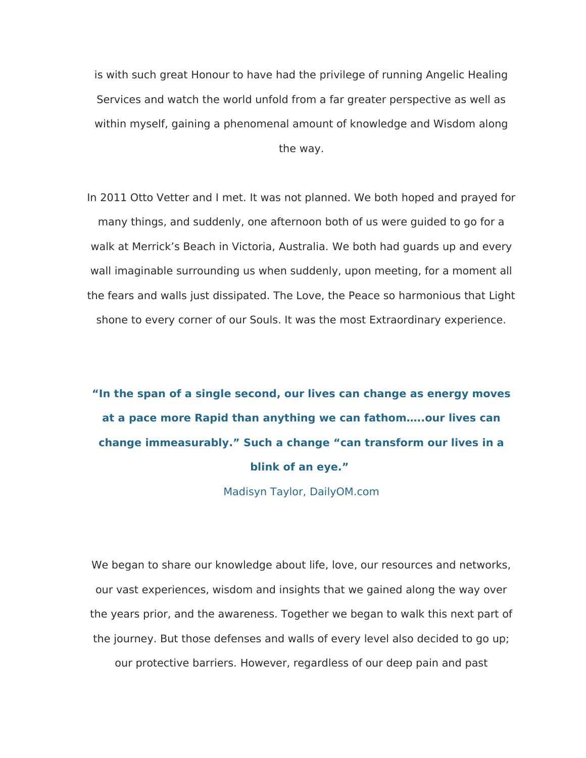is with such great Honour to have had the privilege of running Angelic Healing Services and watch the world unfold from a far greater perspective as well as within myself, gaining a phenomenal amount of knowledge and Wisdom along the way.

In 2011 Otto Vetter and I met. It was not planned. We both hoped and prayed for many things, and suddenly, one afternoon both of us were guided to go for a walk at Merrick's Beach in Victoria, Australia. We both had guards up and every wall imaginable surrounding us when suddenly, upon meeting, for a moment all the fears and walls just dissipated. The Love, the Peace so harmonious that Light shone to every corner of our Souls. It was the most Extraordinary experience.

### **"In the span of a single second, our lives can change as energy moves at a pace more Rapid than anything we can fathom…..our lives can change immeasurably." Such a change "can transform our lives in a blink of an eye."**

Madisyn Taylor, DailyOM.com

We began to share our knowledge about life, love, our resources and networks, our vast experiences, wisdom and insights that we gained along the way over the years prior, and the awareness. Together we began to walk this next part of the journey. But those defenses and walls of every level also decided to go up; our protective barriers. However, regardless of our deep pain and past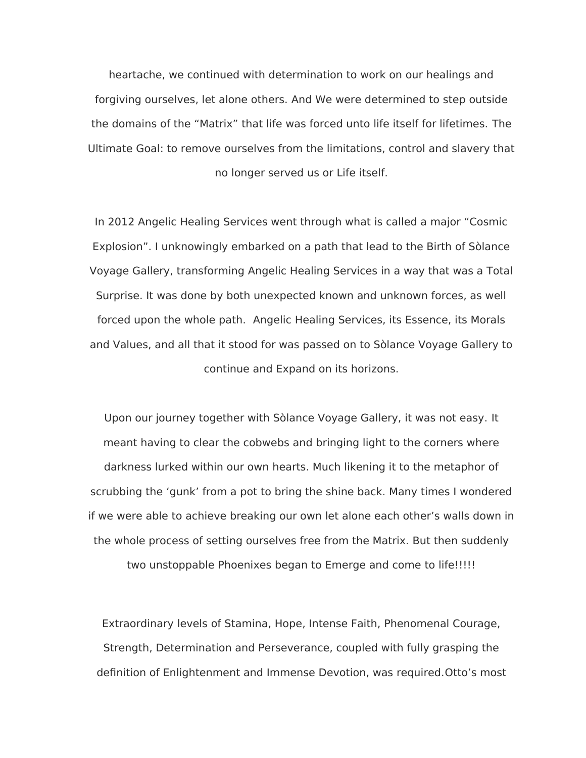heartache, we continued with determination to work on our healings and forgiving ourselves, let alone others. And We were determined to step outside the domains of the "Matrix" that life was forced unto life itself for lifetimes. The Ultimate Goal: to remove ourselves from the limitations, control and slavery that no longer served us or Life itself.

In 2012 Angelic Healing Services went through what is called a major "Cosmic Explosion". I unknowingly embarked on a path that lead to the Birth of Sòlance Voyage Gallery, transforming Angelic Healing Services in a way that was a Total Surprise. It was done by both unexpected known and unknown forces, as well forced upon the whole path. Angelic Healing Services, its Essence, its Morals and Values, and all that it stood for was passed on to Sòlance Voyage Gallery to continue and Expand on its horizons.

Upon our journey together with Sòlance Voyage Gallery, it was not easy. It meant having to clear the cobwebs and bringing light to the corners where darkness lurked within our own hearts. Much likening it to the metaphor of scrubbing the 'gunk' from a pot to bring the shine back. Many times I wondered if we were able to achieve breaking our own let alone each other's walls down in the whole process of setting ourselves free from the Matrix. But then suddenly

two unstoppable Phoenixes began to Emerge and come to life!!!!!

Extraordinary levels of Stamina, Hope, Intense Faith, Phenomenal Courage, Strength, Determination and Perseverance, coupled with fully grasping the defnition of Enlightenment and Immense Devotion, was required.Otto's most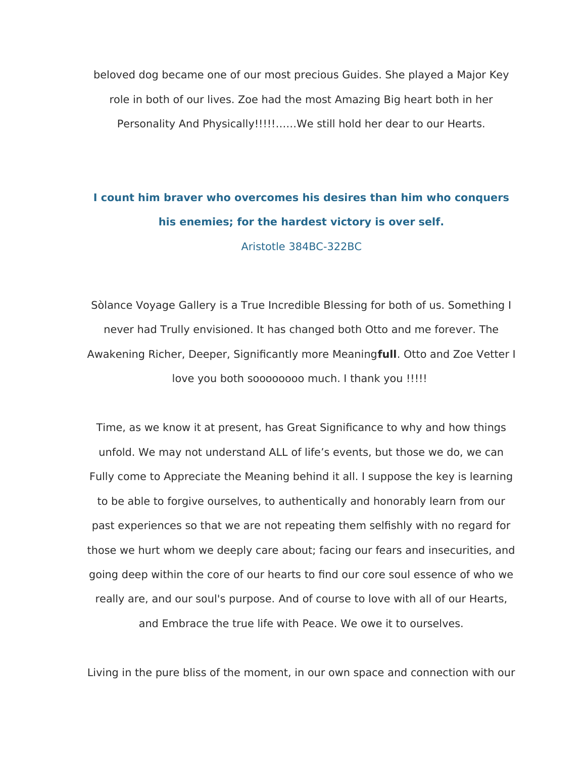beloved dog became one of our most precious Guides. She played a Major Key role in both of our lives. Zoe had the most Amazing Big heart both in her Personality And Physically!!!!!……We still hold her dear to our Hearts.

### **I count him braver who overcomes his desires than him who conquers his enemies; for the hardest victory is over self.**

Aristotle 384BC-322BC

Sòlance Voyage Gallery is a True Incredible Blessing for both of us. Something I never had Trully envisioned. It has changed both Otto and me forever. The Awakening Richer, Deeper, Signifcantly more Meaning**full**. Otto and Zoe Vetter I love you both soooooooo much. I thank you !!!!!

Time, as we know it at present, has Great Signifcance to why and how things unfold. We may not understand ALL of life's events, but those we do, we can Fully come to Appreciate the Meaning behind it all. I suppose the key is learning to be able to forgive ourselves, to authentically and honorably learn from our past experiences so that we are not repeating them selfshly with no regard for those we hurt whom we deeply care about; facing our fears and insecurities, and going deep within the core of our hearts to fnd our core soul essence of who we really are, and our soul's purpose. And of course to love with all of our Hearts, and Embrace the true life with Peace. We owe it to ourselves.

Living in the pure bliss of the moment, in our own space and connection with our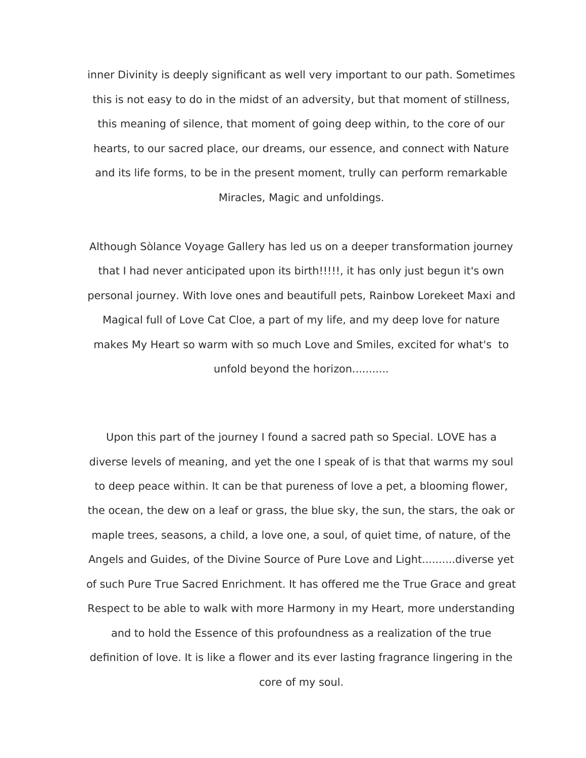inner Divinity is deeply signifcant as well very important to our path. Sometimes this is not easy to do in the midst of an adversity, but that moment of stillness, this meaning of silence, that moment of going deep within, to the core of our hearts, to our sacred place, our dreams, our essence, and connect with Nature and its life forms, to be in the present moment, trully can perform remarkable Miracles, Magic and unfoldings.

Although Sòlance Voyage Gallery has led us on a deeper transformation journey that I had never anticipated upon its birth!!!!!, it has only just begun it's own personal journey. With love ones and beautifull pets, Rainbow Lorekeet Maxi and Magical full of Love Cat Cloe, a part of my life, and my deep love for nature makes My Heart so warm with so much Love and Smiles, excited for what's to unfold beyond the horizon...........

Upon this part of the journey I found a sacred path so Special. LOVE has a diverse levels of meaning, and yet the one I speak of is that that warms my soul to deep peace within. It can be that pureness of love a pet, a blooming fower, the ocean, the dew on a leaf or grass, the blue sky, the sun, the stars, the oak or maple trees, seasons, a child, a love one, a soul, of quiet time, of nature, of the Angels and Guides, of the Divine Source of Pure Love and Light..........diverse yet of such Pure True Sacred Enrichment. It has ofered me the True Grace and great Respect to be able to walk with more Harmony in my Heart, more understanding

and to hold the Essence of this profoundness as a realization of the true definition of love. It is like a flower and its ever lasting fragrance lingering in the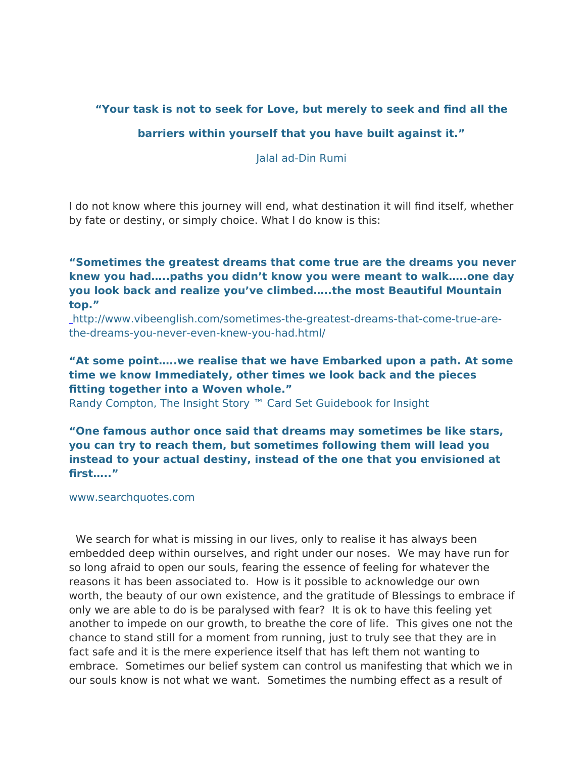#### **"Your task is not to seek for Love, but merely to seek and fnd all the**

#### **barriers within yourself that you have built against it."**

Jalal ad-Din Rumi

I do not know where this journey will end, what destination it will fnd itself, whether by fate or destiny, or simply choice. What I do know is this:

**"Sometimes the greatest dreams that come true are the dreams you never knew you had…..paths you didn't know you were meant to walk…..one day you look back and realize you've climbed…..the most Beautiful Mountain top."**

[h](http://www.vibeenglish.com/sometimes-the-greatest-dreams-that-come-true-are-the-dreams-you-never-even-knew-you-had.html/)ttp://www.vibeenglish.com/sometimes-the-greatest-dreams-that-come-true-arethe-dreams-you-never-even-knew-you-had.html/

#### **"At some point…..we realise that we have Embarked upon a path. At some time we know Immediately, other times we look back and the pieces ftting together into a Woven whole."**

Randy Compton, The Insight Story ™ Card Set Guidebook for Insight

**"One famous author once said that dreams may sometimes be like stars, you can try to reach them, but sometimes following them will lead you instead to your actual destiny, instead of the one that you envisioned at frst….."**

www.searchquotes.com

 We search for what is missing in our lives, only to realise it has always been embedded deep within ourselves, and right under our noses. We may have run for so long afraid to open our souls, fearing the essence of feeling for whatever the reasons it has been associated to. How is it possible to acknowledge our own worth, the beauty of our own existence, and the gratitude of Blessings to embrace if only we are able to do is be paralysed with fear? It is ok to have this feeling yet another to impede on our growth, to breathe the core of life. This gives one not the chance to stand still for a moment from running, just to truly see that they are in fact safe and it is the mere experience itself that has left them not wanting to embrace. Sometimes our belief system can control us manifesting that which we in our souls know is not what we want. Sometimes the numbing efect as a result of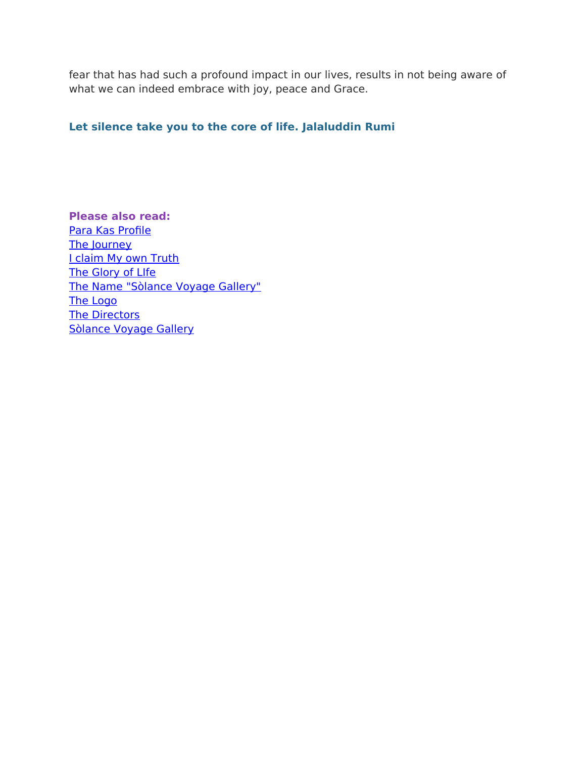fear that has had such a profound impact in our lives, results in not being aware of what we can indeed embrace with joy, peace and Grace.

#### **Let silence take you to the core of life. Jalaluddin Rumi**

**Please also read:** Para Kas Profile [The Journey](http://weebly-link/647249070747383949) [I claim My own Truth](http://weebly-link/743688132839063461) [The Glory of LIfe](http://weebly-link/217419621728711722) [The Name "Sòlance Voyage Gallery"](http://weebly-link/250123612357784270) [The Logo](http://weebly-link/454276734570816948) [The Directors](http://weebly-link/331067905275856856) [Sòlance Voyage Gallery](http://weebly-link/280163930846279123)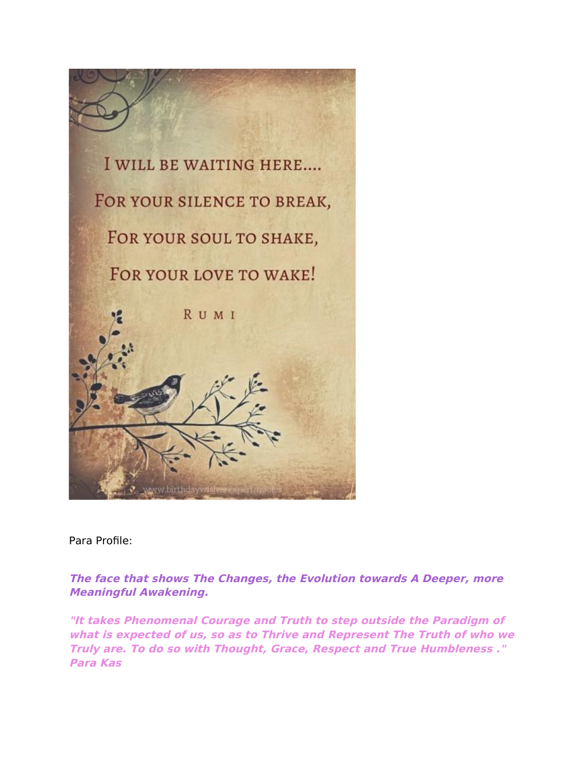

Para Profle:

**The face that shows The Changes, the Evolution towards A Deeper, more Meaningful Awakening.**

**"It takes Phenomenal Courage and Truth to step outside the Paradigm of what is expected of us, so as to Thrive and Represent The Truth of who we Truly are. To do so with Thought, Grace, Respect and True Humbleness ." Para Kas**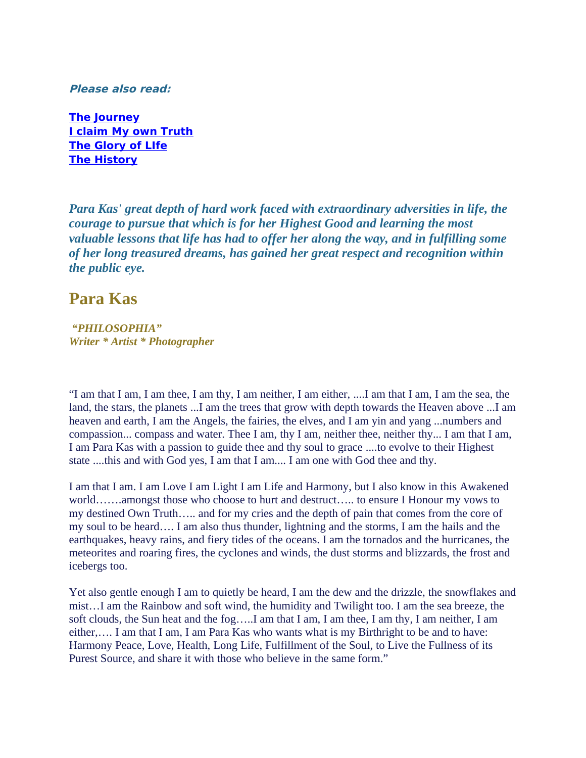**Please also read:**

**[The Journey](http://weebly-link/647249070747383949) [I claim My own Truth](http://weebly-link/743688132839063461) [The Glory of LIfe](http://weebly-link/217419621728711722) [The History](http://weebly-link/598989554796580302)**

*Para Kas' great depth of hard work faced with extraordinary adversities in life, the courage to pursue that which is for her Highest Good and learning the most valuable lessons that life has had to offer her along the way, and in fulfilling some of her long treasured dreams, has gained her great respect and recognition within the public eye.*

#### **Para Kas**

*"PHILOSOPHIA" Writer \* Artist \* Photographer*

"I am that I am, I am thee, I am thy, I am neither, I am either, ....I am that I am, I am the sea, the land, the stars, the planets ...I am the trees that grow with depth towards the Heaven above ...I am heaven and earth, I am the Angels, the fairies, the elves, and I am yin and yang ...numbers and compassion... compass and water. Thee I am, thy I am, neither thee, neither thy... I am that I am, I am Para Kas with a passion to guide thee and thy soul to grace ....to evolve to their Highest state ....this and with God yes, I am that I am.... I am one with God thee and thy.

I am that I am. I am Love I am Light I am Life and Harmony, but I also know in this Awakened world…….amongst those who choose to hurt and destruct….. to ensure I Honour my vows to my destined Own Truth….. and for my cries and the depth of pain that comes from the core of my soul to be heard…. I am also thus thunder, lightning and the storms, I am the hails and the earthquakes, heavy rains, and fiery tides of the oceans. I am the tornados and the hurricanes, the meteorites and roaring fires, the cyclones and winds, the dust storms and blizzards, the frost and icebergs too.

Yet also gentle enough I am to quietly be heard, I am the dew and the drizzle, the snowflakes and mist…I am the Rainbow and soft wind, the humidity and Twilight too. I am the sea breeze, the soft clouds, the Sun heat and the fog…..I am that I am, I am thee, I am thy, I am neither, I am either,…. I am that I am, I am Para Kas who wants what is my Birthright to be and to have: Harmony Peace, Love, Health, Long Life, Fulfillment of the Soul, to Live the Fullness of its Purest Source, and share it with those who believe in the same form."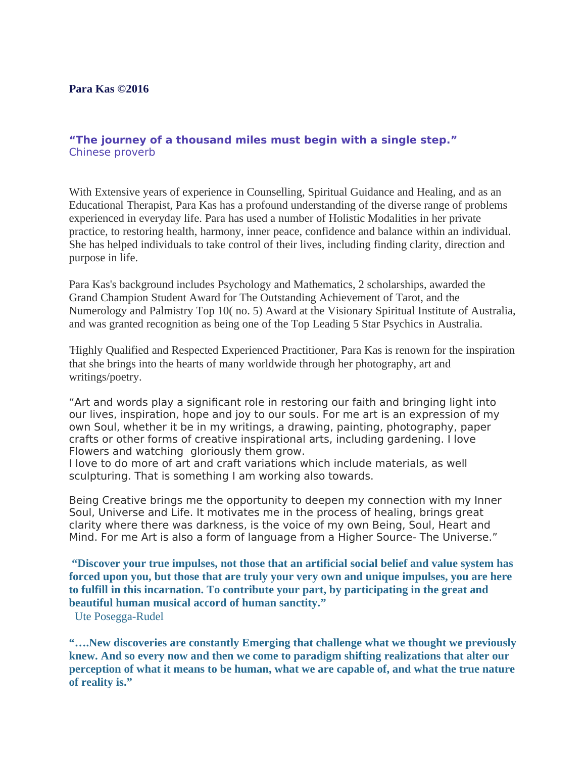#### **Para Kas ©2016**

#### **"The journey of a thousand miles must begin with a single step."** Chinese proverb

With Extensive years of experience in Counselling, Spiritual Guidance and Healing, and as an Educational Therapist, Para Kas has a profound understanding of the diverse range of problems experienced in everyday life. Para has used a number of Holistic Modalities in her private practice, to restoring health, harmony, inner peace, confidence and balance within an individual. She has helped individuals to take control of their lives, including finding clarity, direction and purpose in life.

Para Kas's background includes Psychology and Mathematics, 2 scholarships, awarded the Grand Champion Student Award for The Outstanding Achievement of Tarot, and the Numerology and Palmistry Top 10( no. 5) Award at the Visionary Spiritual Institute of Australia, and was granted recognition as being one of the Top Leading 5 Star Psychics in Australia.

'Highly Qualified and Respected Experienced Practitioner, Para Kas is renown for the inspiration that she brings into the hearts of many worldwide through her photography, art and writings/poetry.

"Art and words play a signifcant role in restoring our faith and bringing light into our lives, inspiration, hope and joy to our souls. For me art is an expression of my own Soul, whether it be in my writings, a drawing, painting, photography, paper crafts or other forms of creative inspirational arts, including gardening. I love Flowers and watching gloriously them grow.

I love to do more of art and craft variations which include materials, as well sculpturing. That is something I am working also towards.

Being Creative brings me the opportunity to deepen my connection with my Inner Soul, Universe and Life. It motivates me in the process of healing, brings great clarity where there was darkness, is the voice of my own Being, Soul, Heart and Mind. For me Art is also a form of language from a Higher Source- The Universe."

**"Discover your true impulses, not those that an artificial social belief and value system has forced upon you, but those that are truly your very own and unique impulses, you are here to fulfill in this incarnation. To contribute your part, by participating in the great and beautiful human musical accord of human sanctity."**

Ute Posegga-Rudel

**"….New discoveries are constantly Emerging that challenge what we thought we previously knew. And so every now and then we come to paradigm shifting realizations that alter our perception of what it means to be human, what we are capable of, and what the true nature of reality is."**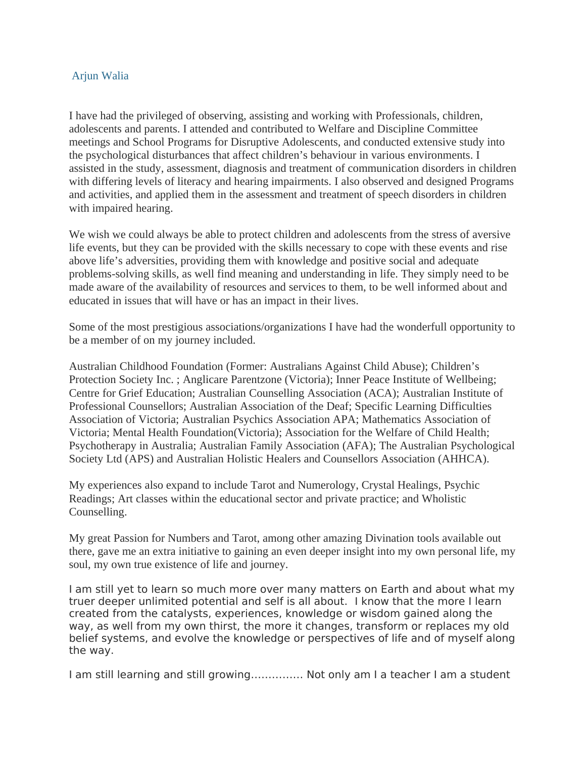#### Arjun Walia

I have had the privileged of observing, assisting and working with Professionals, children, adolescents and parents. I attended and contributed to Welfare and Discipline Committee meetings and School Programs for Disruptive Adolescents, and conducted extensive study into the psychological disturbances that affect children's behaviour in various environments. I assisted in the study, assessment, diagnosis and treatment of communication disorders in children with differing levels of literacy and hearing impairments. I also observed and designed Programs and activities, and applied them in the assessment and treatment of speech disorders in children with impaired hearing.

We wish we could always be able to protect children and adolescents from the stress of aversive life events, but they can be provided with the skills necessary to cope with these events and rise above life's adversities, providing them with knowledge and positive social and adequate problems-solving skills, as well find meaning and understanding in life. They simply need to be made aware of the availability of resources and services to them, to be well informed about and educated in issues that will have or has an impact in their lives.

Some of the most prestigious associations/organizations I have had the wonderfull opportunity to be a member of on my journey included.

Australian Childhood Foundation (Former: Australians Against Child Abuse); Children's Protection Society Inc. ; Anglicare Parentzone (Victoria); Inner Peace Institute of Wellbeing; Centre for Grief Education; Australian Counselling Association (ACA); Australian Institute of Professional Counsellors; Australian Association of the Deaf; Specific Learning Difficulties Association of Victoria; Australian Psychics Association APA; Mathematics Association of Victoria; Mental Health Foundation(Victoria); Association for the Welfare of Child Health; Psychotherapy in Australia; Australian Family Association (AFA); The Australian Psychological Society Ltd (APS) and Australian Holistic Healers and Counsellors Association (AHHCA).

My experiences also expand to include Tarot and Numerology, Crystal Healings, Psychic Readings; Art classes within the educational sector and private practice; and Wholistic Counselling.

My great Passion for Numbers and Tarot, among other amazing Divination tools available out there, gave me an extra initiative to gaining an even deeper insight into my own personal life, my soul, my own true existence of life and journey.

I am still yet to learn so much more over many matters on Earth and about what my truer deeper unlimited potential and self is all about. I know that the more I learn created from the catalysts, experiences, knowledge or wisdom gained along the way, as well from my own thirst, the more it changes, transform or replaces my old belief systems, and evolve the knowledge or perspectives of life and of myself along the way.

I am still learning and still growing…………… Not only am I a teacher I am a student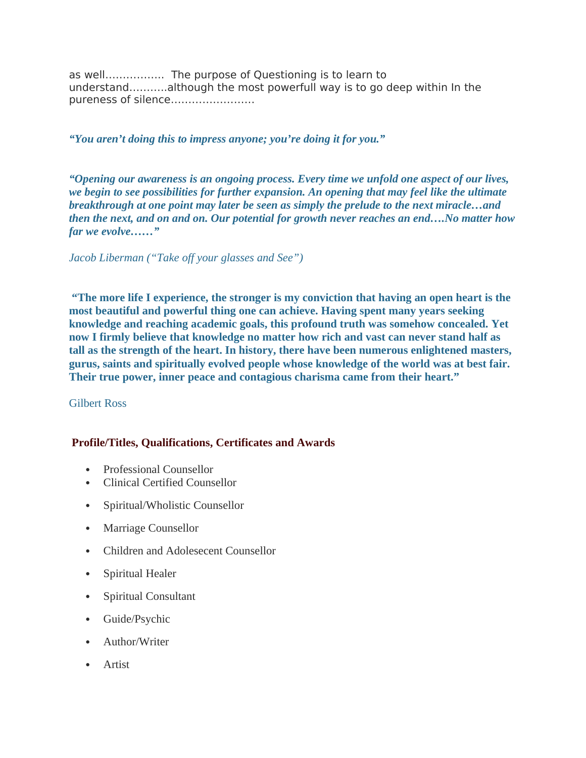as well…………….. The purpose of Questioning is to learn to understand………..although the most powerfull way is to go deep within In the pureness of silence……………………

#### *"You aren't doing this to impress anyone; you're doing it for you."*

*"Opening our awareness is an ongoing process. Every time we unfold one aspect of our lives, we begin to see possibilities for further expansion. An opening that may feel like the ultimate breakthrough at one point may later be seen as simply the prelude to the next miracle…and then the next, and on and on. Our potential for growth never reaches an end….No matter how far we evolve……"*

#### *Jacob Liberman ("Take off your glasses and See")*

**"The more life I experience, the stronger is my conviction that having an open heart is the most beautiful and powerful thing one can achieve. Having spent many years seeking knowledge and reaching academic goals, this profound truth was somehow concealed. Yet now I firmly believe that knowledge no matter how rich and vast can never stand half as tall as the strength of the heart. In history, there have been numerous enlightened masters, gurus, saints and spiritually evolved people whose knowledge of the world was at best fair. Their true power, inner peace and contagious charisma came from their heart."**

#### Gilbert Ross

#### **Profile/Titles, Qualifications, Certificates and Awards**

- Professional Counsellor
- Clinical Certified Counsellor
- Spiritual/Wholistic Counsellor
- Marriage Counsellor
- Children and Adolesecent Counsellor
- Spiritual Healer
- Spiritual Consultant
- Guide/Psychic
- Author/Writer
- Artist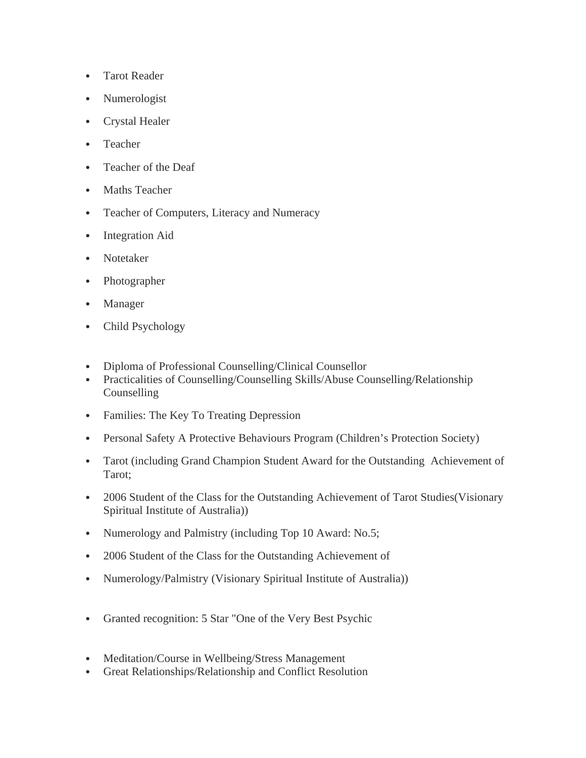- Tarot Reader
- Numerologist
- Crystal Healer
- Teacher
- Teacher of the Deaf
- Maths Teacher
- Teacher of Computers, Literacy and Numeracy
- Integration Aid
- Notetaker
- Photographer
- Manager
- Child Psychology
- Diploma of Professional Counselling/Clinical Counsellor
- Practicalities of Counselling/Counselling Skills/Abuse Counselling/Relationship **Counselling**
- Families: The Key To Treating Depression
- Personal Safety A Protective Behaviours Program (Children's Protection Society)
- Tarot (including Grand Champion Student Award for the Outstanding Achievement of Tarot;
- 2006 Student of the Class for the Outstanding Achievement of Tarot Studies(Visionary Spiritual Institute of Australia))
- Numerology and Palmistry (including Top 10 Award: No.5;
- 2006 Student of the Class for the Outstanding Achievement of
- Numerology/Palmistry (Visionary Spiritual Institute of Australia))
- Granted recognition: 5 Star "One of the Very Best Psychic
- Meditation/Course in Wellbeing/Stress Management
- Great Relationships/Relationship and Conflict Resolution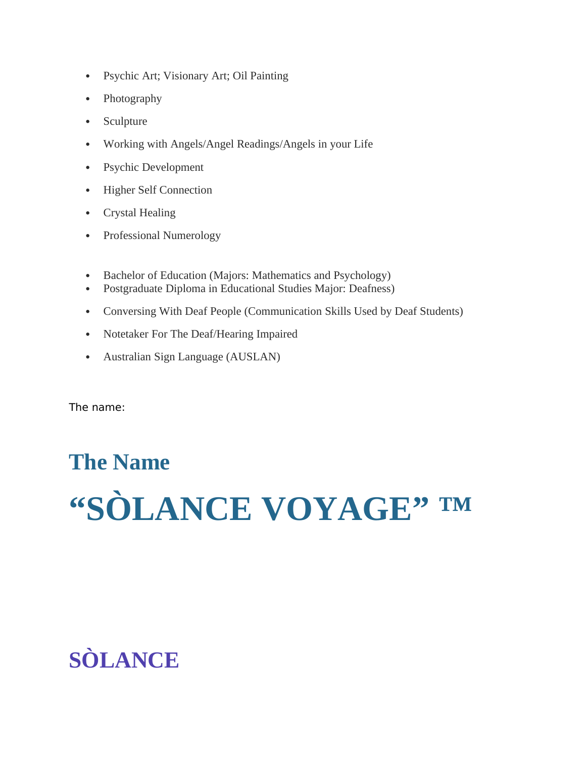- Psychic Art; Visionary Art; Oil Painting
- Photography
- Sculpture
- Working with Angels/Angel Readings/Angels in your Life
- Psychic Development
- Higher Self Connection
- Crystal Healing
- Professional Numerology
- Bachelor of Education (Majors: Mathematics and Psychology)
- Postgraduate Diploma in Educational Studies Major: Deafness)
- Conversing With Deaf People (Communication Skills Used by Deaf Students)
- Notetaker For The Deaf/Hearing Impaired
- Australian Sign Language (AUSLAN)

The name:

# **The Name "SÒLANCE VOYAGE" ™**

# **SÒLANCE**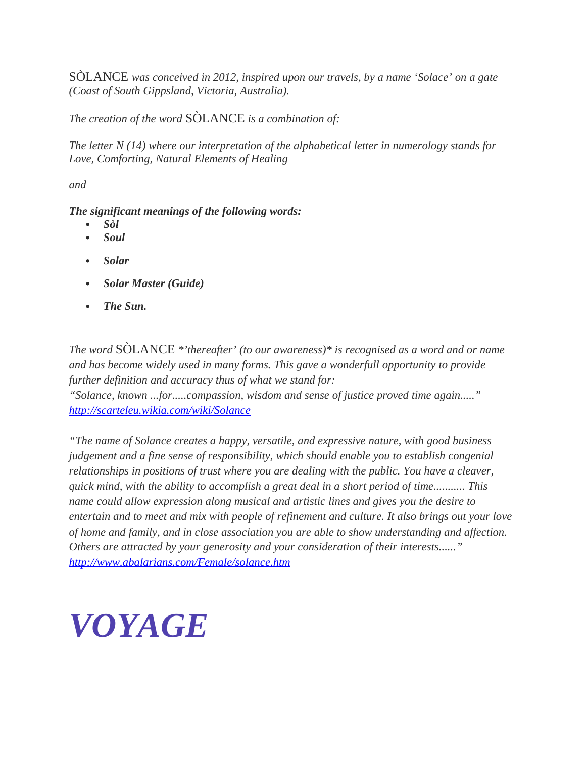SÒLANCE *was conceived in 2012, inspired upon our travels, by a name 'Solace' on a gate (Coast of South Gippsland, Victoria, Australia).* 

*The creation of the word* SÒLANCE *is a combination of:*

*The letter N (14) where our interpretation of the alphabetical letter in numerology stands for Love, Comforting, Natural Elements of Healing*

*and*

#### *The significant meanings of the following words:*

- *Sòl*
- *Soul*
- *Solar*
- *Solar Master (Guide)*
- *The Sun.*

*The word* SÒLANCE *\*'thereafter' (to our awareness)\* is recognised as a word and or name and has become widely used in many forms. This gave a wonderfull opportunity to provide further definition and accuracy thus of what we stand for: "Solance, known ...for.....compassion, wisdom and sense of justice proved time again....." <http://scarteleu.wikia.com/wiki/Solance>*

*"The name of Solance creates a happy, versatile, and expressive nature, with good business judgement and a fine sense of responsibility, which should enable you to establish congenial relationships in positions of trust where you are dealing with the public. You have a cleaver, quick mind, with the ability to accomplish a great deal in a short period of time........... This name could allow expression along musical and artistic lines and gives you the desire to entertain and to meet and mix with people of refinement and culture. It also brings out your love of home and family, and in close association you are able to show understanding and affection. Others are attracted by your generosity and your consideration of their interests......" <http://www.abalarians.com/Female/solance.htm>*

# *VOYAGE*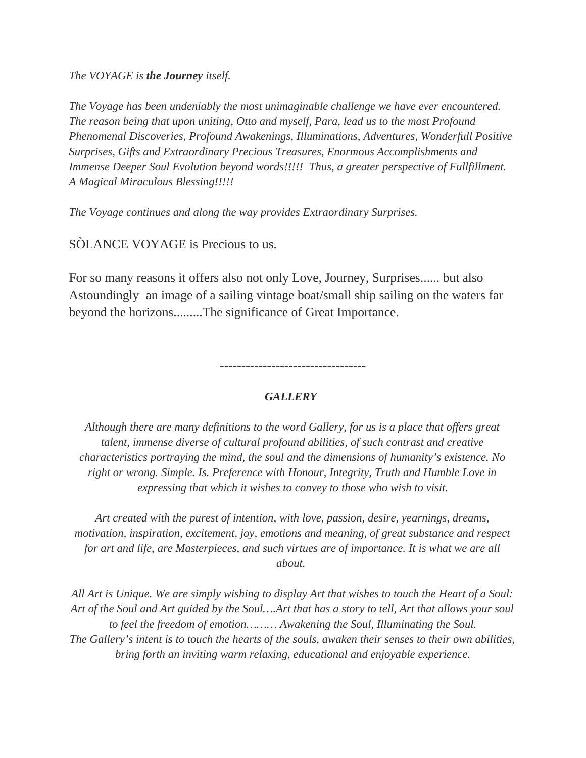*The VOYAGE is the Journey itself.*

*The Voyage has been undeniably the most unimaginable challenge we have ever encountered. The reason being that upon uniting, Otto and myself, Para, lead us to the most Profound Phenomenal Discoveries, Profound Awakenings, Illuminations, Adventures, Wonderfull Positive Surprises, Gifts and Extraordinary Precious Treasures, Enormous Accomplishments and Immense Deeper Soul Evolution beyond words!!!!! Thus, a greater perspective of Fullfillment. A Magical Miraculous Blessing!!!!!*

*The Voyage continues and along the way provides Extraordinary Surprises.*

SÒLANCE VOYAGE is Precious to us.

For so many reasons it offers also not only Love, Journey, Surprises...... but also Astoundingly an image of a sailing vintage boat/small ship sailing on the waters far beyond the horizons.........The significance of Great Importance.

----------------------------------

#### *GALLERY*

*Although there are many definitions to the word Gallery, for us is a place that offers great talent, immense diverse of cultural profound abilities, of such contrast and creative characteristics portraying the mind, the soul and the dimensions of humanity's existence. No right or wrong. Simple. Is. Preference with Honour, Integrity, Truth and Humble Love in expressing that which it wishes to convey to those who wish to visit.*

*Art created with the purest of intention, with love, passion, desire, yearnings, dreams, motivation, inspiration, excitement, joy, emotions and meaning, of great substance and respect for art and life, are Masterpieces, and such virtues are of importance. It is what we are all about.* 

*All Art is Unique. We are simply wishing to display Art that wishes to touch the Heart of a Soul: Art of the Soul and Art guided by the Soul….Art that has a story to tell, Art that allows your soul to feel the freedom of emotion……… Awakening the Soul, Illuminating the Soul. The Gallery's intent is to touch the hearts of the souls, awaken their senses to their own abilities, bring forth an inviting warm relaxing, educational and enjoyable experience.*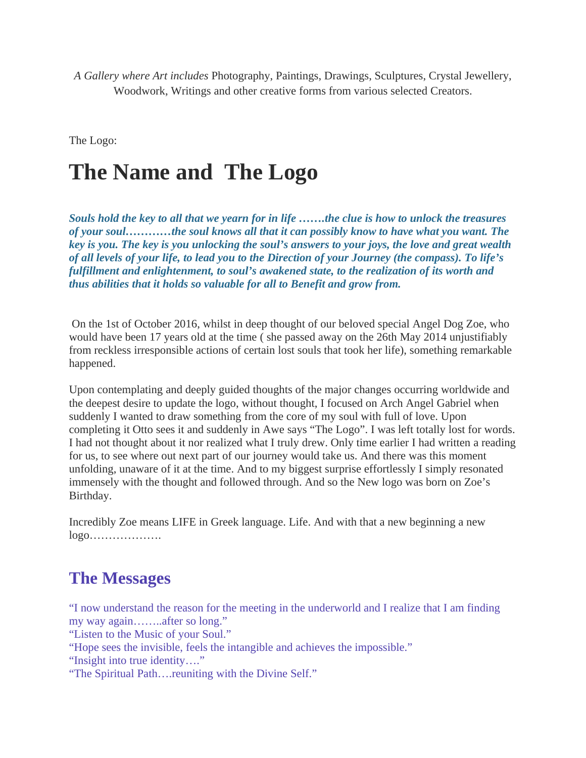*A Gallery where Art includes* Photography, Paintings, Drawings, Sculptures, Crystal Jewellery, Woodwork, Writings and other creative forms from various selected Creators.

The Logo:

## **The Name and The Logo**

*Souls hold the key to all that we yearn for in life …….the clue is how to unlock the treasures of your soul…………the soul knows all that it can possibly know to have what you want. The key is you. The key is you unlocking the soul's answers to your joys, the love and great wealth of all levels of your life, to lead you to the Direction of your Journey (the compass). To life's fulfillment and enlightenment, to soul's awakened state, to the realization of its worth and thus abilities that it holds so valuable for all to Benefit and grow from.* 

On the 1st of October 2016, whilst in deep thought of our beloved special Angel Dog Zoe, who would have been 17 years old at the time ( she passed away on the 26th May 2014 unjustifiably from reckless irresponsible actions of certain lost souls that took her life), something remarkable happened.

Upon contemplating and deeply guided thoughts of the major changes occurring worldwide and the deepest desire to update the logo, without thought, I focused on Arch Angel Gabriel when suddenly I wanted to draw something from the core of my soul with full of love. Upon completing it Otto sees it and suddenly in Awe says "The Logo". I was left totally lost for words. I had not thought about it nor realized what I truly drew. Only time earlier I had written a reading for us, to see where out next part of our journey would take us. And there was this moment unfolding, unaware of it at the time. And to my biggest surprise effortlessly I simply resonated immensely with the thought and followed through. And so the New logo was born on Zoe's Birthday.

Incredibly Zoe means LIFE in Greek language. Life. And with that a new beginning a new logo……………….

#### **The Messages**

"I now understand the reason for the meeting in the underworld and I realize that I am finding my way again……..after so long."

"Listen to the Music of your Soul."

"Hope sees the invisible, feels the intangible and achieves the impossible."

"Insight into true identity…."

"The Spiritual Path….reuniting with the Divine Self."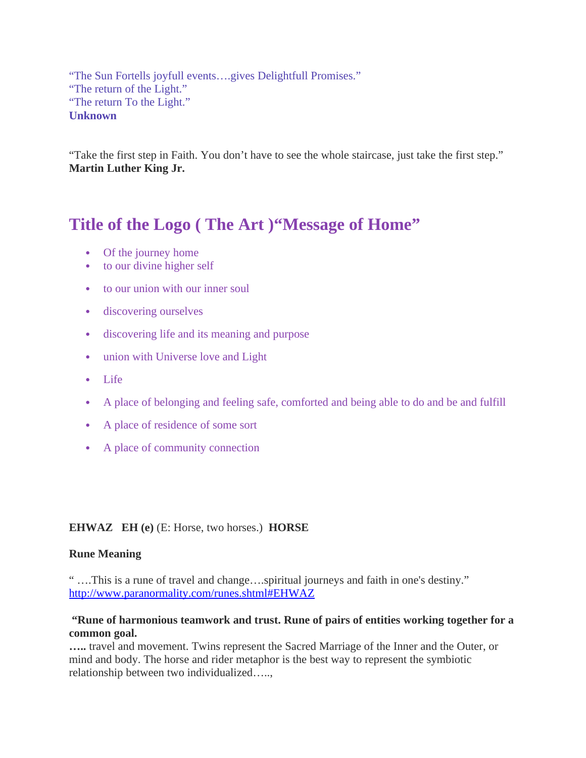"The Sun Fortells joyfull events….gives Delightfull Promises." "The return of the Light." "The return To the Light." **Unknown**

"Take the first step in Faith. You don't have to see the whole staircase, just take the first step." **Martin Luther King Jr.**

### **Title of the Logo ( The Art )"Message of Home"**

- Of the journey home
- to our divine higher self
- to our union with our inner soul
- discovering ourselves
- discovering life and its meaning and purpose
- union with Universe love and Light
- Life
- A place of belonging and feeling safe, comforted and being able to do and be and fulfill
- A place of residence of some sort
- A place of community connection

#### **EHWAZ EH (e)** (E: Horse, two horses.) **HORSE**

#### **Rune Meaning**

" ….This is a rune of travel and change….spiritual journeys and faith in one's destiny." <http://www.paranormality.com/runes.shtml#EHWAZ>

#### **"Rune of harmonious teamwork and trust. Rune of pairs of entities working together for a common goal.**

**…..** travel and movement. Twins represent the Sacred Marriage of the Inner and the Outer, or mind and body. The horse and rider metaphor is the best way to represent the symbiotic relationship between two individualized…..,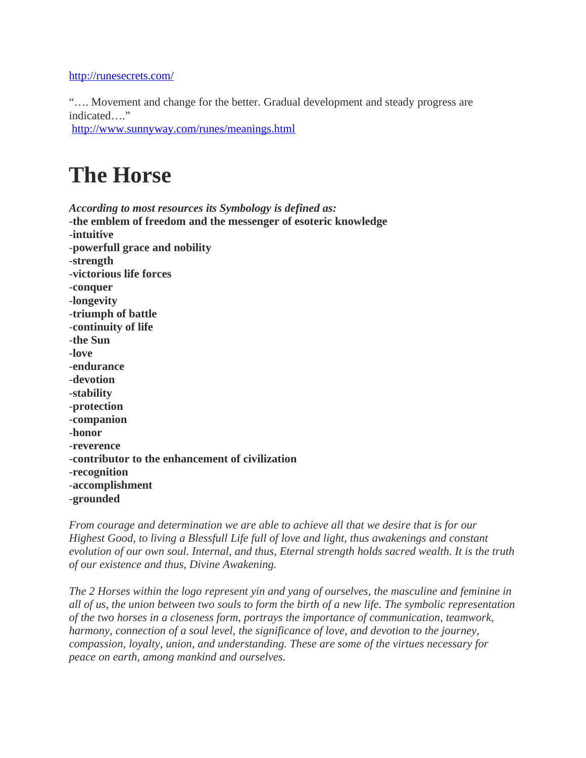#### <http://runesecrets.com/>

"…. Movement and change for the better. Gradual development and steady progress are indicated…."

<http://www.sunnyway.com/runes/meanings.html>

### **The Horse**

*According to most resources its Symbology is defined as:* 

-**the emblem of freedom and the messenger of esoteric knowledge** -**intuitive** -**powerfull grace and nobility** -**strength** -**victorious life forces** -**conquer** -**longevity** -**triumph of battle** -**continuity of life** -**the Sun** -**love** -**endurance** -**devotion** -**stability** -**protection** -**companion** -**honor** -**reverence** -**contributor to the enhancement of civilization** -**recognition** -**accomplishment** -**grounded**

*From courage and determination we are able to achieve all that we desire that is for our Highest Good, to living a Blessfull Life full of love and light, thus awakenings and constant evolution of our own soul. Internal, and thus, Eternal strength holds sacred wealth. It is the truth of our existence and thus, Divine Awakening.* 

*The 2 Horses within the logo represent yin and yang of ourselves, the masculine and feminine in all of us, the union between two souls to form the birth of a new life. The symbolic representation of the two horses in a closeness form, portrays the importance of communication, teamwork, harmony, connection of a soul level, the significance of love, and devotion to the journey, compassion, loyalty, union, and understanding. These are some of the virtues necessary for peace on earth, among mankind and ourselves.*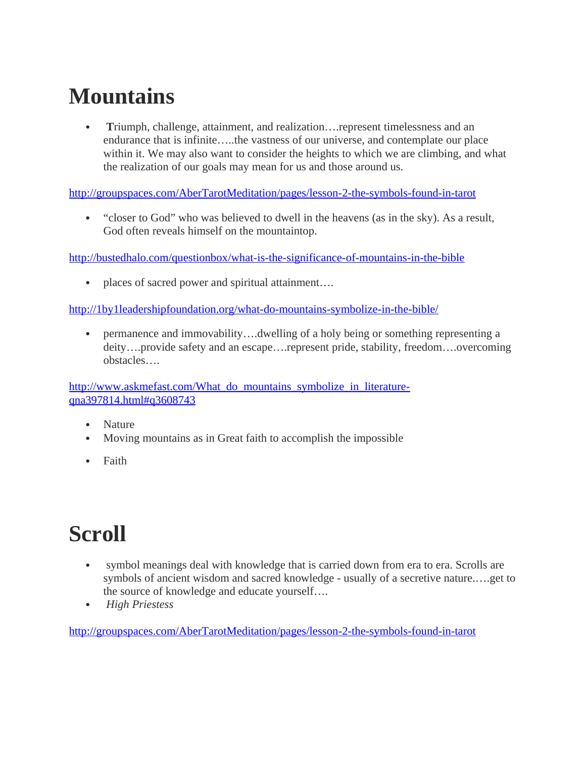# **Mountains**

**Timumph, challenge, attainment, and realization.... represent timelessness and an** endurance that is infinite…..the vastness of our universe, and contemplate our place within it. We may also want to consider the heights to which we are climbing, and what the realization of our goals may mean for us and those around us.

<http://groupspaces.com/AberTarotMeditation/pages/lesson-2-the-symbols-found-in-tarot>

 "closer to God" who was believed to dwell in the heavens (as in the sky). As a result, God often reveals himself on the mountaintop.

<http://bustedhalo.com/questionbox/what-is-the-significance-of-mountains-in-the-bible>

• places of sacred power and spiritual attainment....

<http://1by1leadershipfoundation.org/what-do-mountains-symbolize-in-the-bible/>

 permanence and immovability….dwelling of a holy being or something representing a deity….provide safety and an escape….represent pride, stability, freedom….overcoming obstacles….

[http://www.askmefast.com/What\\_do\\_mountains\\_symbolize\\_in\\_literature](http://www.askmefast.com/What_do_mountains_symbolize_in_literature-qna397814.html#q3608743)[qna397814.html#q3608743](http://www.askmefast.com/What_do_mountains_symbolize_in_literature-qna397814.html#q3608743)

- Nature
- Moving mountains as in Great faith to accomplish the impossible
- Faith

# **Scroll**

- symbol meanings deal with knowledge that is carried down from era to era. Scrolls are symbols of ancient wisdom and sacred knowledge - usually of a secretive nature.….get to the source of knowledge and educate yourself….
- *High Priestess*

<http://groupspaces.com/AberTarotMeditation/pages/lesson-2-the-symbols-found-in-tarot>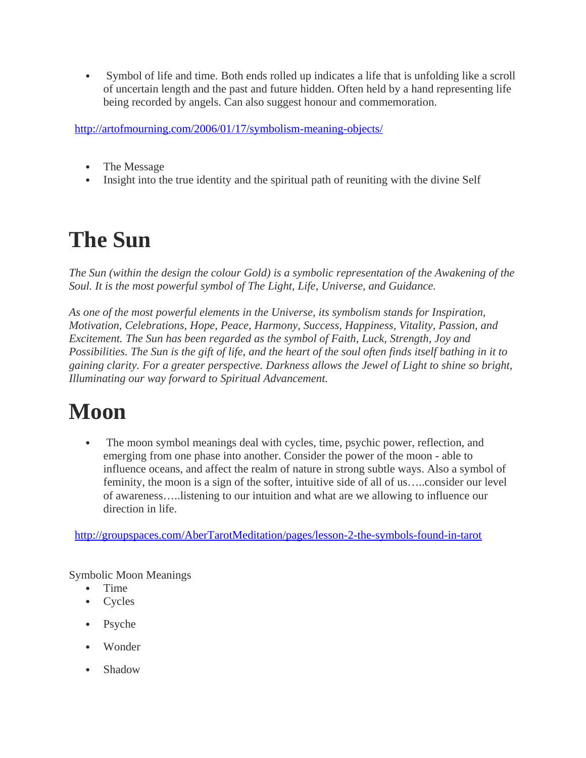Symbol of life and time. Both ends rolled up indicates a life that is unfolding like a scroll of uncertain length and the past and future hidden. Often held by a hand representing life being recorded by angels. Can also suggest honour and commemoration.

<http://artofmourning.com/2006/01/17/symbolism-meaning-objects/>

- The Message
- Insight into the true identity and the spiritual path of reuniting with the divine Self

# **The Sun**

*The Sun (within the design the colour Gold) is a symbolic representation of the Awakening of the Soul. It is the most powerful symbol of The Light, Life, Universe, and Guidance.* 

*As one of the most powerful elements in the Universe, its symbolism stands for Inspiration, Motivation, Celebrations, Hope, Peace, Harmony, Success, Happiness, Vitality, Passion, and Excitement. The Sun has been regarded as the symbol of Faith, Luck, Strength, Joy and Possibilities. The Sun is the gift of life, and the heart of the soul often finds itself bathing in it to gaining clarity. For a greater perspective. Darkness allows the Jewel of Light to shine so bright, Illuminating our way forward to Spiritual Advancement.* 

# **Moon**

 The moon symbol meanings deal with cycles, time, psychic power, reflection, and emerging from one phase into another. Consider the power of the moon - able to influence oceans, and affect the realm of nature in strong subtle ways. Also a symbol of feminity, the moon is a sign of the softer, intuitive side of all of us…..consider our level of awareness…..listening to our intuition and what are we allowing to influence our direction in life.

<http://groupspaces.com/AberTarotMeditation/pages/lesson-2-the-symbols-found-in-tarot>

Symbolic Moon Meanings

- Time
- Cycles
- Psyche
- Wonder
- Shadow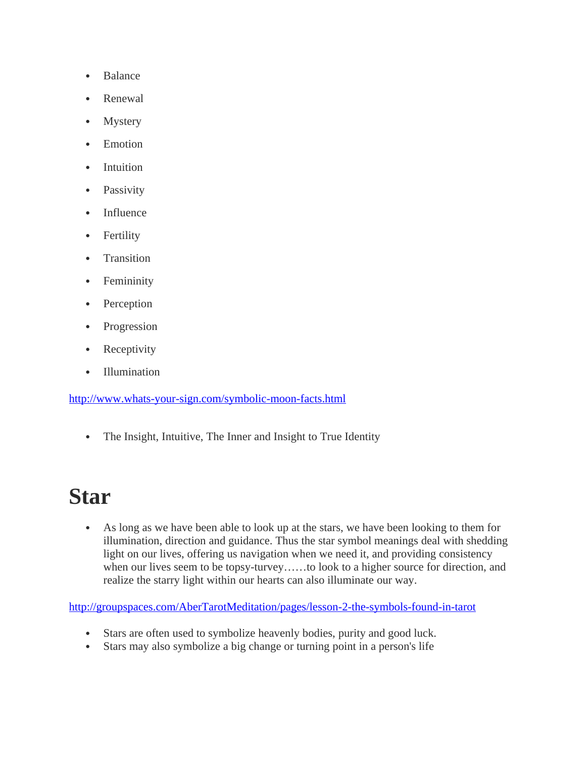- Balance
- Renewal
- Mystery
- Emotion
- Intuition
- Passivity
- Influence
- Fertility
- Transition
- Femininity
- Perception
- Progression
- Receptivity
- Illumination

<http://www.whats-your-sign.com/symbolic-moon-facts.html>

• The Insight, Intuitive, The Inner and Insight to True Identity

## **Star**

 As long as we have been able to look up at the stars, we have been looking to them for illumination, direction and guidance. Thus the star symbol meanings deal with shedding light on our lives, offering us navigation when we need it, and providing consistency when our lives seem to be topsy-turvey……to look to a higher source for direction, and realize the starry light within our hearts can also illuminate our way.

<http://groupspaces.com/AberTarotMeditation/pages/lesson-2-the-symbols-found-in-tarot>

- Stars are often used to symbolize heavenly bodies, purity and good luck.
- Stars may also symbolize a big change or turning point in a person's life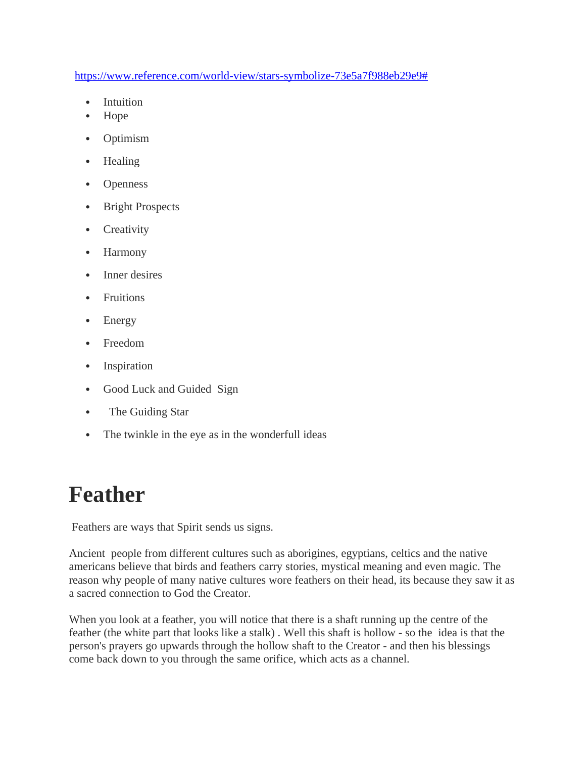[https://www.reference.com/world-view/stars-symbolize-73e5a7f988eb29e9#](https://www.reference.com/world-view/stars-symbolize-73e5a7f988eb29e9)

- Intuition
- Hope
- Optimism
- Healing
- Openness
- Bright Prospects
- Creativity
- Harmony
- Inner desires
- Fruitions
- Energy
- Freedom
- Inspiration
- Good Luck and Guided Sign
- The Guiding Star
- The twinkle in the eye as in the wonderfull ideas

## **Feather**

Feathers are ways that Spirit sends us signs.

Ancient people from different cultures such as aborigines, egyptians, celtics and the native americans believe that birds and feathers carry stories, mystical meaning and even magic. The reason why people of many native cultures wore feathers on their head, its because they saw it as a sacred connection to God the Creator.

When you look at a feather, you will notice that there is a shaft running up the centre of the feather (the white part that looks like a stalk) . Well this shaft is hollow - so the idea is that the person's prayers go upwards through the hollow shaft to the Creator - and then his blessings come back down to you through the same orifice, which acts as a channel.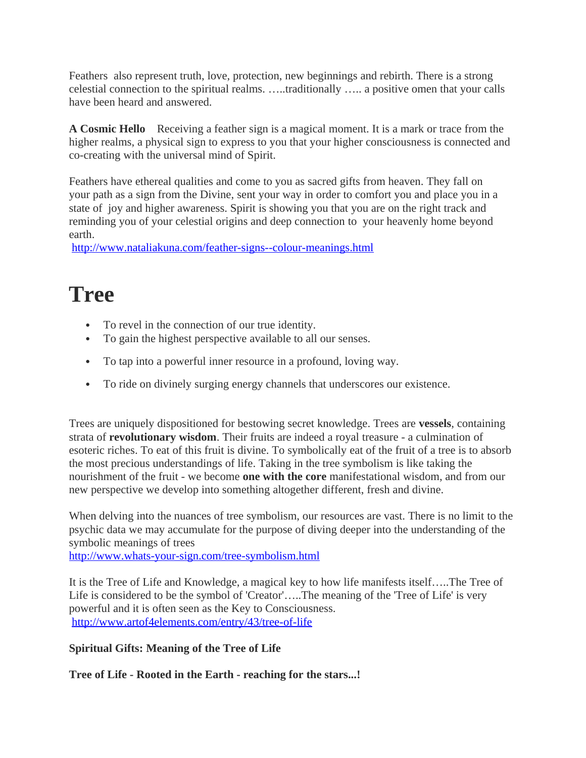Feathers also represent truth, love, protection, new beginnings and rebirth. There is a strong celestial connection to the spiritual realms. …..traditionally ….. a positive omen that your calls have been heard and answered.

**A Cosmic Hello** Receiving a feather sign is a magical moment. It is a mark or trace from the higher realms, a physical sign to express to you that your higher consciousness is connected and co-creating with the universal mind of Spirit.

Feathers have ethereal qualities and come to you as sacred gifts from heaven. They fall on your path as a sign from the Divine, sent your way in order to comfort you and place you in a state of joy and higher awareness. Spirit is showing you that you are on the right track and reminding you of your celestial origins and deep connection to your heavenly home beyond earth.

<http://www.nataliakuna.com/feather-signs--colour-meanings.html>

### **Tree**

- To revel in the connection of our true identity.
- To gain the highest perspective available to all our senses.
- To tap into a powerful inner resource in a profound, loving way.
- To ride on divinely surging energy channels that underscores our existence.

Trees are uniquely dispositioned for bestowing secret knowledge. Trees are **vessels**, containing strata of **revolutionary wisdom**. Their fruits are indeed a royal treasure - a culmination of esoteric riches. To eat of this fruit is divine. To symbolically eat of the fruit of a tree is to absorb the most precious understandings of life. Taking in the tree symbolism is like taking the nourishment of the fruit - we become **one with the core** manifestational wisdom, and from our new perspective we develop into something altogether different, fresh and divine.

When delving into the nuances of tree symbolism, our resources are vast. There is no limit to the psychic data we may accumulate for the purpose of diving deeper into the understanding of the symbolic meanings of trees

<http://www.whats-your-sign.com/tree-symbolism.html>

It is the Tree of Life and Knowledge, a magical key to how life manifests itself…..The Tree of Life is considered to be the symbol of 'Creator'…..The meaning of the 'Tree of Life' is very powerful and it is often seen as the Key to Consciousness. <http://www.artof4elements.com/entry/43/tree-of-life>

**Spiritual Gifts: Meaning of the Tree of Life**

**Tree of Life - Rooted in the Earth - reaching for the stars...!**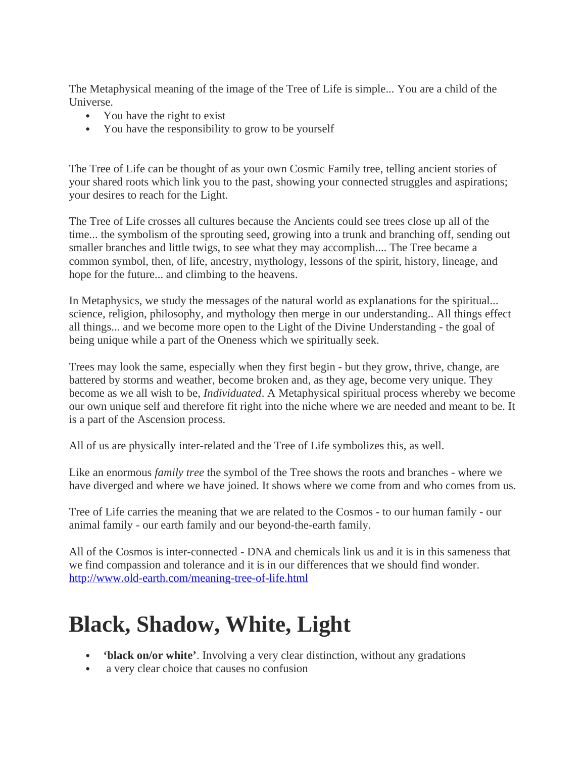The Metaphysical meaning of the image of the Tree of Life is simple... You are a child of the Universe.

- You have the right to exist
- You have the responsibility to grow to be yourself

The Tree of Life can be thought of as your own Cosmic Family tree, telling ancient stories of your shared roots which link you to the past, showing your connected struggles and aspirations; your desires to reach for the Light.

The Tree of Life crosses all cultures because the Ancients could see trees close up all of the time... the symbolism of the sprouting seed, growing into a trunk and branching off, sending out smaller branches and little twigs, to see what they may accomplish.... The Tree became a common symbol, then, of life, ancestry, mythology, lessons of the spirit, history, lineage, and hope for the future... and climbing to the heavens.

In Metaphysics, we study the messages of the natural world as explanations for the spiritual... science, religion, philosophy, and mythology then merge in our understanding.. All things effect all things... and we become more open to the Light of the Divine Understanding - the goal of being unique while a part of the Oneness which we spiritually seek.

Trees may look the same, especially when they first begin - but they grow, thrive, change, are battered by storms and weather, become broken and, as they age, become very unique. They become as we all wish to be, *Individuated*. A Metaphysical spiritual process whereby we become our own unique self and therefore fit right into the niche where we are needed and meant to be. It is a part of the Ascension process.

All of us are physically inter-related and the Tree of Life symbolizes this, as well.

Like an enormous *family tree* the symbol of the Tree shows the roots and branches - where we have diverged and where we have joined. It shows where we come from and who comes from us.

Tree of Life carries the meaning that we are related to the Cosmos - to our human family - our animal family - our earth family and our beyond-the-earth family.

All of the Cosmos is inter-connected - DNA and chemicals link us and it is in this sameness that we find compassion and tolerance and it is in our differences that we should find wonder. <http://www.old-earth.com/meaning-tree-of-life.html>

## **Black, Shadow, White, Light**

- **'black on/or white'**. Involving a very clear distinction, without any gradations
- a very clear choice that causes no confusion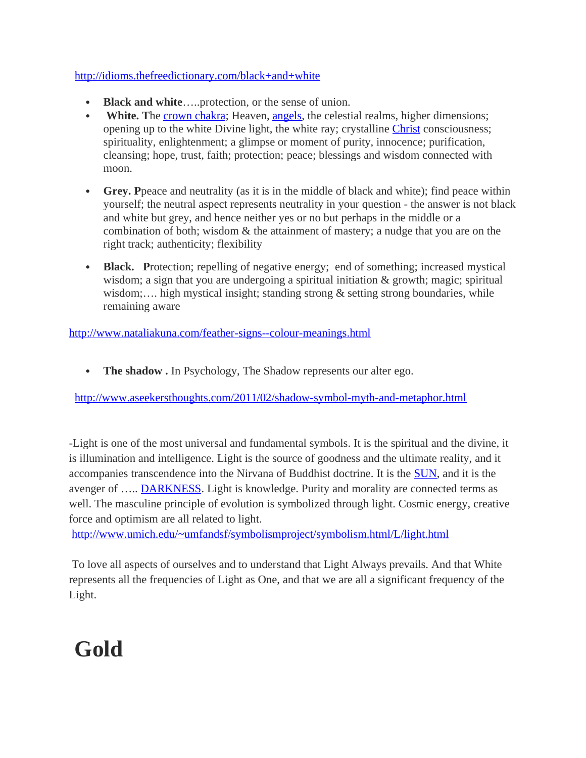#### <http://idioms.thefreedictionary.com/black+and+white>

- **Black and white**…..protection, or the sense of union.
- White. The [crown chakra;](http://www.nataliakuna.com/crown-chakra.html) Heaven, [angels,](http://www.nataliakuna.com/angels-what-are-they.html) the celestial realms, higher dimensions; opening up to the white Divine light, the white ray; crystalline [Christ](http://www.nataliakuna.com/jesus-christ.html) consciousness; spirituality, enlightenment; a glimpse or moment of purity, innocence; purification, cleansing; hope, trust, faith; protection; peace; blessings and wisdom connected with moon.
- **Grey. P**peace and neutrality (as it is in the middle of black and white); find peace within yourself; the neutral aspect represents neutrality in your question - the answer is not black and white but grey, and hence neither yes or no but perhaps in the middle or a combination of both; wisdom & the attainment of mastery; a nudge that you are on the right track; authenticity; flexibility
- **Black.** Protection; repelling of negative energy; end of something; increased mystical wisdom; a sign that you are undergoing a spiritual initiation & growth; magic; spiritual wisdom;…. high mystical insight; standing strong & setting strong boundaries, while remaining aware

<http://www.nataliakuna.com/feather-signs--colour-meanings.html>

• The shadow . In Psychology, The Shadow represents our alter ego.

<http://www.aseekersthoughts.com/2011/02/shadow-symbol-myth-and-metaphor.html>

-Light is one of the most universal and fundamental symbols. It is the spiritual and the divine, it is illumination and intelligence. Light is the source of goodness and the ultimate reality, and it accompanies transcendence into the Nirvana of Buddhist doctrine. It is the [SUN,](http://www.umich.edu/~umfandsf/symbolismproject/symbolism.html/S/sun.html) and it is the avenger of ..... **DARKNESS**. Light is knowledge. Purity and morality are connected terms as well. The masculine principle of evolution is symbolized through light. Cosmic energy, creative force and optimism are all related to light.

<http://www.umich.edu/~umfandsf/symbolismproject/symbolism.html/L/light.html>

To love all aspects of ourselves and to understand that Light Always prevails. And that White represents all the frequencies of Light as One, and that we are all a significant frequency of the Light.

# **Gold**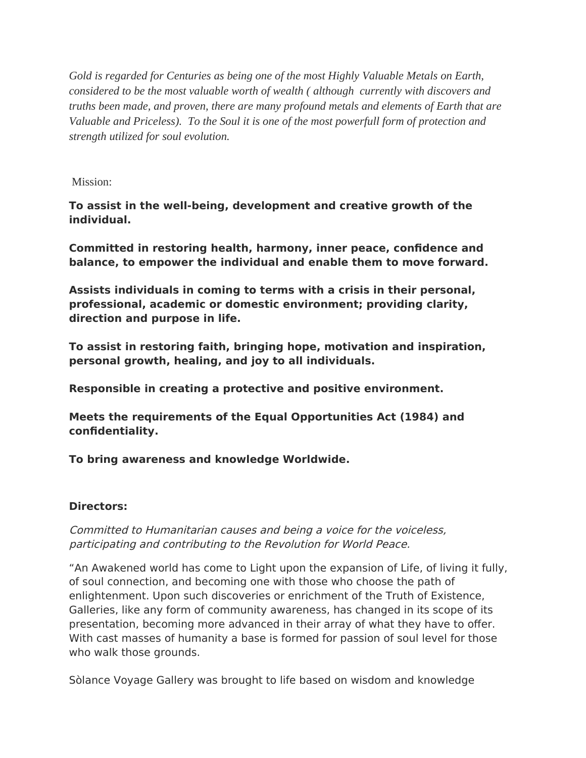*Gold is regarded for Centuries as being one of the most Highly Valuable Metals on Earth, considered to be the most valuable worth of wealth ( although currently with discovers and truths been made, and proven, there are many profound metals and elements of Earth that are Valuable and Priceless). To the Soul it is one of the most powerfull form of protection and strength utilized for soul evolution.* 

Mission:

**To assist in the well-being, development and creative growth of the individual.**

**Committed in restoring health, harmony, inner peace, confdence and balance, to empower the individual and enable them to move forward.**

**Assists individuals in coming to terms with a crisis in their personal, professional, academic or domestic environment; providing clarity, direction and purpose in life.**

**To assist in restoring faith, bringing hope, motivation and inspiration, personal growth, healing, and joy to all individuals.**

**Responsible in creating a protective and positive environment.**

**Meets the requirements of the Equal Opportunities Act (1984) and confdentiality.**

**To bring awareness and knowledge Worldwide.**

#### **Directors:**

Committed to Humanitarian causes and being a voice for the voiceless, participating and contributing to the Revolution for World Peace.

"An Awakened world has come to Light upon the expansion of Life, of living it fully, of soul connection, and becoming one with those who choose the path of enlightenment. Upon such discoveries or enrichment of the Truth of Existence, Galleries, like any form of community awareness, has changed in its scope of its presentation, becoming more advanced in their array of what they have to ofer. With cast masses of humanity a base is formed for passion of soul level for those who walk those grounds.

Sòlance Voyage Gallery was brought to life based on wisdom and knowledge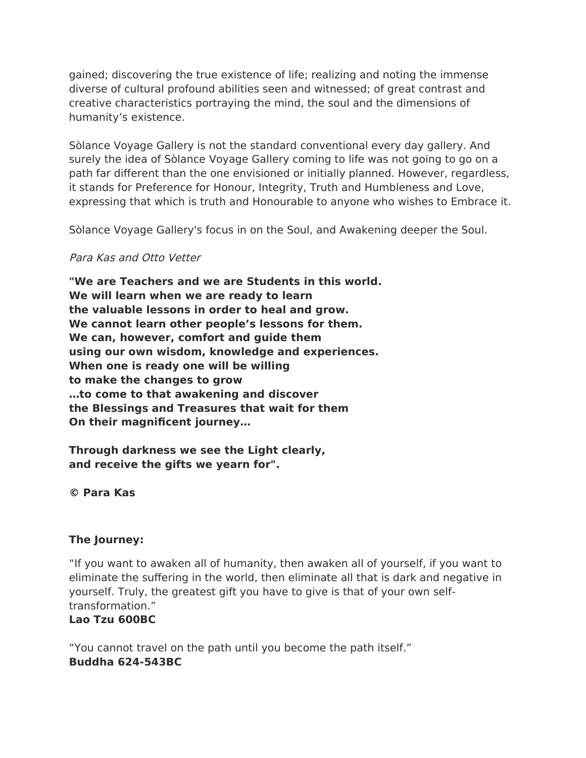gained; discovering the true existence of life; realizing and noting the immense diverse of cultural profound abilities seen and witnessed; of great contrast and creative characteristics portraying the mind, the soul and the dimensions of humanity's existence.

Sòlance Voyage Gallery is not the standard conventional every day gallery. And surely the idea of Sòlance Voyage Gallery coming to life was not going to go on a path far diferent than the one envisioned or initially planned. However, regardless, it stands for Preference for Honour, Integrity, Truth and Humbleness and Love, expressing that which is truth and Honourable to anyone who wishes to Embrace it.

Sòlance Voyage Gallery's focus in on the Soul, and Awakening deeper the Soul.

#### Para Kas and Otto Vetter

**"We are Teachers and we are Students in this world. We will learn when we are ready to learn the valuable lessons in order to heal and grow. We cannot learn other people's lessons for them. We can, however, comfort and guide them using our own wisdom, knowledge and experiences. When one is ready one will be willing to make the changes to grow …to come to that awakening and discover the Blessings and Treasures that wait for them On their magnifcent journey…**

**Through darkness we see the Light clearly, and receive the gifts we yearn for".**

#### **© Para Kas**

#### **The Journey:**

"If you want to awaken all of humanity, then awaken all of yourself, if you want to eliminate the sufering in the world, then eliminate all that is dark and negative in yourself. Truly, the greatest gift you have to give is that of your own selftransformation."

#### **Lao Tzu 600BC**

"You cannot travel on the path until you become the path itself." **Buddha 624-543BC**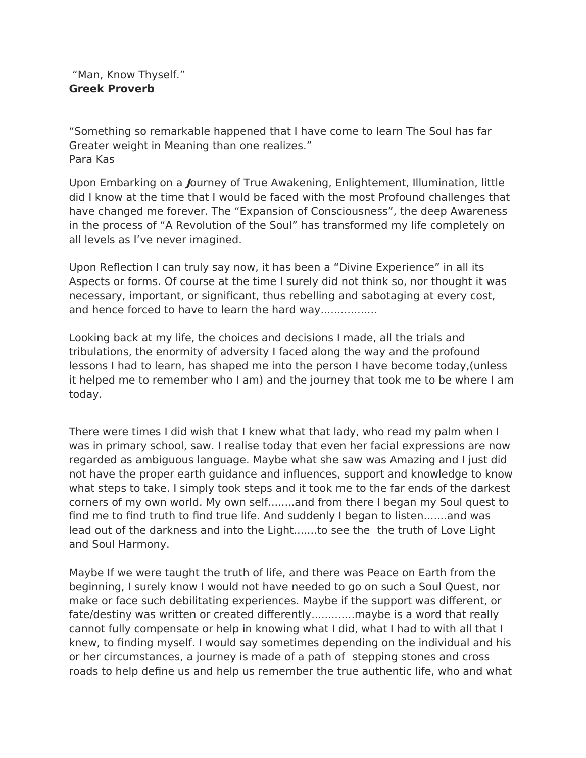"Man, Know Thyself." **Greek Proverb**

"Something so remarkable happened that I have come to learn The Soul has far Greater weight in Meaning than one realizes." Para Kas

Upon Embarking on a **J**ourney of True Awakening, Enlightement, Illumination, little did I know at the time that I would be faced with the most Profound challenges that have changed me forever. The "Expansion of Consciousness", the deep Awareness in the process of "A Revolution of the Soul" has transformed my life completely on all levels as I've never imagined.

Upon Refection I can truly say now, it has been a "Divine Experience" in all its Aspects or forms. Of course at the time I surely did not think so, nor thought it was necessary, important, or signifcant, thus rebelling and sabotaging at every cost, and hence forced to have to learn the hard way.................

Looking back at my life, the choices and decisions I made, all the trials and tribulations, the enormity of adversity I faced along the way and the profound lessons I had to learn, has shaped me into the person I have become today,(unless it helped me to remember who I am) and the journey that took me to be where I am today.

There were times I did wish that I knew what that lady, who read my palm when I was in primary school, saw. I realise today that even her facial expressions are now regarded as ambiguous language. Maybe what she saw was Amazing and I just did not have the proper earth guidance and infuences, support and knowledge to know what steps to take. I simply took steps and it took me to the far ends of the darkest corners of my own world. My own self........and from there I began my Soul quest to find me to find truth to find true life. And suddenly I began to listen.......and was lead out of the darkness and into the Light.......to see the the truth of Love Light and Soul Harmony.

Maybe If we were taught the truth of life, and there was Peace on Earth from the beginning, I surely know I would not have needed to go on such a Soul Quest, nor make or face such debilitating experiences. Maybe if the support was diferent, or fate/destiny was written or created diferently.............maybe is a word that really cannot fully compensate or help in knowing what I did, what I had to with all that I knew, to fnding myself. I would say sometimes depending on the individual and his or her circumstances, a journey is made of a path of stepping stones and cross roads to help defne us and help us remember the true authentic life, who and what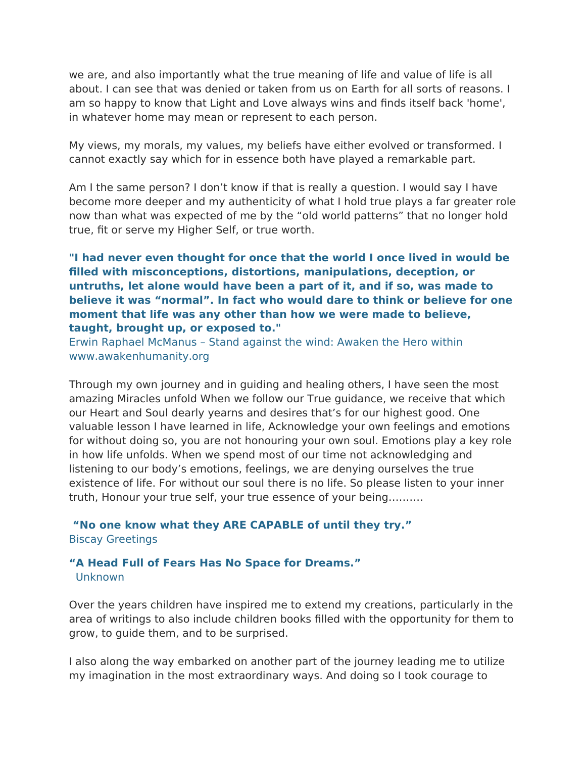we are, and also importantly what the true meaning of life and value of life is all about. I can see that was denied or taken from us on Earth for all sorts of reasons. I am so happy to know that Light and Love always wins and fnds itself back 'home', in whatever home may mean or represent to each person.

My views, my morals, my values, my beliefs have either evolved or transformed. I cannot exactly say which for in essence both have played a remarkable part.

Am I the same person? I don't know if that is really a question. I would say I have become more deeper and my authenticity of what I hold true plays a far greater role now than what was expected of me by the "old world patterns" that no longer hold true, ft or serve my Higher Self, or true worth.

#### **"I had never even thought for once that the world I once lived in would be flled with misconceptions, distortions, manipulations, deception, or untruths, let alone would have been a part of it, and if so, was made to believe it was "normal". In fact who would dare to think or believe for one moment that life was any other than how we were made to believe, taught, brought up, or exposed to."**

Erwin Raphael McManus – Stand against the wind: Awaken the Hero within www.awakenhumanity.org

Through my own journey and in guiding and healing others, I have seen the most amazing Miracles unfold When we follow our True guidance, we receive that which our Heart and Soul dearly yearns and desires that's for our highest good. One valuable lesson I have learned in life, Acknowledge your own feelings and emotions for without doing so, you are not honouring your own soul. Emotions play a key role in how life unfolds. When we spend most of our time not acknowledging and listening to our body's emotions, feelings, we are denying ourselves the true existence of life. For without our soul there is no life. So please listen to your inner truth, Honour your true self, your true essence of your being……….

**"No one know what they ARE CAPABLE of until they try."** Biscay Greetings

#### **"A Head Full of Fears Has No Space for Dreams."**  Unknown

Over the years children have inspired me to extend my creations, particularly in the area of writings to also include children books flled with the opportunity for them to grow, to guide them, and to be surprised.

I also along the way embarked on another part of the journey leading me to utilize my imagination in the most extraordinary ways. And doing so I took courage to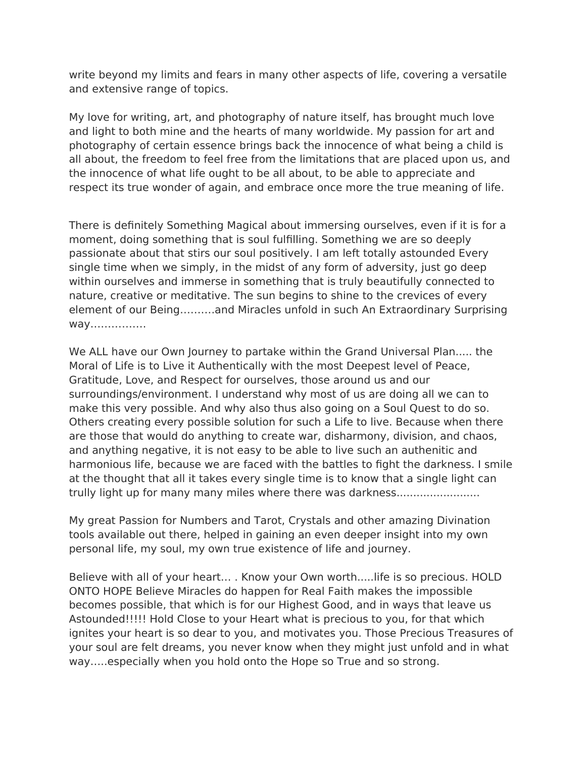write beyond my limits and fears in many other aspects of life, covering a versatile and extensive range of topics.

My love for writing, art, and photography of nature itself, has brought much love and light to both mine and the hearts of many worldwide. My passion for art and photography of certain essence brings back the innocence of what being a child is all about, the freedom to feel free from the limitations that are placed upon us, and the innocence of what life ought to be all about, to be able to appreciate and respect its true wonder of again, and embrace once more the true meaning of life.

There is defnitely Something Magical about immersing ourselves, even if it is for a moment, doing something that is soul fulflling. Something we are so deeply passionate about that stirs our soul positively. I am left totally astounded Every single time when we simply, in the midst of any form of adversity, just go deep within ourselves and immerse in something that is truly beautifully connected to nature, creative or meditative. The sun begins to shine to the crevices of every element of our Being……….and Miracles unfold in such An Extraordinary Surprising way…………….

We ALL have our Own Journey to partake within the Grand Universal Plan..... the Moral of Life is to Live it Authentically with the most Deepest level of Peace, Gratitude, Love, and Respect for ourselves, those around us and our surroundings/environment. I understand why most of us are doing all we can to make this very possible. And why also thus also going on a Soul Quest to do so. Others creating every possible solution for such a Life to live. Because when there are those that would do anything to create war, disharmony, division, and chaos, and anything negative, it is not easy to be able to live such an authenitic and harmonious life, because we are faced with the battles to fight the darkness. I smile at the thought that all it takes every single time is to know that a single light can trully light up for many many miles where there was darkness.........................

My great Passion for Numbers and Tarot, Crystals and other amazing Divination tools available out there, helped in gaining an even deeper insight into my own personal life, my soul, my own true existence of life and journey.

Believe with all of your heart… . Know your Own worth.....life is so precious. HOLD ONTO HOPE Believe Miracles do happen for Real Faith makes the impossible becomes possible, that which is for our Highest Good, and in ways that leave us Astounded!!!!! Hold Close to your Heart what is precious to you, for that which ignites your heart is so dear to you, and motivates you. Those Precious Treasures of your soul are felt dreams, you never know when they might just unfold and in what way…..especially when you hold onto the Hope so True and so strong.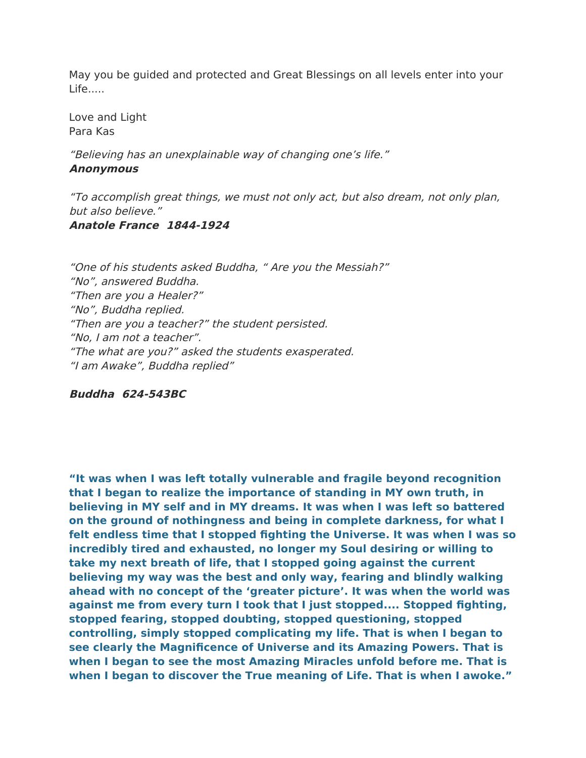May you be guided and protected and Great Blessings on all levels enter into your Life.....

Love and Light Para Kas

"Believing has an unexplainable way of changing one's life." **Anonymous**

"To accomplish great things, we must not only act, but also dream, not only plan, but also believe."

**Anatole France 1844-1924**

"One of his students asked Buddha, " Are you the Messiah?" "No", answered Buddha. "Then are you a Healer?" "No", Buddha replied. "Then are you a teacher?" the student persisted. "No, I am not a teacher". "The what are you?" asked the students exasperated. "I am Awake", Buddha replied"

#### **Buddha 624-543BC**

**"It was when I was left totally vulnerable and fragile beyond recognition that I began to realize the importance of standing in MY own truth, in believing in MY self and in MY dreams. It was when I was left so battered on the ground of nothingness and being in complete darkness, for what I felt endless time that I stopped fghting the Universe. It was when I was so incredibly tired and exhausted, no longer my Soul desiring or willing to take my next breath of life, that I stopped going against the current believing my way was the best and only way, fearing and blindly walking ahead with no concept of the 'greater picture'. It was when the world was against me from every turn I took that I just stopped.... Stopped fghting, stopped fearing, stopped doubting, stopped questioning, stopped controlling, simply stopped complicating my life. That is when I began to see clearly the Magnifcence of Universe and its Amazing Powers. That is when I began to see the most Amazing Miracles unfold before me. That is when I began to discover the True meaning of Life. That is when I awoke."**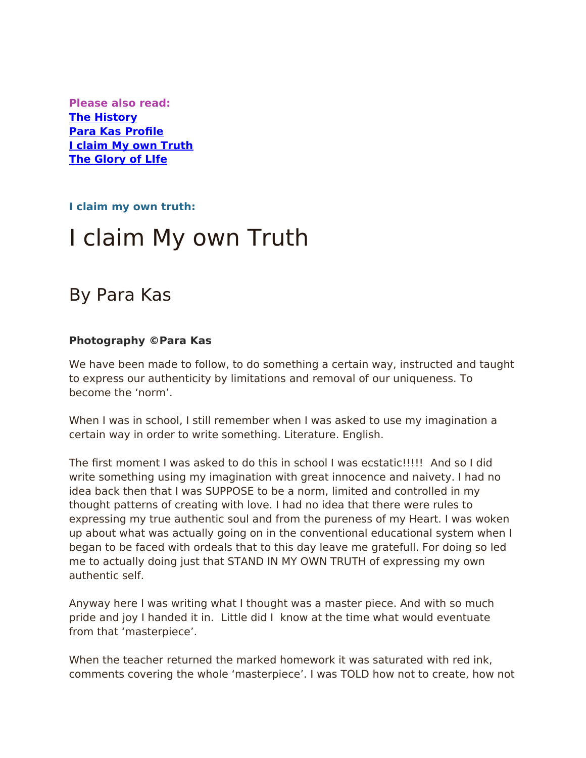**Please also read: [The History](http://weebly-link/598989554796580302) [Para Kas Profle](http://weebly-link/629765735403882148) [I claim My own Truth](http://weebly-link/743688132839063461) [The Glory of LIfe](http://weebly-link/217419621728711722)**

**I claim my own truth:**

# I claim My own Truth

# By Para Kas

### **Photography ©Para Kas**

We have been made to follow, to do something a certain way, instructed and taught to express our authenticity by limitations and removal of our uniqueness. To become the 'norm'.

When I was in school, I still remember when I was asked to use my imagination a certain way in order to write something. Literature. English.

The frst moment I was asked to do this in school I was ecstatic!!!!! And so I did write something using my imagination with great innocence and naivety. I had no idea back then that I was SUPPOSE to be a norm, limited and controlled in my thought patterns of creating with love. I had no idea that there were rules to expressing my true authentic soul and from the pureness of my Heart. I was woken up about what was actually going on in the conventional educational system when I began to be faced with ordeals that to this day leave me gratefull. For doing so led me to actually doing just that STAND IN MY OWN TRUTH of expressing my own authentic self.

Anyway here I was writing what I thought was a master piece. And with so much pride and joy I handed it in. Little did I know at the time what would eventuate from that 'masterpiece'.

When the teacher returned the marked homework it was saturated with red ink, comments covering the whole 'masterpiece'. I was TOLD how not to create, how not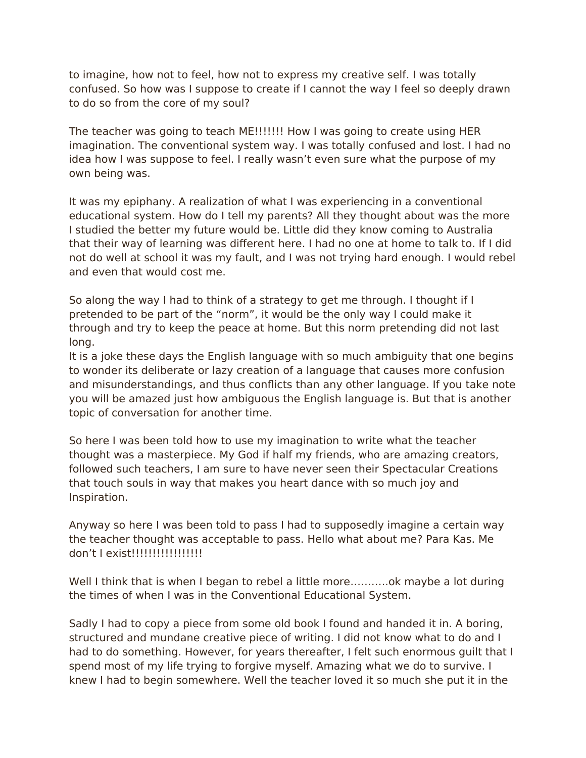to imagine, how not to feel, how not to express my creative self. I was totally confused. So how was I suppose to create if I cannot the way I feel so deeply drawn to do so from the core of my soul?

The teacher was going to teach ME!!!!!!! How I was going to create using HER imagination. The conventional system way. I was totally confused and lost. I had no idea how I was suppose to feel. I really wasn't even sure what the purpose of my own being was.

It was my epiphany. A realization of what I was experiencing in a conventional educational system. How do I tell my parents? All they thought about was the more I studied the better my future would be. Little did they know coming to Australia that their way of learning was diferent here. I had no one at home to talk to. If I did not do well at school it was my fault, and I was not trying hard enough. I would rebel and even that would cost me.

So along the way I had to think of a strategy to get me through. I thought if I pretended to be part of the "norm", it would be the only way I could make it through and try to keep the peace at home. But this norm pretending did not last long.

It is a joke these days the English language with so much ambiguity that one begins to wonder its deliberate or lazy creation of a language that causes more confusion and misunderstandings, and thus conficts than any other language. If you take note you will be amazed just how ambiguous the English language is. But that is another topic of conversation for another time.

So here I was been told how to use my imagination to write what the teacher thought was a masterpiece. My God if half my friends, who are amazing creators, followed such teachers, I am sure to have never seen their Spectacular Creations that touch souls in way that makes you heart dance with so much joy and Inspiration.

Anyway so here I was been told to pass I had to supposedly imagine a certain way the teacher thought was acceptable to pass. Hello what about me? Para Kas. Me don't I exist!!!!!!!!!!!!!!!!!

Well I think that is when I began to rebel a little more...........ok maybe a lot during the times of when I was in the Conventional Educational System.

Sadly I had to copy a piece from some old book I found and handed it in. A boring, structured and mundane creative piece of writing. I did not know what to do and I had to do something. However, for years thereafter, I felt such enormous guilt that I spend most of my life trying to forgive myself. Amazing what we do to survive. I knew I had to begin somewhere. Well the teacher loved it so much she put it in the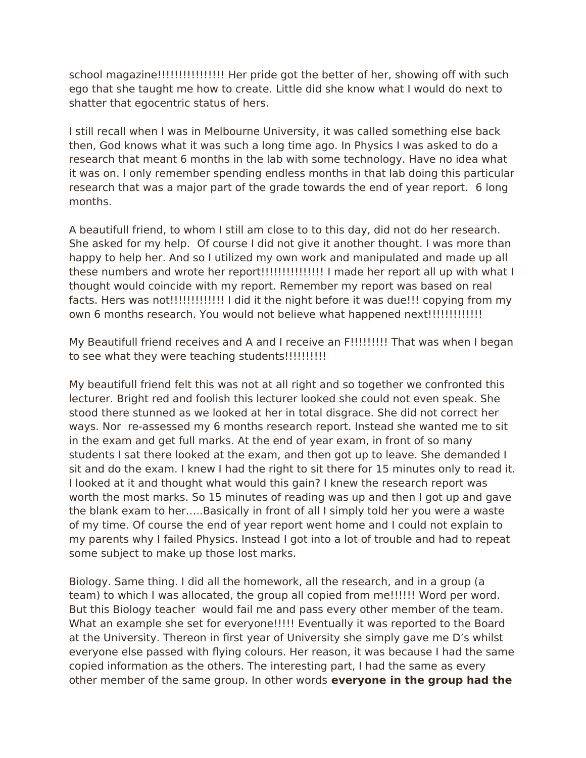school magazine!!!!!!!!!!!!!!!! Her pride got the better of her, showing of with such ego that she taught me how to create. Little did she know what I would do next to shatter that egocentric status of hers.

I still recall when I was in Melbourne University, it was called something else back then, God knows what it was such a long time ago. In Physics I was asked to do a research that meant 6 months in the lab with some technology. Have no idea what it was on. I only remember spending endless months in that lab doing this particular research that was a major part of the grade towards the end of year report. 6 long months.

A beautifull friend, to whom I still am close to to this day, did not do her research. She asked for my help. Of course I did not give it another thought. I was more than happy to help her. And so I utilized my own work and manipulated and made up all these numbers and wrote her report!!!!!!!!!!!!!!!!!! I made her report all up with what I thought would coincide with my report. Remember my report was based on real facts. Hers was not!!!!!!!!!!!!!!!!! I did it the night before it was due!!! copying from my own 6 months research. You would not believe what happened next!!!!!!!!!!!!!!!!!!

My Beautifull friend receives and A and I receive an F!!!!!!!!!! That was when I began to see what they were teaching students!!!!!!!!!!!!

My beautifull friend felt this was not at all right and so together we confronted this lecturer. Bright red and foolish this lecturer looked she could not even speak. She stood there stunned as we looked at her in total disgrace. She did not correct her ways. Nor re-assessed my 6 months research report. Instead she wanted me to sit in the exam and get full marks. At the end of year exam, in front of so many students I sat there looked at the exam, and then got up to leave. She demanded I sit and do the exam. I knew I had the right to sit there for 15 minutes only to read it. I looked at it and thought what would this gain? I knew the research report was worth the most marks. So 15 minutes of reading was up and then I got up and gave the blank exam to her…..Basically in front of all I simply told her you were a waste of my time. Of course the end of year report went home and I could not explain to my parents why I failed Physics. Instead I got into a lot of trouble and had to repeat some subject to make up those lost marks.

Biology. Same thing. I did all the homework, all the research, and in a group (a team) to which I was allocated, the group all copied from me!!!!!! Word per word. But this Biology teacher would fail me and pass every other member of the team. What an example she set for everyone!!!!! Eventually it was reported to the Board at the University. Thereon in frst year of University she simply gave me D's whilst everyone else passed with fying colours. Her reason, it was because I had the same copied information as the others. The interesting part, I had the same as every other member of the same group. In other words **everyone in the group had the**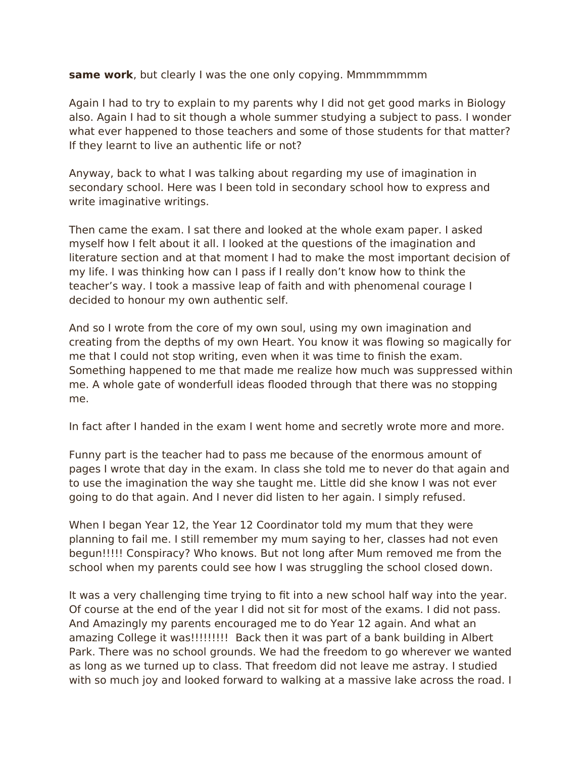### **same work**, but clearly I was the one only copying. Mmmmmmmm

Again I had to try to explain to my parents why I did not get good marks in Biology also. Again I had to sit though a whole summer studying a subject to pass. I wonder what ever happened to those teachers and some of those students for that matter? If they learnt to live an authentic life or not?

Anyway, back to what I was talking about regarding my use of imagination in secondary school. Here was I been told in secondary school how to express and write imaginative writings.

Then came the exam. I sat there and looked at the whole exam paper. I asked myself how I felt about it all. I looked at the questions of the imagination and literature section and at that moment I had to make the most important decision of my life. I was thinking how can I pass if I really don't know how to think the teacher's way. I took a massive leap of faith and with phenomenal courage I decided to honour my own authentic self.

And so I wrote from the core of my own soul, using my own imagination and creating from the depths of my own Heart. You know it was fowing so magically for me that I could not stop writing, even when it was time to fnish the exam. Something happened to me that made me realize how much was suppressed within me. A whole gate of wonderfull ideas fooded through that there was no stopping me.

In fact after I handed in the exam I went home and secretly wrote more and more.

Funny part is the teacher had to pass me because of the enormous amount of pages I wrote that day in the exam. In class she told me to never do that again and to use the imagination the way she taught me. Little did she know I was not ever going to do that again. And I never did listen to her again. I simply refused.

When I began Year 12, the Year 12 Coordinator told my mum that they were planning to fail me. I still remember my mum saying to her, classes had not even begun!!!!! Conspiracy? Who knows. But not long after Mum removed me from the school when my parents could see how I was struggling the school closed down.

It was a very challenging time trying to fit into a new school half way into the year. Of course at the end of the year I did not sit for most of the exams. I did not pass. And Amazingly my parents encouraged me to do Year 12 again. And what an amazing College it was!!!!!!!!! Back then it was part of a bank building in Albert Park. There was no school grounds. We had the freedom to go wherever we wanted as long as we turned up to class. That freedom did not leave me astray. I studied with so much joy and looked forward to walking at a massive lake across the road. I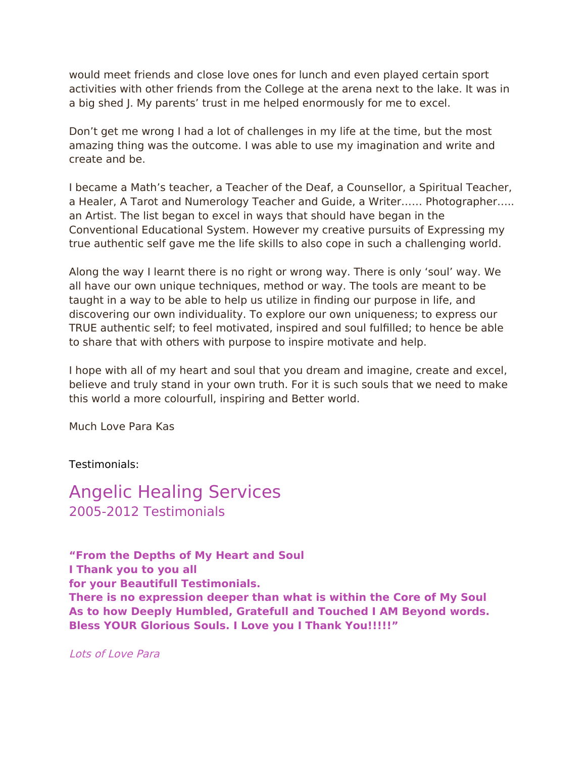would meet friends and close love ones for lunch and even played certain sport activities with other friends from the College at the arena next to the lake. It was in a big shed J. My parents' trust in me helped enormously for me to excel.

Don't get me wrong I had a lot of challenges in my life at the time, but the most amazing thing was the outcome. I was able to use my imagination and write and create and be.

I became a Math's teacher, a Teacher of the Deaf, a Counsellor, a Spiritual Teacher, a Healer, A Tarot and Numerology Teacher and Guide, a Writer…… Photographer….. an Artist. The list began to excel in ways that should have began in the Conventional Educational System. However my creative pursuits of Expressing my true authentic self gave me the life skills to also cope in such a challenging world.

Along the way I learnt there is no right or wrong way. There is only 'soul' way. We all have our own unique techniques, method or way. The tools are meant to be taught in a way to be able to help us utilize in fnding our purpose in life, and discovering our own individuality. To explore our own uniqueness; to express our TRUE authentic self; to feel motivated, inspired and soul fulflled; to hence be able to share that with others with purpose to inspire motivate and help.

I hope with all of my heart and soul that you dream and imagine, create and excel, believe and truly stand in your own truth. For it is such souls that we need to make this world a more colourfull, inspiring and Better world.

Much Love Para Kas

Testimonials:

Angelic Healing Services 2005-2012 Testimonials

**"From the Depths of My Heart and Soul I Thank you to you all for your Beautifull Testimonials. There is no expression deeper than what is within the Core of My Soul As to how Deeply Humbled, Gratefull and Touched I AM Beyond words. Bless YOUR Glorious Souls. I Love you I Thank You!!!!!"**

Lots of Love Para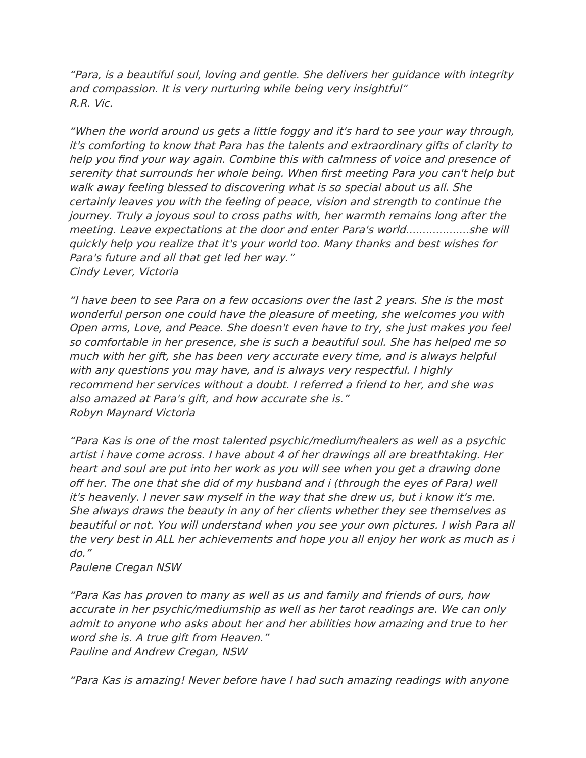"Para, is a beautiful soul, loving and gentle. She delivers her guidance with integrity and compassion. It is very nurturing while being very insightful" R.R. Vic.

"When the world around us gets a little foggy and it's hard to see your way through, it's comforting to know that Para has the talents and extraordinary gifts of clarity to help you find your way again. Combine this with calmness of voice and presence of serenity that surrounds her whole being. When frst meeting Para you can't help but walk away feeling blessed to discovering what is so special about us all. She certainly leaves you with the feeling of peace, vision and strength to continue the journey. Truly a joyous soul to cross paths with, her warmth remains long after the meeting. Leave expectations at the door and enter Para's world...................she will quickly help you realize that it's your world too. Many thanks and best wishes for Para's future and all that get led her way." Cindy Lever, Victoria

"I have been to see Para on a few occasions over the last 2 years. She is the most wonderful person one could have the pleasure of meeting, she welcomes you with Open arms, Love, and Peace. She doesn't even have to try, she just makes you feel so comfortable in her presence, she is such a beautiful soul. She has helped me so much with her gift, she has been very accurate every time, and is always helpful with any questions you may have, and is always very respectful. I highly recommend her services without a doubt. I referred a friend to her, and she was also amazed at Para's gift, and how accurate she is." Robyn Maynard Victoria

"Para Kas is one of the most talented psychic/medium/healers as well as a psychic artist i have come across. I have about 4 of her drawings all are breathtaking. Her heart and soul are put into her work as you will see when you get a drawing done of her. The one that she did of my husband and i (through the eyes of Para) well it's heavenly. I never saw myself in the way that she drew us, but i know it's me. She always draws the beauty in any of her clients whether they see themselves as beautiful or not. You will understand when you see your own pictures. I wish Para all the very best in ALL her achievements and hope you all enjoy her work as much as i do."

Paulene Cregan NSW

"Para Kas has proven to many as well as us and family and friends of ours, how accurate in her psychic/mediumship as well as her tarot readings are. We can only admit to anyone who asks about her and her abilities how amazing and true to her word she is. A true gift from Heaven." Pauline and Andrew Cregan, NSW

"Para Kas is amazing! Never before have I had such amazing readings with anyone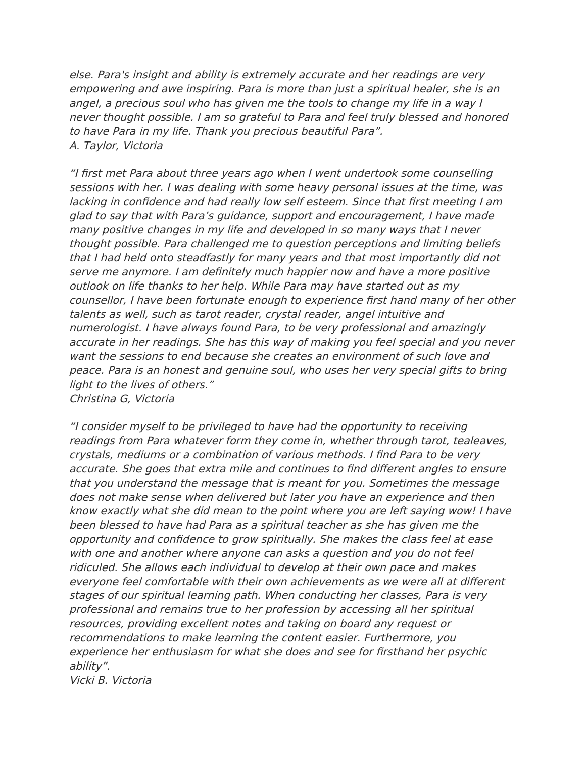else. Para's insight and ability is extremely accurate and her readings are very empowering and awe inspiring. Para is more than just a spiritual healer, she is an angel, a precious soul who has given me the tools to change my life in a way I never thought possible. I am so grateful to Para and feel truly blessed and honored to have Para in my life. Thank you precious beautiful Para". A. Taylor, Victoria

"I frst met Para about three years ago when I went undertook some counselling sessions with her. I was dealing with some heavy personal issues at the time, was lacking in confdence and had really low self esteem. Since that frst meeting I am glad to say that with Para's guidance, support and encouragement, I have made many positive changes in my life and developed in so many ways that I never thought possible. Para challenged me to question perceptions and limiting beliefs that I had held onto steadfastly for many years and that most importantly did not serve me anymore. I am definitely much happier now and have a more positive outlook on life thanks to her help. While Para may have started out as my counsellor, I have been fortunate enough to experience first hand many of her other talents as well, such as tarot reader, crystal reader, angel intuitive and numerologist. I have always found Para, to be very professional and amazingly accurate in her readings. She has this way of making you feel special and you never want the sessions to end because she creates an environment of such love and peace. Para is an honest and genuine soul, who uses her very special gifts to bring light to the lives of others." Christina G, Victoria

"I consider myself to be privileged to have had the opportunity to receiving readings from Para whatever form they come in, whether through tarot, tealeaves, crystals, mediums or a combination of various methods. I fnd Para to be very accurate. She goes that extra mile and continues to fnd diferent angles to ensure that you understand the message that is meant for you. Sometimes the message does not make sense when delivered but later you have an experience and then know exactly what she did mean to the point where you are left saying wow! I have been blessed to have had Para as a spiritual teacher as she has given me the opportunity and confdence to grow spiritually. She makes the class feel at ease with one and another where anyone can asks a question and you do not feel ridiculed. She allows each individual to develop at their own pace and makes everyone feel comfortable with their own achievements as we were all at diferent stages of our spiritual learning path. When conducting her classes, Para is very professional and remains true to her profession by accessing all her spiritual resources, providing excellent notes and taking on board any request or recommendations to make learning the content easier. Furthermore, you experience her enthusiasm for what she does and see for frsthand her psychic ability".

Vicki B. Victoria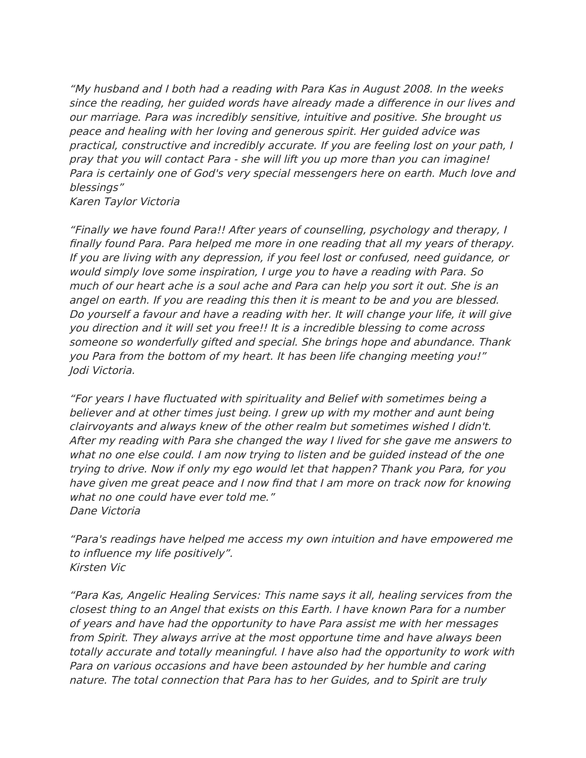"My husband and I both had a reading with Para Kas in August 2008. In the weeks since the reading, her guided words have already made a diference in our lives and our marriage. Para was incredibly sensitive, intuitive and positive. She brought us peace and healing with her loving and generous spirit. Her guided advice was practical, constructive and incredibly accurate. If you are feeling lost on your path, I pray that you will contact Para - she will lift you up more than you can imagine! Para is certainly one of God's very special messengers here on earth. Much love and blessings"

Karen Taylor Victoria

"Finally we have found Para!! After years of counselling, psychology and therapy, I fnally found Para. Para helped me more in one reading that all my years of therapy. If you are living with any depression, if you feel lost or confused, need guidance, or would simply love some inspiration, I urge you to have a reading with Para. So much of our heart ache is a soul ache and Para can help you sort it out. She is an angel on earth. If you are reading this then it is meant to be and you are blessed. Do yourself a favour and have a reading with her. It will change your life, it will give you direction and it will set you free!! It is a incredible blessing to come across someone so wonderfully gifted and special. She brings hope and abundance. Thank you Para from the bottom of my heart. It has been life changing meeting you!" Jodi Victoria.

"For years I have fuctuated with spirituality and Belief with sometimes being a believer and at other times just being. I grew up with my mother and aunt being clairvoyants and always knew of the other realm but sometimes wished I didn't. After my reading with Para she changed the way I lived for she gave me answers to what no one else could. I am now trying to listen and be guided instead of the one trying to drive. Now if only my ego would let that happen? Thank you Para, for you have given me great peace and I now fnd that I am more on track now for knowing what no one could have ever told me." Dane Victoria

"Para's readings have helped me access my own intuition and have empowered me to infuence my life positively". Kirsten Vic

"Para Kas, Angelic Healing Services: This name says it all, healing services from the closest thing to an Angel that exists on this Earth. I have known Para for a number of years and have had the opportunity to have Para assist me with her messages from Spirit. They always arrive at the most opportune time and have always been totally accurate and totally meaningful. I have also had the opportunity to work with Para on various occasions and have been astounded by her humble and caring nature. The total connection that Para has to her Guides, and to Spirit are truly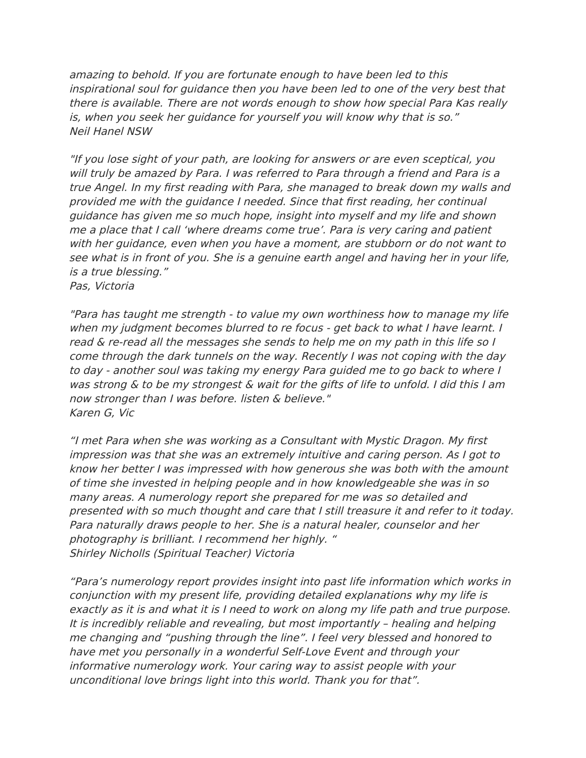amazing to behold. If you are fortunate enough to have been led to this inspirational soul for guidance then you have been led to one of the very best that there is available. There are not words enough to show how special Para Kas really is, when you seek her guidance for yourself you will know why that is so." Neil Hanel NSW

"If you lose sight of your path, are looking for answers or are even sceptical, you will truly be amazed by Para. I was referred to Para through a friend and Para is a true Angel. In my frst reading with Para, she managed to break down my walls and provided me with the guidance I needed. Since that frst reading, her continual guidance has given me so much hope, insight into myself and my life and shown me a place that I call 'where dreams come true'. Para is very caring and patient with her guidance, even when you have a moment, are stubborn or do not want to see what is in front of you. She is a genuine earth angel and having her in your life, is a true blessing."

Pas, Victoria

"Para has taught me strength - to value my own worthiness how to manage my life when my judgment becomes blurred to re focus - get back to what I have learnt. I read & re-read all the messages she sends to help me on my path in this life so I come through the dark tunnels on the way. Recently I was not coping with the day to day - another soul was taking my energy Para guided me to go back to where I was strong & to be my strongest & wait for the gifts of life to unfold. I did this I am now stronger than I was before. listen & believe." Karen G, Vic

"I met Para when she was working as a Consultant with Mystic Dragon. My frst impression was that she was an extremely intuitive and caring person. As I got to know her better I was impressed with how generous she was both with the amount of time she invested in helping people and in how knowledgeable she was in so many areas. A numerology report she prepared for me was so detailed and presented with so much thought and care that I still treasure it and refer to it today. Para naturally draws people to her. She is a natural healer, counselor and her photography is brilliant. I recommend her highly. " Shirley Nicholls (Spiritual Teacher) Victoria

"Para's numerology report provides insight into past life information which works in conjunction with my present life, providing detailed explanations why my life is exactly as it is and what it is I need to work on along my life path and true purpose. It is incredibly reliable and revealing, but most importantly – healing and helping me changing and "pushing through the line". I feel very blessed and honored to have met you personally in a wonderful Self-Love Event and through your informative numerology work. Your caring way to assist people with your unconditional love brings light into this world. Thank you for that".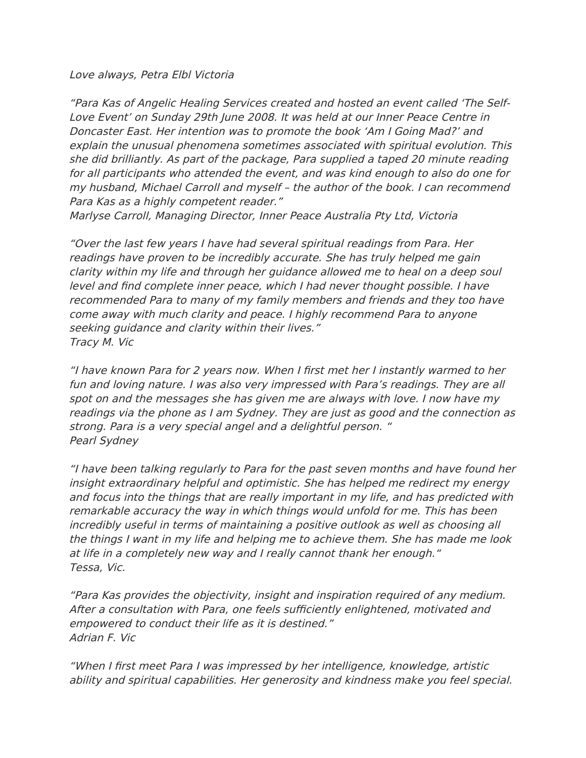Love always, Petra Elbl Victoria

"Para Kas of Angelic Healing Services created and hosted an event called 'The Self-Love Event' on Sunday 29th June 2008. It was held at our Inner Peace Centre in Doncaster East. Her intention was to promote the book 'Am I Going Mad?' and explain the unusual phenomena sometimes associated with spiritual evolution. This she did brilliantly. As part of the package, Para supplied a taped 20 minute reading for all participants who attended the event, and was kind enough to also do one for my husband, Michael Carroll and myself – the author of the book. I can recommend Para Kas as a highly competent reader."

Marlyse Carroll, Managing Director, Inner Peace Australia Pty Ltd, Victoria

"Over the last few years I have had several spiritual readings from Para. Her readings have proven to be incredibly accurate. She has truly helped me gain clarity within my life and through her guidance allowed me to heal on a deep soul level and fnd complete inner peace, which I had never thought possible. I have recommended Para to many of my family members and friends and they too have come away with much clarity and peace. I highly recommend Para to anyone seeking guidance and clarity within their lives." Tracy M. Vic

"I have known Para for 2 years now. When I frst met her I instantly warmed to her fun and loving nature. I was also very impressed with Para's readings. They are all spot on and the messages she has given me are always with love. I now have my readings via the phone as I am Sydney. They are just as good and the connection as strong. Para is a very special angel and a delightful person. " Pearl Sydney

"I have been talking regularly to Para for the past seven months and have found her insight extraordinary helpful and optimistic. She has helped me redirect my energy and focus into the things that are really important in my life, and has predicted with remarkable accuracy the way in which things would unfold for me. This has been incredibly useful in terms of maintaining a positive outlook as well as choosing all the things I want in my life and helping me to achieve them. She has made me look at life in a completely new way and I really cannot thank her enough." Tessa, Vic.

"Para Kas provides the objectivity, insight and inspiration required of any medium. After a consultation with Para, one feels sufficiently enlightened, motivated and empowered to conduct their life as it is destined." Adrian F. Vic

"When I frst meet Para I was impressed by her intelligence, knowledge, artistic ability and spiritual capabilities. Her generosity and kindness make you feel special.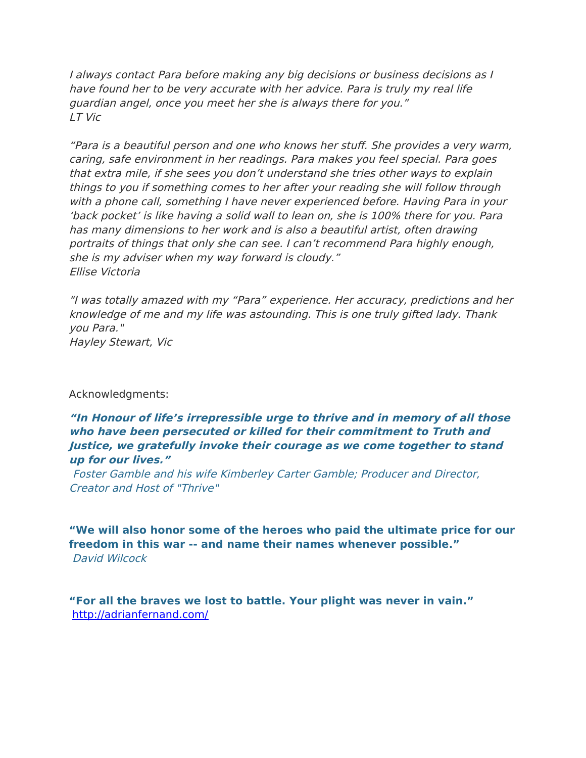I always contact Para before making any big decisions or business decisions as I have found her to be very accurate with her advice. Para is truly my real life guardian angel, once you meet her she is always there for you." LT Vic

"Para is a beautiful person and one who knows her stuf. She provides a very warm, caring, safe environment in her readings. Para makes you feel special. Para goes that extra mile, if she sees you don't understand she tries other ways to explain things to you if something comes to her after your reading she will follow through with a phone call, something I have never experienced before. Having Para in your 'back pocket' is like having a solid wall to lean on, she is 100% there for you. Para has many dimensions to her work and is also a beautiful artist, often drawing portraits of things that only she can see. I can't recommend Para highly enough, she is my adviser when my way forward is cloudy." Ellise Victoria

"I was totally amazed with my "Para" experience. Her accuracy, predictions and her knowledge of me and my life was astounding. This is one truly gifted lady. Thank you Para." Hayley Stewart, Vic

#### Acknowledgments:

### **"In Honour of life's irrepressible urge to thrive and in memory of all those who have been persecuted or killed for their commitment to Truth and Justice, we gratefully invoke their courage as we come together to stand up for our lives."**

Foster Gamble and his wife Kimberley Carter Gamble; Producer and Director, Creator and Host of "Thrive"

**"We will also honor some of the heroes who paid the ultimate price for our freedom in this war -- and name their names whenever possible."** David Wilcock

**"For all the braves we lost to battle. Your plight was never in vain."** <http://adrianfernand.com/>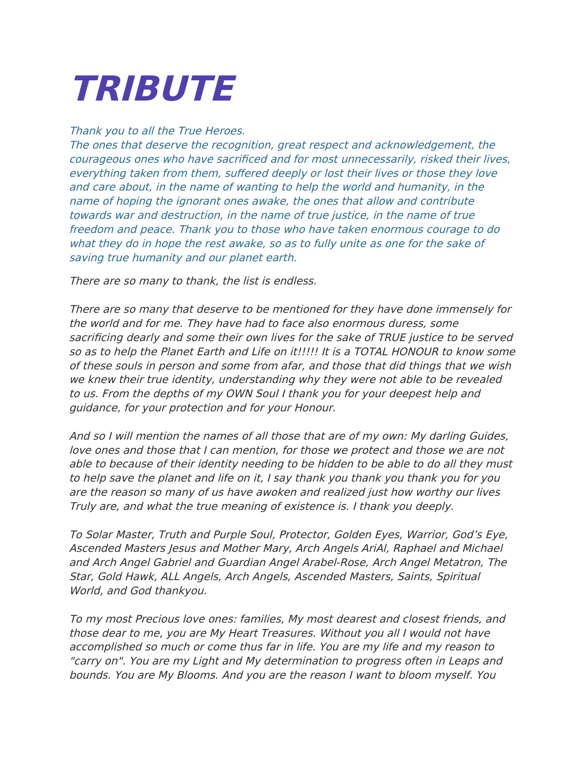# **TRIBUTE**

### Thank you to all the True Heroes.

The ones that deserve the recognition, great respect and acknowledgement, the courageous ones who have sacrifced and for most unnecessarily, risked their lives, everything taken from them, suffered deeply or lost their lives or those they love and care about, in the name of wanting to help the world and humanity, in the name of hoping the ignorant ones awake, the ones that allow and contribute towards war and destruction, in the name of true justice, in the name of true freedom and peace. Thank you to those who have taken enormous courage to do what they do in hope the rest awake, so as to fully unite as one for the sake of saving true humanity and our planet earth.

There are so many to thank, the list is endless.

There are so many that deserve to be mentioned for they have done immensely for the world and for me. They have had to face also enormous duress, some sacrifcing dearly and some their own lives for the sake of TRUE justice to be served so as to help the Planet Earth and Life on it!!!!! It is a TOTAL HONOUR to know some of these souls in person and some from afar, and those that did things that we wish we knew their true identity, understanding why they were not able to be revealed to us. From the depths of my OWN Soul I thank you for your deepest help and guidance, for your protection and for your Honour.

And so I will mention the names of all those that are of my own: My darling Guides, love ones and those that I can mention, for those we protect and those we are not able to because of their identity needing to be hidden to be able to do all they must to help save the planet and life on it, I say thank you thank you thank you for you are the reason so many of us have awoken and realized just how worthy our lives Truly are, and what the true meaning of existence is. I thank you deeply.

To Solar Master, Truth and Purple Soul, Protector, Golden Eyes, Warrior, God's Eye, Ascended Masters Jesus and Mother Mary, Arch Angels AriAl, Raphael and Michael and Arch Angel Gabriel and Guardian Angel Arabel-Rose, Arch Angel Metatron, The Star, Gold Hawk, ALL Angels, Arch Angels, Ascended Masters, Saints, Spiritual World, and God thankyou.

To my most Precious love ones: families, My most dearest and closest friends, and those dear to me, you are My Heart Treasures. Without you all I would not have accomplished so much or come thus far in life. You are my life and my reason to "carry on". You are my Light and My determination to progress often in Leaps and bounds. You are My Blooms. And you are the reason I want to bloom myself. You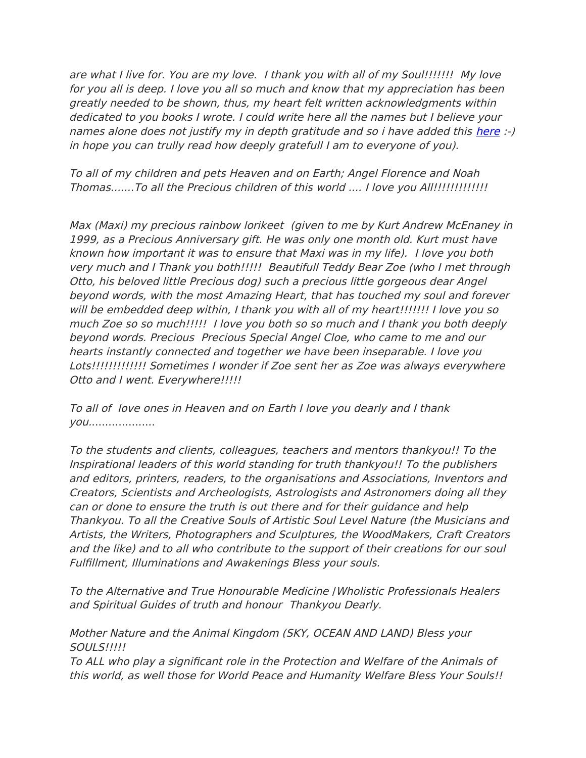are what I live for. You are my love. I thank you with all of my Soul!!!!!!! My love for you all is deep. I love you all so much and know that my appreciation has been greatly needed to be shown, thus, my heart felt written acknowledgments within dedicated to you books I wrote. I could write here all the names but I believe your names alone does not justify my in depth gratitude and so i have added this [here](http://weebly-link/356348542902327822) :-) in hope you can trully read how deeply gratefull I am to everyone of you).

To all of my children and pets Heaven and on Earth; Angel Florence and Noah Thomas.......To all the Precious children of this world .... I love you All!!!!!!!!!!!!!

Max (Maxi) my precious rainbow lorikeet (given to me by Kurt Andrew McEnaney in 1999, as a Precious Anniversary gift. He was only one month old. Kurt must have known how important it was to ensure that Maxi was in my life). I love you both very much and I Thank you both!!!!! Beautifull Teddy Bear Zoe (who I met through Otto, his beloved little Precious dog) such a precious little gorgeous dear Angel beyond words, with the most Amazing Heart, that has touched my soul and forever will be embedded deep within, I thank you with all of my heart!!!!!!! I love you so much Zoe so so much!!!!! I love you both so so much and I thank you both deeply beyond words. Precious Precious Special Angel Cloe, who came to me and our hearts instantly connected and together we have been inseparable. I love you Lots!!!!!!!!!!!!! Sometimes I wonder if Zoe sent her as Zoe was always everywhere Otto and I went. Everywhere!!!!!

To all of love ones in Heaven and on Earth I love you dearly and I thank you....................

To the students and clients, colleagues, teachers and mentors thankyou!! To the Inspirational leaders of this world standing for truth thankyou!! To the publishers and editors, printers, readers, to the organisations and Associations, Inventors and Creators, Scientists and Archeologists, Astrologists and Astronomers doing all they can or done to ensure the truth is out there and for their guidance and help Thankyou. To all the Creative Souls of Artistic Soul Level Nature (the Musicians and Artists, the Writers, Photographers and Sculptures, the WoodMakers, Craft Creators and the like) and to all who contribute to the support of their creations for our soul Fulfllment, Illuminations and Awakenings Bless your souls.

To the Alternative and True Honourable Medicine /Wholistic Professionals Healers and Spiritual Guides of truth and honour Thankyou Dearly.

Mother Nature and the Animal Kingdom (SKY, OCEAN AND LAND) Bless your SOULS!!!!!

To ALL who play a signifcant role in the Protection and Welfare of the Animals of this world, as well those for World Peace and Humanity Welfare Bless Your Souls!!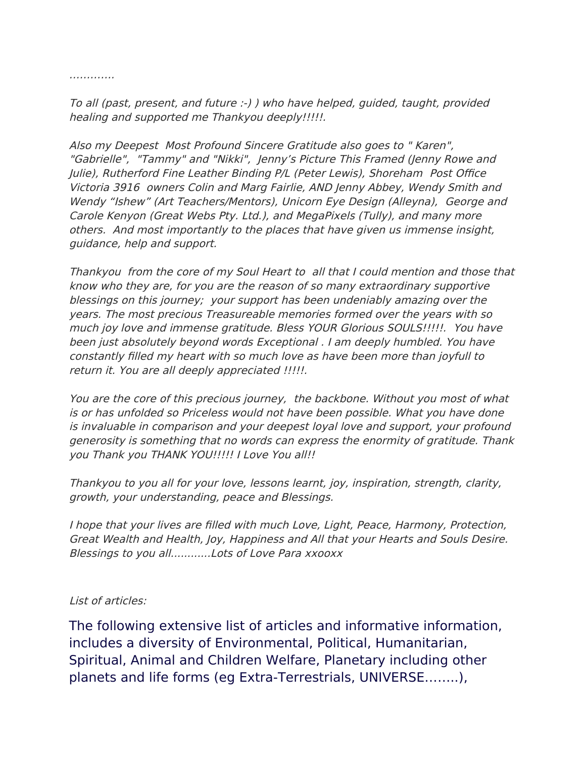………….

To all (past, present, and future :-) ) who have helped, guided, taught, provided healing and supported me Thankyou deeply!!!!!.

Also my Deepest Most Profound Sincere Gratitude also goes to " Karen", "Gabrielle", "Tammy" and "Nikki", Jenny's Picture This Framed (Jenny Rowe and Julie), Rutherford Fine Leather Binding P/L (Peter Lewis), Shoreham Post Office Victoria 3916 owners Colin and Marg Fairlie, AND Jenny Abbey, Wendy Smith and Wendy "Ishew" (Art Teachers/Mentors), Unicorn Eye Design (Alleyna), George and Carole Kenyon (Great Webs Pty. Ltd.), and MegaPixels (Tully), and many more others. And most importantly to the places that have given us immense insight, guidance, help and support.

Thankyou from the core of my Soul Heart to all that I could mention and those that know who they are, for you are the reason of so many extraordinary supportive blessings on this journey; your support has been undeniably amazing over the years. The most precious Treasureable memories formed over the years with so much joy love and immense gratitude. Bless YOUR Glorious SOULS!!!!!. You have been just absolutely beyond words Exceptional . I am deeply humbled. You have constantly flled my heart with so much love as have been more than joyfull to return it. You are all deeply appreciated !!!!!.

You are the core of this precious journey, the backbone. Without you most of what is or has unfolded so Priceless would not have been possible. What you have done is invaluable in comparison and your deepest loyal love and support, your profound generosity is something that no words can express the enormity of gratitude. Thank you Thank you THANK YOU!!!!! I Love You all!!

Thankyou to you all for your love, lessons learnt, joy, inspiration, strength, clarity, growth, your understanding, peace and Blessings.

I hope that your lives are flled with much Love, Light, Peace, Harmony, Protection, Great Wealth and Health, Joy, Happiness and All that your Hearts and Souls Desire. Blessings to you all............Lots of Love Para xxooxx

List of articles:

The following extensive list of articles and informative information, includes a diversity of Environmental, Political, Humanitarian, Spiritual, Animal and Children Welfare, Planetary including other planets and life forms (eg Extra-Terrestrials, UNIVERSE……..),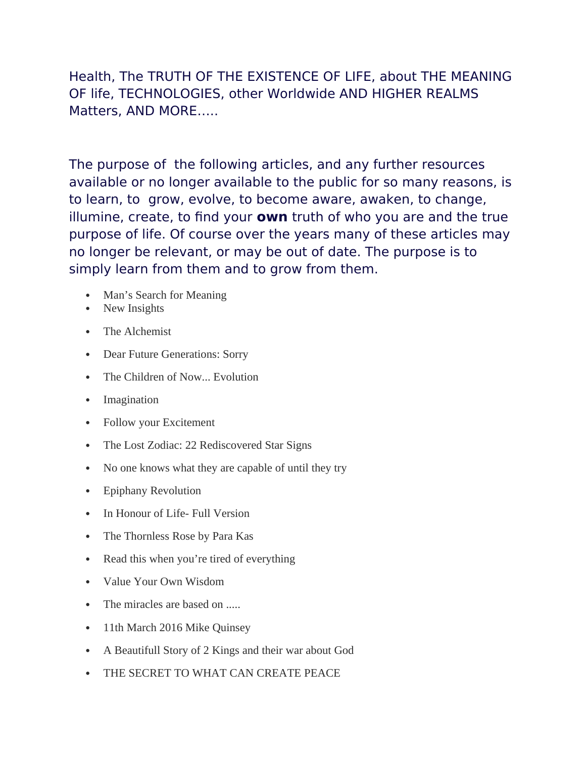Health, The TRUTH OF THE EXISTENCE OF LIFE, about THE MEANING OF life, TECHNOLOGIES, other Worldwide AND HIGHER REALMS Matters, AND MORE…..

The purpose of the following articles, and any further resources available or no longer available to the public for so many reasons, is to learn, to grow, evolve, to become aware, awaken, to change, illumine, create, to fnd your **own** truth of who you are and the true purpose of life. Of course over the years many of these articles may no longer be relevant, or may be out of date. The purpose is to simply learn from them and to grow from them.

- Man's Search for Meaning
- New Insights
- The Alchemist
- Dear Future Generations: Sorry
- The Children of Now... Evolution
- Imagination
- Follow your Excitement
- The Lost Zodiac: 22 Rediscovered Star Signs
- No one knows what they are capable of until they try
- Epiphany Revolution
- In Honour of Life- Full Version
- The Thornless Rose by Para Kas
- Read this when you're tired of everything
- Value Your Own Wisdom
- The miracles are based on .....
- 11th March 2016 Mike Quinsey
- A Beautifull Story of 2 Kings and their war about God
- THE SECRET TO WHAT CAN CREATE PEACE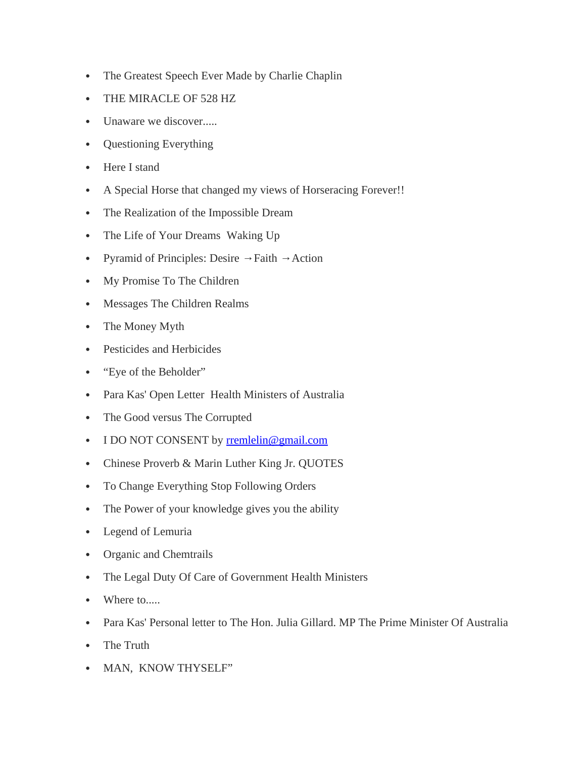- The Greatest Speech Ever Made by Charlie Chaplin
- THE MIRACLE OF 528 HZ
- Unaware we discover.....
- Questioning Everything
- Here I stand
- A Special Horse that changed my views of Horseracing Forever!!
- The Realization of the Impossible Dream
- The Life of Your Dreams Waking Up
- Pyramid of Principles: Desire  $\rightarrow$  Faith  $\rightarrow$  Action
- My Promise To The Children
- Messages The Children Realms
- The Money Myth
- Pesticides and Herbicides
- "Eye of the Beholder"
- Para Kas' Open Letter Health Ministers of Australia
- The Good versus The Corrupted
- I DO NOT CONSENT by [rremlelin@gmail.com](mailto:rremlelin@gmail.com)
- Chinese Proverb & Marin Luther King Jr. QUOTES
- To Change Everything Stop Following Orders
- The Power of your knowledge gives you the ability
- Legend of Lemuria
- Organic and Chemtrails
- The Legal Duty Of Care of Government Health Ministers
- Where to.....
- Para Kas' Personal letter to The Hon. Julia Gillard. MP The Prime Minister Of Australia
- The Truth
- MAN, KNOW THYSELF"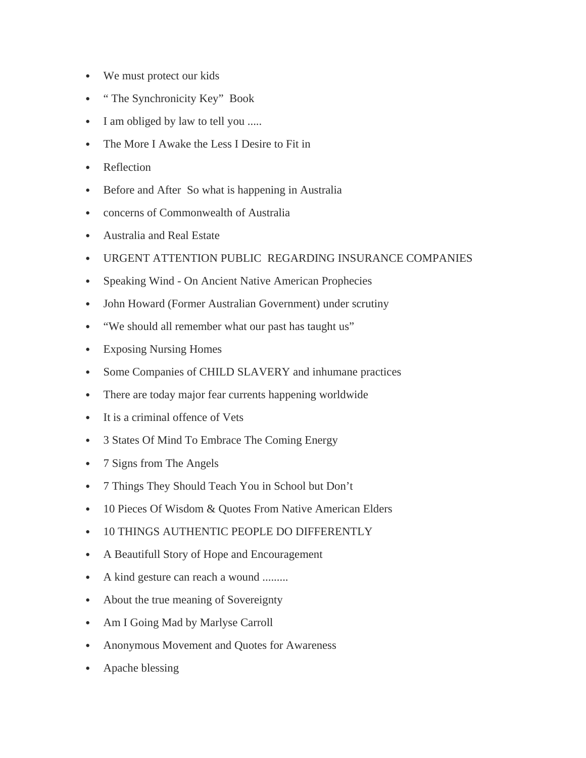- We must protect our kids
- " The Synchronicity Key" Book
- I am obliged by law to tell you .....
- The More I Awake the Less I Desire to Fit in
- Reflection
- Before and After So what is happening in Australia
- concerns of Commonwealth of Australia
- Australia and Real Estate
- URGENT ATTENTION PUBLIC REGARDING INSURANCE COMPANIES
- Speaking Wind On Ancient Native American Prophecies
- John Howard (Former Australian Government) under scrutiny
- "We should all remember what our past has taught us"
- Exposing Nursing Homes
- Some Companies of CHILD SLAVERY and inhumane practices
- There are today major fear currents happening worldwide
- It is a criminal offence of Vets
- 3 States Of Mind To Embrace The Coming Energy
- 7 Signs from The Angels
- 7 Things They Should Teach You in School but Don't
- 10 Pieces Of Wisdom & Quotes From Native American Elders
- 10 THINGS AUTHENTIC PEOPLE DO DIFFERENTLY
- A Beautifull Story of Hope and Encouragement
- A kind gesture can reach a wound .........
- About the true meaning of Sovereignty
- Am I Going Mad by Marlyse Carroll
- Anonymous Movement and Quotes for Awareness
- Apache blessing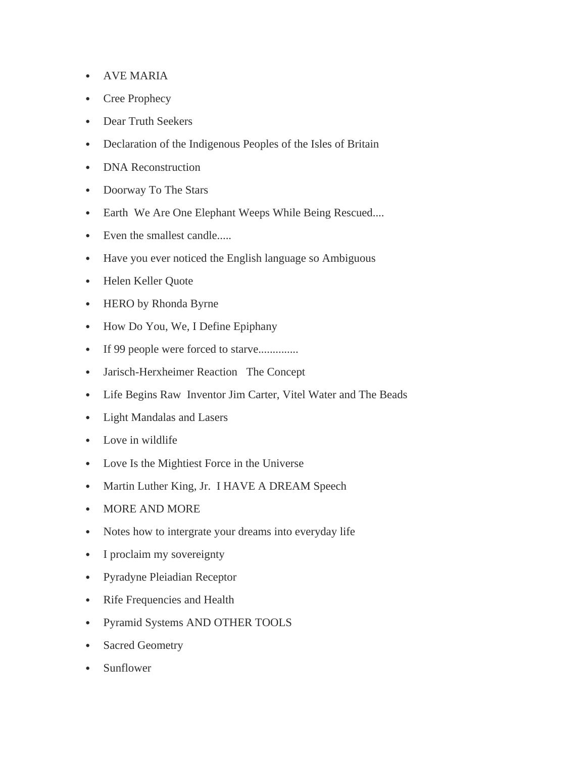- AVE MARIA
- Cree Prophecy
- Dear Truth Seekers
- Declaration of the Indigenous Peoples of the Isles of Britain
- DNA Reconstruction
- Doorway To The Stars
- Earth We Are One Elephant Weeps While Being Rescued....
- Even the smallest candle.....
- Have you ever noticed the English language so Ambiguous
- Helen Keller Quote
- HERO by Rhonda Byrne
- How Do You, We, I Define Epiphany
- If 99 people were forced to starve..............
- Jarisch-Herxheimer Reaction The Concept
- Life Begins Raw Inventor Jim Carter, Vitel Water and The Beads
- Light Mandalas and Lasers
- Love in wildlife
- Love Is the Mightiest Force in the Universe
- Martin Luther King, Jr. I HAVE A DREAM Speech
- MORE AND MORE
- Notes how to intergrate your dreams into everyday life
- I proclaim my sovereignty
- Pyradyne Pleiadian Receptor
- Rife Frequencies and Health
- Pyramid Systems AND OTHER TOOLS
- Sacred Geometry
- Sunflower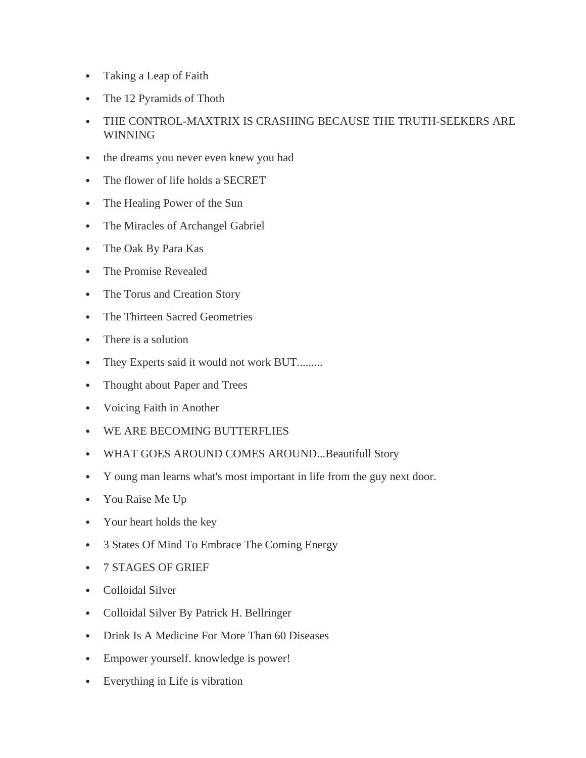- Taking a Leap of Faith
- The 12 Pyramids of Thoth
- THE CONTROL-MAXTRIX IS CRASHING BECAUSE THE TRUTH-SEEKERS ARE **WINNING**
- the dreams you never even knew you had
- The flower of life holds a SECRET
- The Healing Power of the Sun
- The Miracles of Archangel Gabriel
- The Oak By Para Kas
- The Promise Revealed
- The Torus and Creation Story
- The Thirteen Sacred Geometries
- There is a solution
- They Experts said it would not work BUT.........
- Thought about Paper and Trees
- Voicing Faith in Another
- WE ARE BECOMING BUTTERFLIES
- WHAT GOES AROUND COMES AROUND...Beautifull Story
- Y oung man learns what's most important in life from the guy next door.
- You Raise Me Up
- Your heart holds the key
- 3 States Of Mind To Embrace The Coming Energy
- 7 STAGES OF GRIEF
- Colloidal Silver
- Colloidal Silver By Patrick H. Bellringer
- Drink Is A Medicine For More Than 60 Diseases
- Empower yourself. knowledge is power!
- Everything in Life is vibration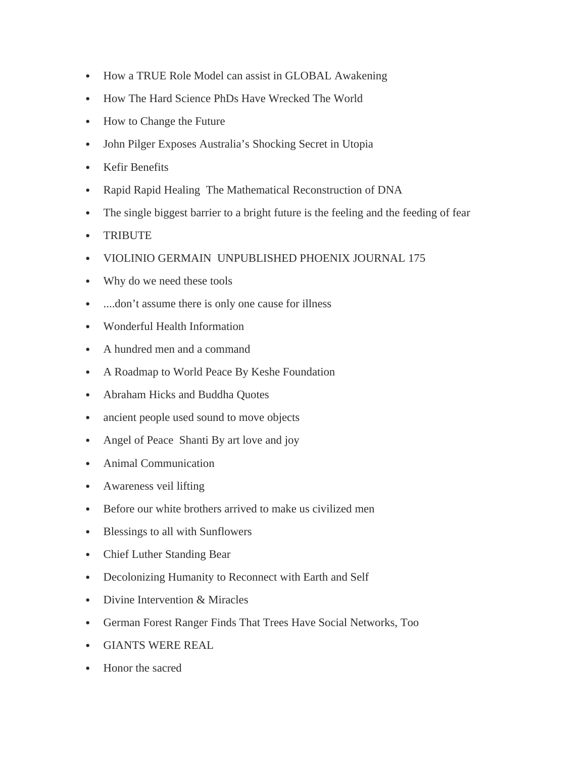- How a TRUE Role Model can assist in GLOBAL Awakening
- How The Hard Science PhDs Have Wrecked The World
- How to Change the Future
- John Pilger Exposes Australia's Shocking Secret in Utopia
- Kefir Benefits
- Rapid Rapid Healing The Mathematical Reconstruction of DNA
- The single biggest barrier to a bright future is the feeling and the feeding of fear
- TRIBUTE
- VIOLINIO GERMAIN UNPUBLISHED PHOENIX JOURNAL 175
- Why do we need these tools
- ....don't assume there is only one cause for illness
- Wonderful Health Information
- A hundred men and a command
- A Roadmap to World Peace By Keshe Foundation
- Abraham Hicks and Buddha Quotes
- ancient people used sound to move objects
- Angel of Peace Shanti By art love and joy
- Animal Communication
- Awareness veil lifting
- Before our white brothers arrived to make us civilized men
- Blessings to all with Sunflowers
- Chief Luther Standing Bear
- Decolonizing Humanity to Reconnect with Earth and Self
- Divine Intervention & Miracles
- German Forest Ranger Finds That Trees Have Social Networks, Too
- GIANTS WERE REAL
- Honor the sacred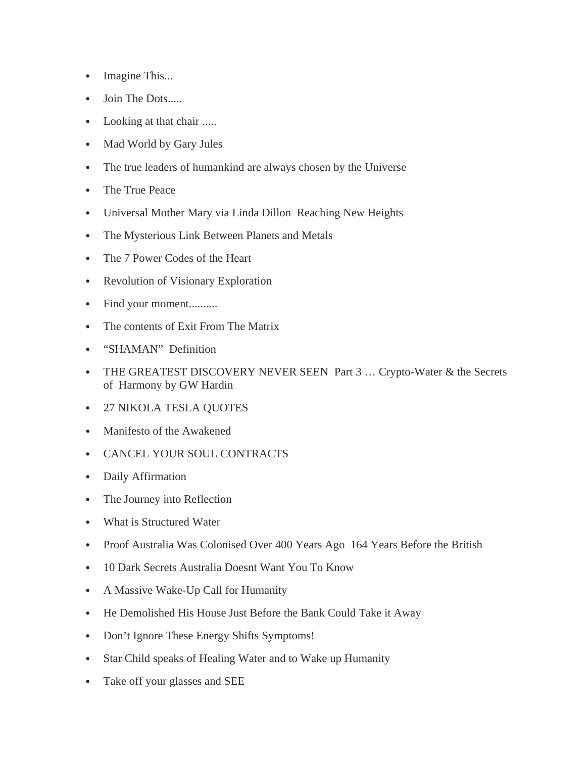- Imagine This...
- Join The Dots.....
- Looking at that chair .....
- Mad World by Gary Jules
- The true leaders of humankind are always chosen by the Universe
- The True Peace
- Universal Mother Mary via Linda Dillon Reaching New Heights
- The Mysterious Link Between Planets and Metals
- The 7 Power Codes of the Heart
- Revolution of Visionary Exploration
- Find your moment..........
- The contents of Exit From The Matrix
- "SHAMAN" Definition
- THE GREATEST DISCOVERY NEVER SEEN Part 3 ... Crypto-Water & the Secrets of Harmony by GW Hardin
- 27 NIKOLA TESLA QUOTES
- Manifesto of the Awakened
- CANCEL YOUR SOUL CONTRACTS
- Daily Affirmation
- The Journey into Reflection
- What is Structured Water
- Proof Australia Was Colonised Over 400 Years Ago 164 Years Before the British
- 10 Dark Secrets Australia Doesnt Want You To Know
- A Massive Wake-Up Call for Humanity
- He Demolished His House Just Before the Bank Could Take it Away
- Don't Ignore These Energy Shifts Symptoms!
- Star Child speaks of Healing Water and to Wake up Humanity
- Take off your glasses and SEE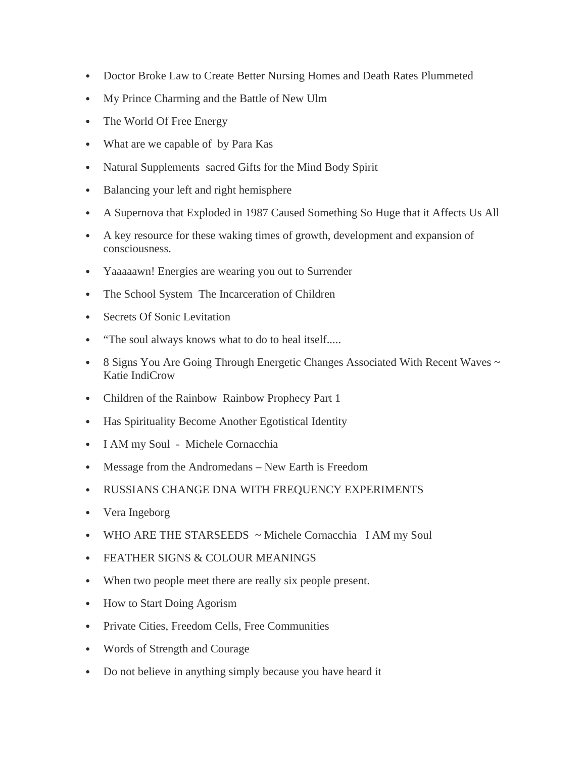- Doctor Broke Law to Create Better Nursing Homes and Death Rates Plummeted
- My Prince Charming and the Battle of New Ulm
- The World Of Free Energy
- What are we capable of by Para Kas
- Natural Supplements sacred Gifts for the Mind Body Spirit
- Balancing your left and right hemisphere
- A Supernova that Exploded in 1987 Caused Something So Huge that it Affects Us All
- A key resource for these waking times of growth, development and expansion of consciousness.
- Yaaaaawn! Energies are wearing you out to Surrender
- The School System The Incarceration of Children
- Secrets Of Sonic Levitation
- "The soul always knows what to do to heal itself.....
- 8 Signs You Are Going Through Energetic Changes Associated With Recent Waves  $\sim$ Katie IndiCrow
- Children of the Rainbow Rainbow Prophecy Part 1
- Has Spirituality Become Another Egotistical Identity
- I AM my Soul Michele Cornacchia
- Message from the Andromedans New Earth is Freedom
- RUSSIANS CHANGE DNA WITH FREQUENCY EXPERIMENTS
- Vera Ingeborg
- WHO ARE THE STARSEEDS  $\sim$  Michele Cornacchia I AM my Soul
- FEATHER SIGNS & COLOUR MEANINGS
- When two people meet there are really six people present.
- How to Start Doing Agorism
- Private Cities, Freedom Cells, Free Communities
- Words of Strength and Courage
- Do not believe in anything simply because you have heard it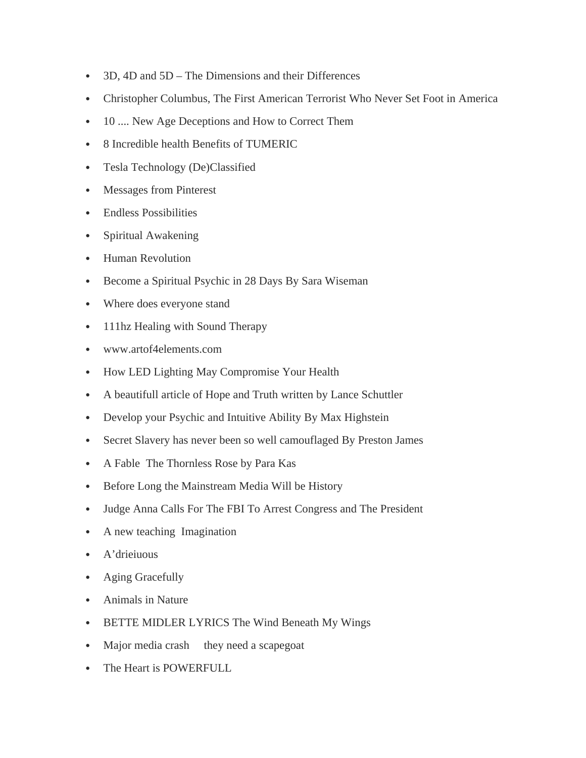- 3D, 4D and 5D The Dimensions and their Differences
- Christopher Columbus, The First American Terrorist Who Never Set Foot in America
- 10 .... New Age Deceptions and How to Correct Them
- 8 Incredible health Benefits of TUMERIC
- Tesla Technology (De)Classified
- Messages from Pinterest
- Endless Possibilities
- Spiritual Awakening
- Human Revolution
- Become a Spiritual Psychic in 28 Days By Sara Wiseman
- Where does everyone stand
- 111hz Healing with Sound Therapy
- www.artof4elements.com
- How LED Lighting May Compromise Your Health
- A beautifull article of Hope and Truth written by Lance Schuttler
- Develop your Psychic and Intuitive Ability By Max Highstein
- Secret Slavery has never been so well camouflaged By Preston James
- A Fable The Thornless Rose by Para Kas
- Before Long the Mainstream Media Will be History
- Judge Anna Calls For The FBI To Arrest Congress and The President
- A new teaching Imagination
- A'drieiuous
- Aging Gracefully
- Animals in Nature
- BETTE MIDLER LYRICS The Wind Beneath My Wings
- Major media crash they need a scapegoat
- The Heart is POWERFULL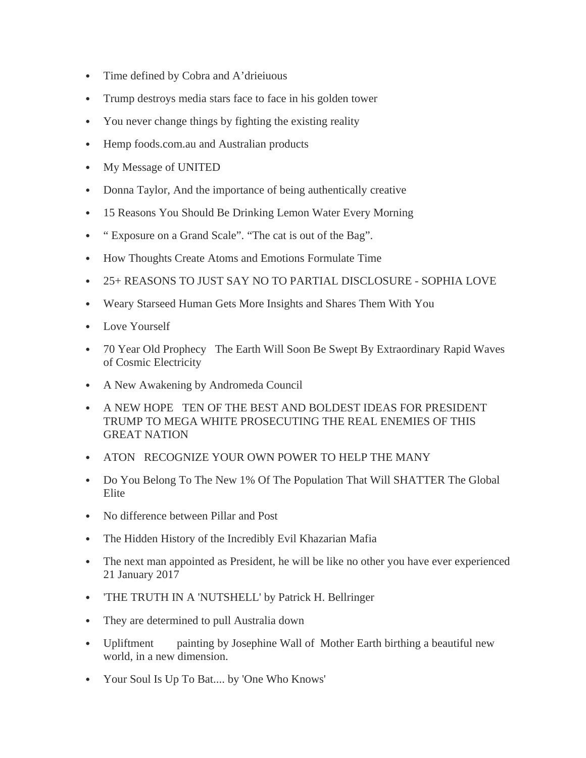- Time defined by Cobra and A'drieiuous
- Trump destroys media stars face to face in his golden tower
- You never change things by fighting the existing reality
- Hemp foods.com.au and Australian products
- My Message of UNITED
- Donna Taylor, And the importance of being authentically creative
- 15 Reasons You Should Be Drinking Lemon Water Every Morning
- " Exposure on a Grand Scale". "The cat is out of the Bag".
- How Thoughts Create Atoms and Emotions Formulate Time
- 25+ REASONS TO JUST SAY NO TO PARTIAL DISCLOSURE SOPHIA LOVE
- Weary Starseed Human Gets More Insights and Shares Them With You
- Love Yourself
- 70 Year Old Prophecy The Earth Will Soon Be Swept By Extraordinary Rapid Waves of Cosmic Electricity
- A New Awakening by Andromeda Council
- A NEW HOPE TEN OF THE BEST AND BOLDEST IDEAS FOR PRESIDENT TRUMP TO MEGA WHITE PROSECUTING THE REAL ENEMIES OF THIS GREAT NATION
- ATON RECOGNIZE YOUR OWN POWER TO HELP THE MANY
- Do You Belong To The New 1% Of The Population That Will SHATTER The Global Elite
- No difference between Pillar and Post
- The Hidden History of the Incredibly Evil Khazarian Mafia
- The next man appointed as President, he will be like no other you have ever experienced 21 January 2017
- 'THE TRUTH IN A 'NUTSHELL' by Patrick H. Bellringer
- They are determined to pull Australia down
- Upliftment painting by Josephine Wall of Mother Earth birthing a beautiful new world, in a new dimension.
- Your Soul Is Up To Bat.... by 'One Who Knows'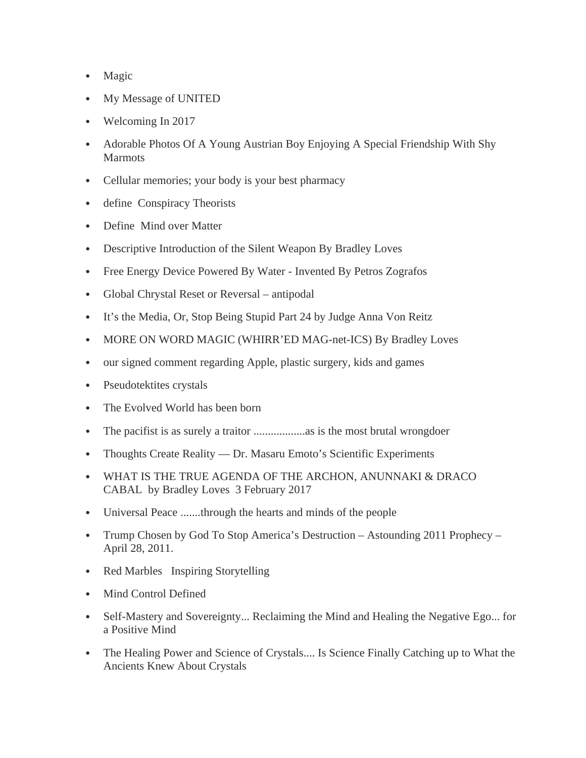- Magic
- My Message of UNITED
- Welcoming In 2017
- Adorable Photos Of A Young Austrian Boy Enjoying A Special Friendship With Shy Marmots
- Cellular memories; your body is your best pharmacy
- define Conspiracy Theorists
- Define Mind over Matter
- Descriptive Introduction of the Silent Weapon By Bradley Loves
- Free Energy Device Powered By Water Invented By Petros Zografos
- Global Chrystal Reset or Reversal antipodal
- It's the Media, Or, Stop Being Stupid Part 24 by Judge Anna Von Reitz
- MORE ON WORD MAGIC (WHIRR'ED MAG-net-ICS) By Bradley Loves
- our signed comment regarding Apple, plastic surgery, kids and games
- Pseudotektites crystals
- The Evolved World has been born
- The pacifist is as surely a traitor ..................as is the most brutal wrongdoer
- Thoughts Create Reality Dr. Masaru Emoto's Scientific Experiments
- WHAT IS THE TRUE AGENDA OF THE ARCHON, ANUNNAKI & DRACO CABAL by Bradley Loves 3 February 2017
- Universal Peace .......through the hearts and minds of the people
- Trump Chosen by God To Stop America's Destruction Astounding 2011 Prophecy April 28, 2011.
- Red Marbles Inspiring Storytelling
- Mind Control Defined
- Self-Mastery and Sovereignty... Reclaiming the Mind and Healing the Negative Ego... for a Positive Mind
- The Healing Power and Science of Crystals.... Is Science Finally Catching up to What the Ancients Knew About Crystals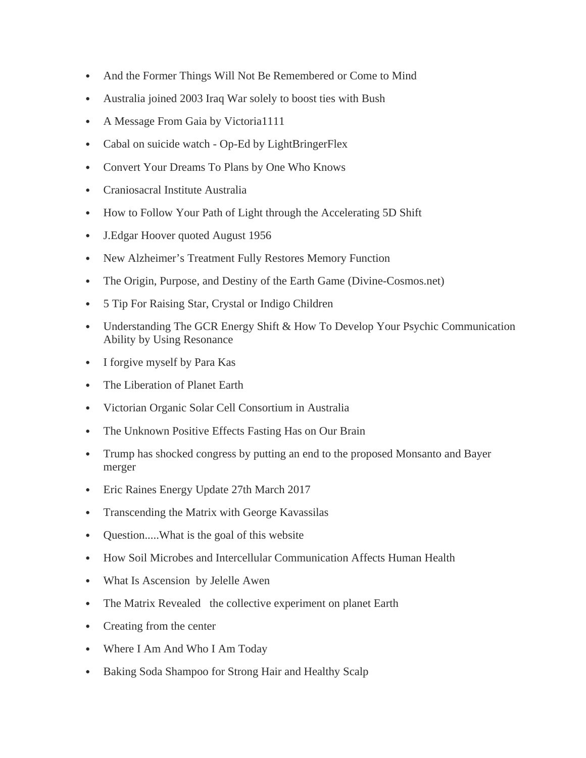- And the Former Things Will Not Be Remembered or Come to Mind
- Australia joined 2003 Iraq War solely to boost ties with Bush
- A Message From Gaia by Victoria1111
- Cabal on suicide watch Op-Ed by LightBringerFlex
- Convert Your Dreams To Plans by One Who Knows
- Craniosacral Institute Australia
- How to Follow Your Path of Light through the Accelerating 5D Shift
- J.Edgar Hoover quoted August 1956
- New Alzheimer's Treatment Fully Restores Memory Function
- The Origin, Purpose, and Destiny of the Earth Game (Divine-Cosmos.net)
- 5 Tip For Raising Star, Crystal or Indigo Children
- Understanding The GCR Energy Shift & How To Develop Your Psychic Communication Ability by Using Resonance
- I forgive myself by Para Kas
- The Liberation of Planet Earth
- Victorian Organic Solar Cell Consortium in Australia
- The Unknown Positive Effects Fasting Has on Our Brain
- Trump has shocked congress by putting an end to the proposed Monsanto and Bayer merger
- Eric Raines Energy Update 27th March 2017
- Transcending the Matrix with George Kavassilas
- Question.....What is the goal of this website
- How Soil Microbes and Intercellular Communication Affects Human Health
- What Is Ascension by Jelelle Awen
- The Matrix Revealed the collective experiment on planet Earth
- Creating from the center
- Where I Am And Who I Am Today
- Baking Soda Shampoo for Strong Hair and Healthy Scalp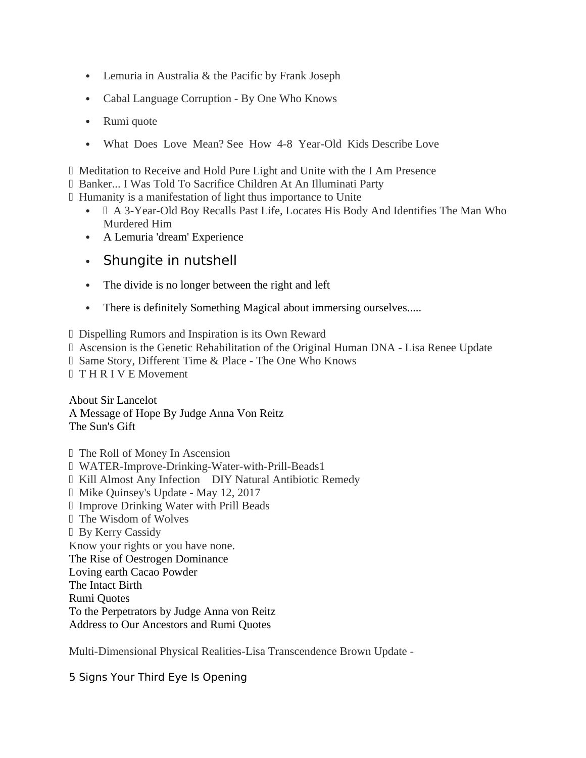- Lemuria in Australia & the Pacific by Frank Joseph
- Cabal Language Corruption By One Who Knows
- Rumi quote
- What Does Love Mean? See How 4-8 Year-Old Kids Describe Love

Meditation to Receive and Hold Pure Light and Unite with the I Am Presence

- Banker... I Was Told To Sacrifice Children At An Illuminati Party
- Humanity is a manifestation of light thus importance to Unite
	- A 3-Year-Old Boy Recalls Past Life, Locates His Body And Identifies The Man Who Murdered Him
	- A Lemuria 'dream' Experience
	- Shungite in nutshell
	- The divide is no longer between the right and left
	- There is definitely Something Magical about immersing ourselves.....
- Dispelling Rumors and Inspiration is its Own Reward
- Ascension is the Genetic Rehabilitation of the Original Human DNA Lisa Renee Update
- Same Story, Different Time & Place The One Who Knows
- T H R I V E Movement

About Sir Lancelot A Message of Hope By Judge Anna Von Reitz The Sun's Gift

- The Roll of Money In Ascension
- WATER-Improve-Drinking-Water-with-Prill-Beads1
- Kill Almost Any Infection DIY Natural Antibiotic Remedy
- Mike Quinsey's Update May 12, 2017
- Improve Drinking Water with Prill Beads
- The Wisdom of Wolves
- By Kerry Cassidy

Know your rights or you have none.

The Rise of Oestrogen Dominance

Loving earth Cacao Powder

The Intact Birth

Rumi Quotes

To the Perpetrators by Judge Anna von Reitz

Address to Our Ancestors and Rumi Quotes

Multi-Dimensional Physical Realities-Lisa Transcendence Brown Update -

5 Signs Your Third Eye Is Opening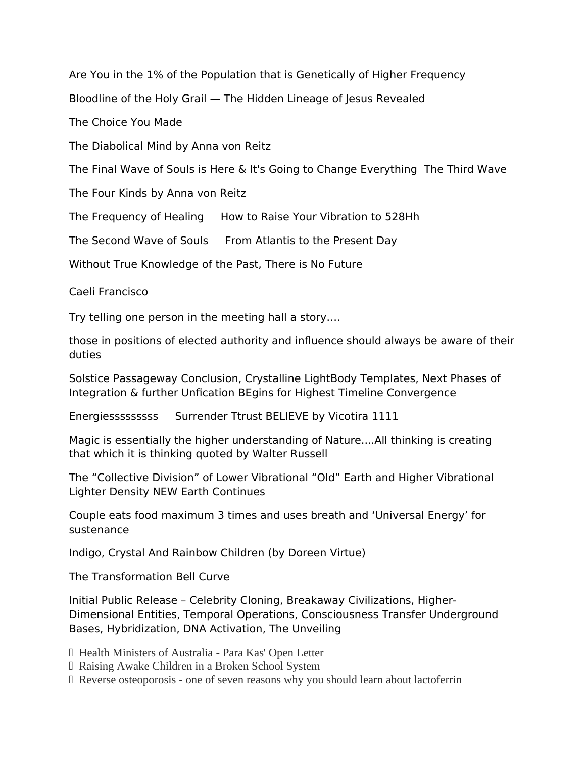Are You in the 1% of the Population that is Genetically of Higher Frequency

Bloodline of the Holy Grail — The Hidden Lineage of Jesus Revealed

The Choice You Made

The Diabolical Mind by Anna von Reitz

The Final Wave of Souls is Here & It's Going to Change Everything The Third Wave

The Four Kinds by Anna von Reitz

The Frequency of Healing How to Raise Your Vibration to 528Hh

The Second Wave of Souls From Atlantis to the Present Day

Without True Knowledge of the Past, There is No Future

Caeli Francisco

Try telling one person in the meeting hall a story….

those in positions of elected authority and infuence should always be aware of their duties

Solstice Passageway Conclusion, Crystalline LightBody Templates, Next Phases of Integration & further Unfcation BEgins for Highest Timeline Convergence

Energiesssssssss Surrender Ttrust BELIEVE by Vicotira 1111

Magic is essentially the higher understanding of Nature....All thinking is creating that which it is thinking quoted by Walter Russell

The "Collective Division" of Lower Vibrational "Old" Earth and Higher Vibrational Lighter Density NEW Earth Continues

Couple eats food maximum 3 times and uses breath and 'Universal Energy' for sustenance

Indigo, Crystal And Rainbow Children (by Doreen Virtue)

The Transformation Bell Curve

Initial Public Release – Celebrity Cloning, Breakaway Civilizations, Higher-Dimensional Entities, Temporal Operations, Consciousness Transfer Underground Bases, Hybridization, DNA Activation, The Unveiling

- Health Ministers of Australia Para Kas' Open Letter
- Raising Awake Children in a Broken School System
- Reverse osteoporosis one of seven reasons why you should learn about lactoferrin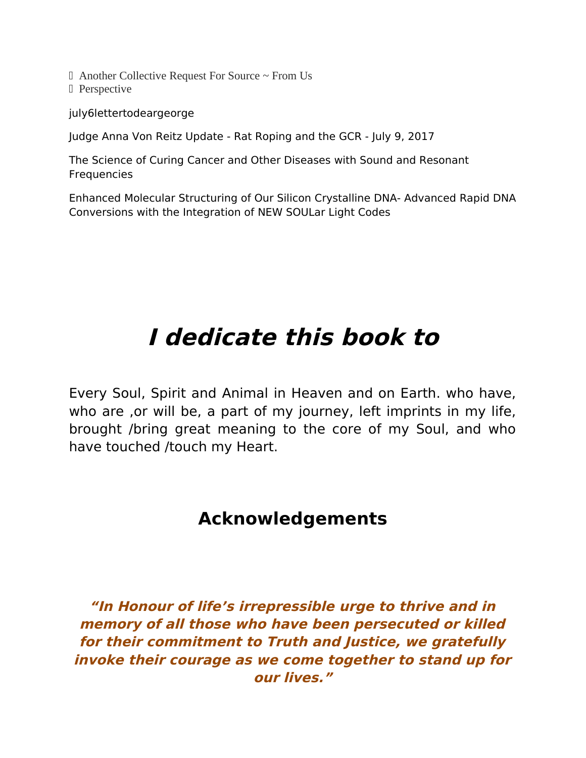$\Box$  Another Collective Request For Source  $\sim$  From Us

D Perspective

july6lettertodeargeorge

Judge Anna Von Reitz Update - Rat Roping and the GCR - July 9, 2017

The Science of Curing Cancer and Other Diseases with Sound and Resonant Frequencies

Enhanced Molecular Structuring of Our Silicon Crystalline DNA- Advanced Rapid DNA Conversions with the Integration of NEW SOULar Light Codes

# **I dedicate this book to**

Every Soul, Spirit and Animal in Heaven and on Earth. who have, who are , or will be, a part of my journey, left imprints in my life, brought /bring great meaning to the core of my Soul, and who have touched /touch my Heart.

# **Acknowledgements**

**"In Honour of life's irrepressible urge to thrive and in memory of all those who have been persecuted or killed for their commitment to Truth and Justice, we gratefully invoke their courage as we come together to stand up for our lives."**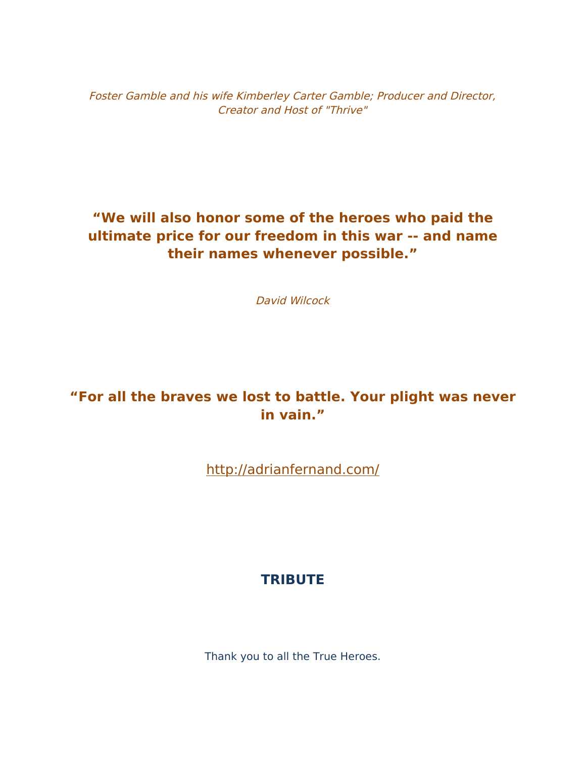Foster Gamble and his wife Kimberley Carter Gamble; Producer and Director, Creator and Host of "Thrive"

# **"We will also honor some of the heroes who paid the ultimate price for our freedom in this war -- and name their names whenever possible."**

David Wilcock

# **"For all the braves we lost to battle. Your plight was never in vain."**

<http://adrianfernand.com/>

## **TRIBUTE**

Thank you to all the True Heroes.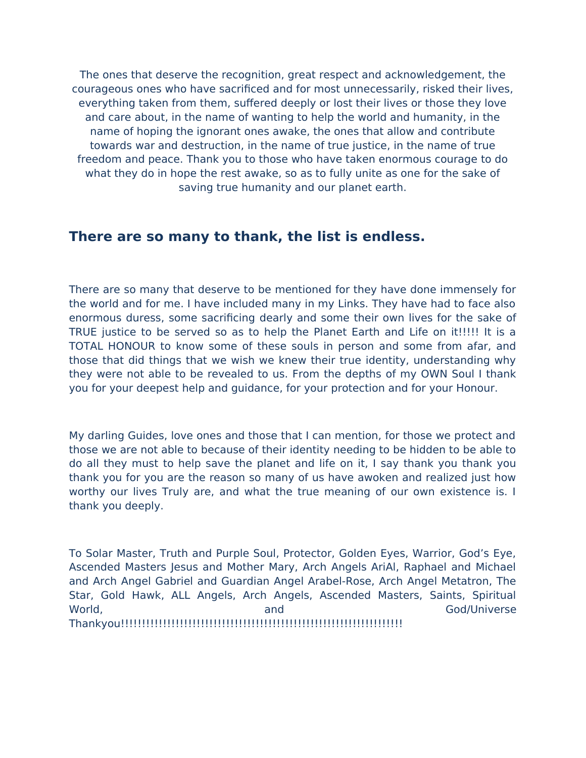The ones that deserve the recognition, great respect and acknowledgement, the courageous ones who have sacrifced and for most unnecessarily, risked their lives, everything taken from them, suffered deeply or lost their lives or those they love and care about, in the name of wanting to help the world and humanity, in the name of hoping the ignorant ones awake, the ones that allow and contribute towards war and destruction, in the name of true justice, in the name of true freedom and peace. Thank you to those who have taken enormous courage to do what they do in hope the rest awake, so as to fully unite as one for the sake of saving true humanity and our planet earth.

### **There are so many to thank, the list is endless.**

There are so many that deserve to be mentioned for they have done immensely for the world and for me. I have included many in my Links. They have had to face also enormous duress, some sacrificing dearly and some their own lives for the sake of TRUE justice to be served so as to help the Planet Earth and Life on it!!!!! It is a TOTAL HONOUR to know some of these souls in person and some from afar, and those that did things that we wish we knew their true identity, understanding why they were not able to be revealed to us. From the depths of my OWN Soul I thank you for your deepest help and guidance, for your protection and for your Honour.

My darling Guides, love ones and those that I can mention, for those we protect and those we are not able to because of their identity needing to be hidden to be able to do all they must to help save the planet and life on it, I say thank you thank you thank you for you are the reason so many of us have awoken and realized just how worthy our lives Truly are, and what the true meaning of our own existence is. I thank you deeply.

To Solar Master, Truth and Purple Soul, Protector, Golden Eyes, Warrior, God's Eye, Ascended Masters Jesus and Mother Mary, Arch Angels AriAl, Raphael and Michael and Arch Angel Gabriel and Guardian Angel Arabel-Rose, Arch Angel Metatron, The Star, Gold Hawk, ALL Angels, Arch Angels, Ascended Masters, Saints, Spiritual World, and God/Universe Thankyou!!!!!!!!!!!!!!!!!!!!!!!!!!!!!!!!!!!!!!!!!!!!!!!!!!!!!!!!!!!!!!!!!!!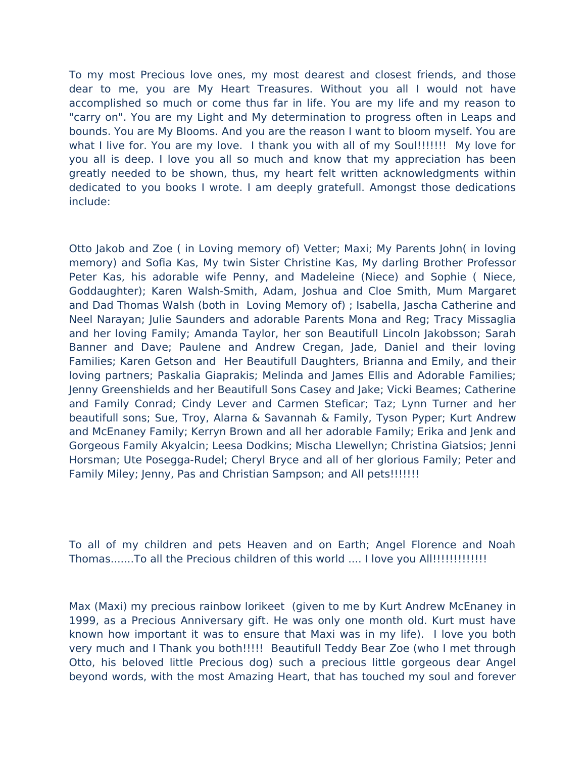To my most Precious love ones, my most dearest and closest friends, and those dear to me, you are My Heart Treasures. Without you all I would not have accomplished so much or come thus far in life. You are my life and my reason to "carry on". You are my Light and My determination to progress often in Leaps and bounds. You are My Blooms. And you are the reason I want to bloom myself. You are what I live for. You are my love. I thank you with all of my Soul!!!!!!!! My love for you all is deep. I love you all so much and know that my appreciation has been greatly needed to be shown, thus, my heart felt written acknowledgments within dedicated to you books I wrote. I am deeply gratefull. Amongst those dedications include:

Otto Jakob and Zoe ( in Loving memory of) Vetter; Maxi; My Parents John( in loving memory) and Sofia Kas, My twin Sister Christine Kas, My darling Brother Professor Peter Kas, his adorable wife Penny, and Madeleine (Niece) and Sophie ( Niece, Goddaughter); Karen Walsh-Smith, Adam, Joshua and Cloe Smith, Mum Margaret and Dad Thomas Walsh (both in Loving Memory of) ; Isabella, Jascha Catherine and Neel Narayan; Julie Saunders and adorable Parents Mona and Reg; Tracy Missaglia and her loving Family; Amanda Taylor, her son Beautifull Lincoln Jakobsson; Sarah Banner and Dave; Paulene and Andrew Cregan, Jade, Daniel and their loving Families; Karen Getson and Her Beautifull Daughters, Brianna and Emily, and their loving partners; Paskalia Giaprakis; Melinda and James Ellis and Adorable Families; Jenny Greenshields and her Beautifull Sons Casey and Jake; Vicki Beames; Catherine and Family Conrad; Cindy Lever and Carmen Steficar; Taz; Lynn Turner and her beautifull sons; Sue, Troy, Alarna & Savannah & Family, Tyson Pyper; Kurt Andrew and McEnaney Family; Kerryn Brown and all her adorable Family; Erika and Jenk and Gorgeous Family Akyalcin; Leesa Dodkins; Mischa Llewellyn; Christina Giatsios; Jenni Horsman; Ute Posegga-Rudel; Cheryl Bryce and all of her glorious Family; Peter and Family Miley; Jenny, Pas and Christian Sampson; and All pets!!!!!!!!

To all of my children and pets Heaven and on Earth; Angel Florence and Noah Thomas.......To all the Precious children of this world .... I love you All!!!!!!!!!!!!!

Max (Maxi) my precious rainbow lorikeet (given to me by Kurt Andrew McEnaney in 1999, as a Precious Anniversary gift. He was only one month old. Kurt must have known how important it was to ensure that Maxi was in my life). I love you both very much and I Thank you both!!!!! Beautifull Teddy Bear Zoe (who I met through Otto, his beloved little Precious dog) such a precious little gorgeous dear Angel beyond words, with the most Amazing Heart, that has touched my soul and forever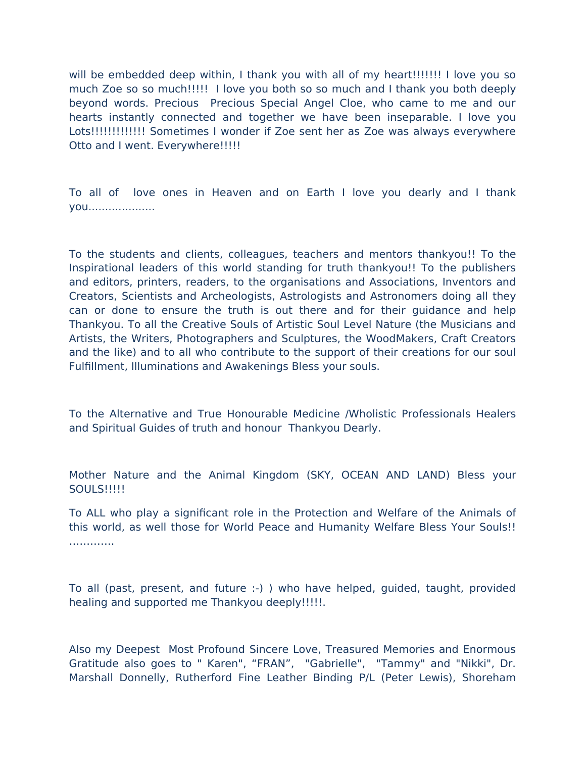will be embedded deep within, I thank you with all of my heart!!!!!!!! I love you so much Zoe so so much!!!!! I love you both so so much and I thank you both deeply beyond words. Precious Precious Special Angel Cloe, who came to me and our hearts instantly connected and together we have been inseparable. I love you Lots!!!!!!!!!!!!!!! Sometimes I wonder if Zoe sent her as Zoe was always everywhere Otto and I went. Everywhere!!!!!

To all of love ones in Heaven and on Earth I love you dearly and I thank you....................

To the students and clients, colleagues, teachers and mentors thankyou!! To the Inspirational leaders of this world standing for truth thankyou!! To the publishers and editors, printers, readers, to the organisations and Associations, Inventors and Creators, Scientists and Archeologists, Astrologists and Astronomers doing all they can or done to ensure the truth is out there and for their guidance and help Thankyou. To all the Creative Souls of Artistic Soul Level Nature (the Musicians and Artists, the Writers, Photographers and Sculptures, the WoodMakers, Craft Creators and the like) and to all who contribute to the support of their creations for our soul Fulfllment, Illuminations and Awakenings Bless your souls.

To the Alternative and True Honourable Medicine /Wholistic Professionals Healers and Spiritual Guides of truth and honour Thankyou Dearly.

Mother Nature and the Animal Kingdom (SKY, OCEAN AND LAND) Bless your **SOULS!!!!!!** 

To ALL who play a signifcant role in the Protection and Welfare of the Animals of this world, as well those for World Peace and Humanity Welfare Bless Your Souls!! ………….

To all (past, present, and future :-) ) who have helped, guided, taught, provided healing and supported me Thankyou deeply!!!!!.

Also my Deepest Most Profound Sincere Love, Treasured Memories and Enormous Gratitude also goes to " Karen", "FRAN", "Gabrielle", "Tammy" and "Nikki", Dr. Marshall Donnelly, Rutherford Fine Leather Binding P/L (Peter Lewis), Shoreham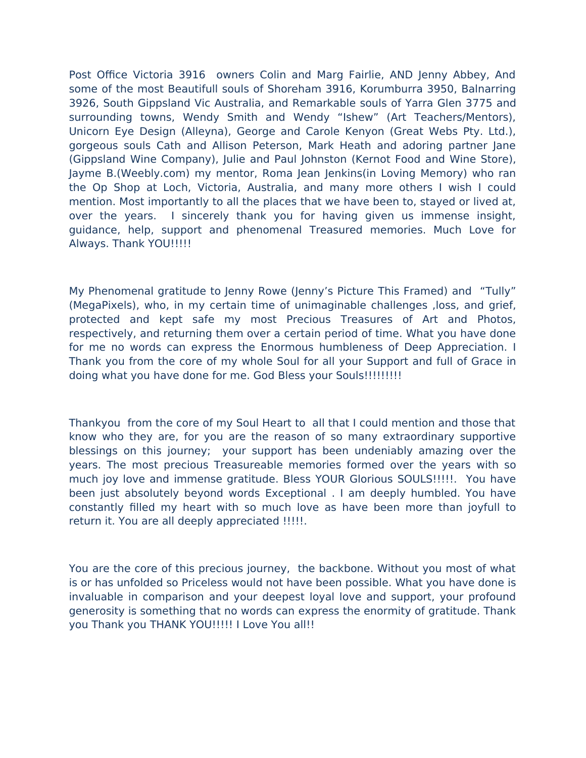Post Office Victoria 3916 owners Colin and Marg Fairlie, AND Jenny Abbey, And some of the most Beautifull souls of Shoreham 3916, Korumburra 3950, Balnarring 3926, South Gippsland Vic Australia, and Remarkable souls of Yarra Glen 3775 and surrounding towns, Wendy Smith and Wendy "Ishew" (Art Teachers/Mentors), Unicorn Eye Design (Alleyna), George and Carole Kenyon (Great Webs Pty. Ltd.), gorgeous souls Cath and Allison Peterson, Mark Heath and adoring partner Jane (Gippsland Wine Company), Julie and Paul Johnston (Kernot Food and Wine Store), Jayme B.(Weebly.com) my mentor, Roma Jean Jenkins(in Loving Memory) who ran the Op Shop at Loch, Victoria, Australia, and many more others I wish I could mention. Most importantly to all the places that we have been to, stayed or lived at, over the years. I sincerely thank you for having given us immense insight, guidance, help, support and phenomenal Treasured memories. Much Love for Always. Thank YOU!!!!!

My Phenomenal gratitude to Jenny Rowe (Jenny's Picture This Framed) and "Tully" (MegaPixels), who, in my certain time of unimaginable challenges ,loss, and grief, protected and kept safe my most Precious Treasures of Art and Photos, respectively, and returning them over a certain period of time. What you have done for me no words can express the Enormous humbleness of Deep Appreciation. I Thank you from the core of my whole Soul for all your Support and full of Grace in doing what you have done for me. God Bless your Souls!!!!!!!!!!

Thankyou from the core of my Soul Heart to all that I could mention and those that know who they are, for you are the reason of so many extraordinary supportive blessings on this journey; your support has been undeniably amazing over the years. The most precious Treasureable memories formed over the years with so much joy love and immense gratitude. Bless YOUR Glorious SOULS!!!!!. You have been just absolutely beyond words Exceptional . I am deeply humbled. You have constantly flled my heart with so much love as have been more than joyfull to return it. You are all deeply appreciated !!!!!.

You are the core of this precious journey, the backbone. Without you most of what is or has unfolded so Priceless would not have been possible. What you have done is invaluable in comparison and your deepest loyal love and support, your profound generosity is something that no words can express the enormity of gratitude. Thank you Thank you THANK YOU!!!!! I Love You all!!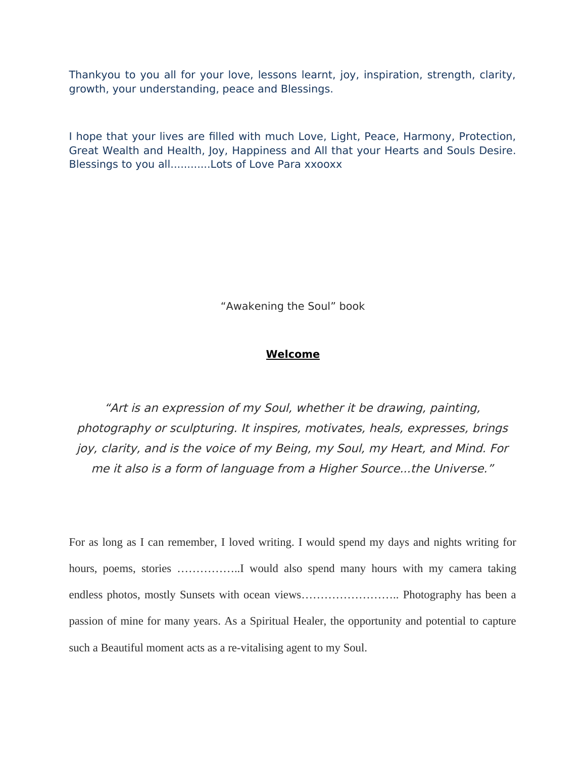Thankyou to you all for your love, lessons learnt, joy, inspiration, strength, clarity, growth, your understanding, peace and Blessings.

I hope that your lives are flled with much Love, Light, Peace, Harmony, Protection, Great Wealth and Health, Joy, Happiness and All that your Hearts and Souls Desire. Blessings to you all............Lots of Love Para xxooxx

"Awakening the Soul" book

### **Welcome**

"Art is an expression of my Soul, whether it be drawing, painting, photography or sculpturing. It inspires, motivates, heals, expresses, brings joy, clarity, and is the voice of my Being, my Soul, my Heart, and Mind. For me it also is a form of language from a Higher Source...the Universe."

For as long as I can remember, I loved writing. I would spend my days and nights writing for hours, poems, stories ..................I would also spend many hours with my camera taking endless photos, mostly Sunsets with ocean views................................. Photography has been a passion of mine for many years. As a Spiritual Healer, the opportunity and potential to capture such a Beautiful moment acts as a re-vitalising agent to my Soul.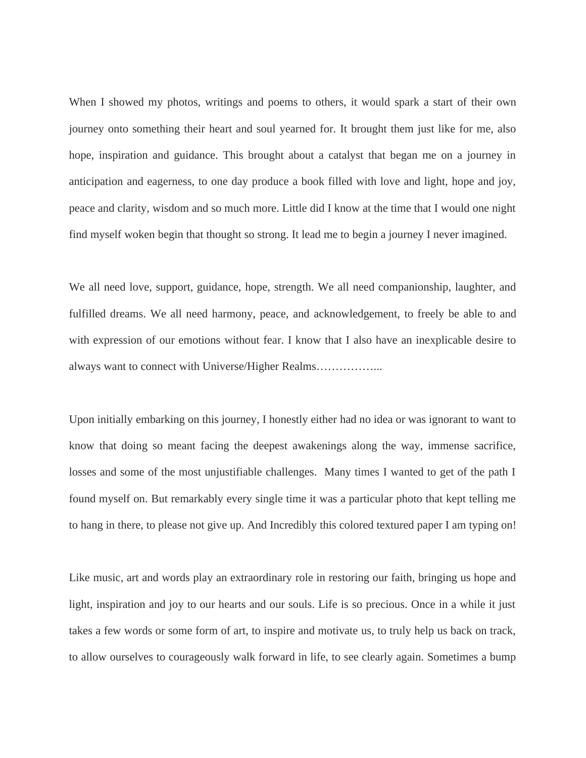When I showed my photos, writings and poems to others, it would spark a start of their own journey onto something their heart and soul yearned for. It brought them just like for me, also hope, inspiration and guidance. This brought about a catalyst that began me on a journey in anticipation and eagerness, to one day produce a book filled with love and light, hope and joy, peace and clarity, wisdom and so much more. Little did I know at the time that I would one night find myself woken begin that thought so strong. It lead me to begin a journey I never imagined.

We all need love, support, guidance, hope, strength. We all need companionship, laughter, and fulfilled dreams. We all need harmony, peace, and acknowledgement, to freely be able to and with expression of our emotions without fear. I know that I also have an inexplicable desire to always want to connect with Universe/Higher Realms……………...

Upon initially embarking on this journey, I honestly either had no idea or was ignorant to want to know that doing so meant facing the deepest awakenings along the way, immense sacrifice, losses and some of the most unjustifiable challenges. Many times I wanted to get of the path I found myself on. But remarkably every single time it was a particular photo that kept telling me to hang in there, to please not give up. And Incredibly this colored textured paper I am typing on!

Like music, art and words play an extraordinary role in restoring our faith, bringing us hope and light, inspiration and joy to our hearts and our souls. Life is so precious. Once in a while it just takes a few words or some form of art, to inspire and motivate us, to truly help us back on track, to allow ourselves to courageously walk forward in life, to see clearly again. Sometimes a bump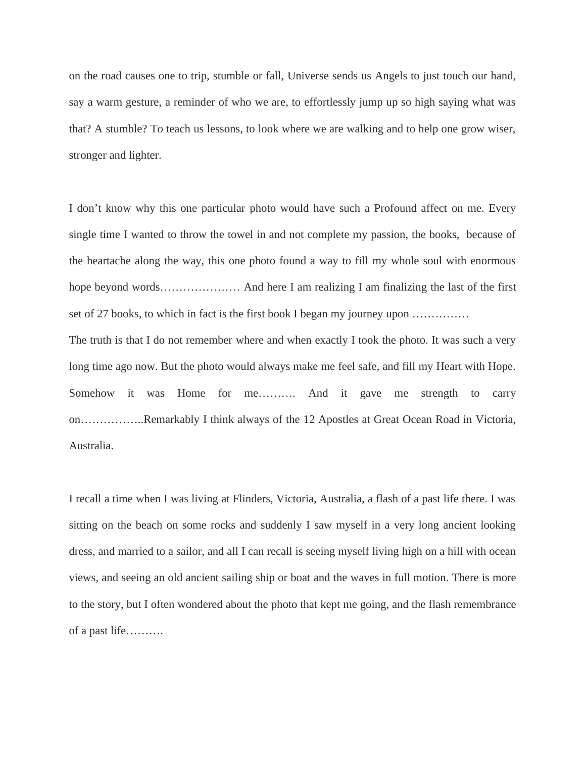on the road causes one to trip, stumble or fall, Universe sends us Angels to just touch our hand, say a warm gesture, a reminder of who we are, to effortlessly jump up so high saying what was that? A stumble? To teach us lessons, to look where we are walking and to help one grow wiser, stronger and lighter.

I don't know why this one particular photo would have such a Profound affect on me. Every single time I wanted to throw the towel in and not complete my passion, the books, because of the heartache along the way, this one photo found a way to fill my whole soul with enormous hope beyond words………………… And here I am realizing I am finalizing the last of the first set of 27 books, to which in fact is the first book I began my journey upon ……………

The truth is that I do not remember where and when exactly I took the photo. It was such a very long time ago now. But the photo would always make me feel safe, and fill my Heart with Hope. Somehow it was Home for me………. And it gave me strength to carry on……………..Remarkably I think always of the 12 Apostles at Great Ocean Road in Victoria, Australia.

I recall a time when I was living at Flinders, Victoria, Australia, a flash of a past life there. I was sitting on the beach on some rocks and suddenly I saw myself in a very long ancient looking dress, and married to a sailor, and all I can recall is seeing myself living high on a hill with ocean views, and seeing an old ancient sailing ship or boat and the waves in full motion. There is more to the story, but I often wondered about the photo that kept me going, and the flash remembrance of a past life……….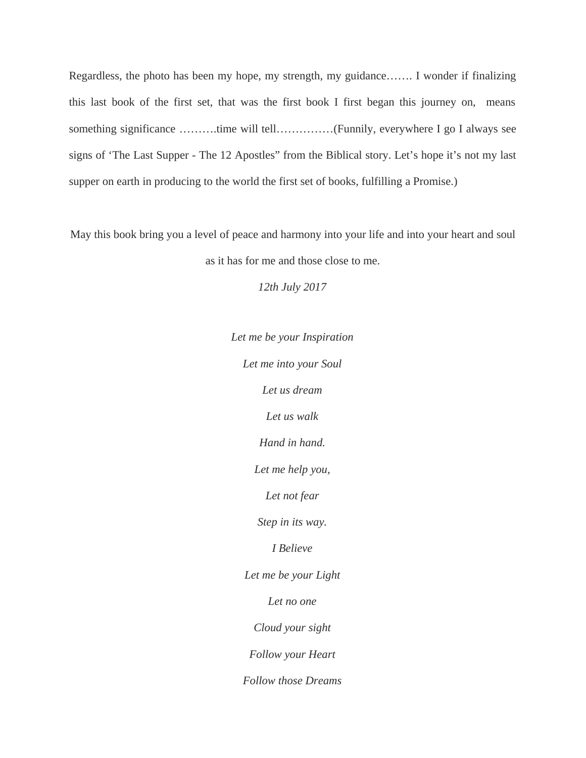Regardless, the photo has been my hope, my strength, my guidance……. I wonder if finalizing this last book of the first set, that was the first book I first began this journey on, means something significance ……….time will tell……………(Funnily, everywhere I go I always see signs of 'The Last Supper - The 12 Apostles" from the Biblical story. Let's hope it's not my last supper on earth in producing to the world the first set of books, fulfilling a Promise.)

May this book bring you a level of peace and harmony into your life and into your heart and soul as it has for me and those close to me.

*12th July 2017*

*Let me be your Inspiration Let me into your Soul Let us dream Let us walk Hand in hand. Let me help you, Let not fear Step in its way. I Believe Let me be your Light Let no one Cloud your sight Follow your Heart Follow those Dreams*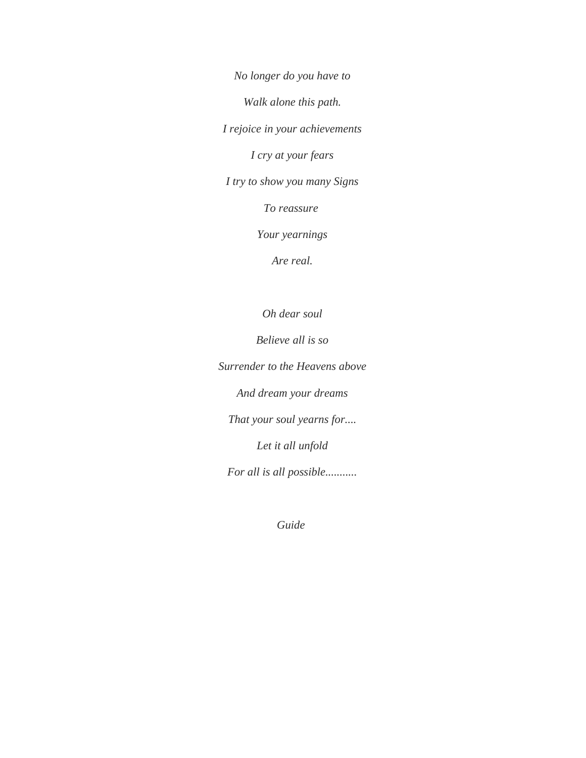*No longer do you have to*

*Walk alone this path.*

*I rejoice in your achievements*

*I cry at your fears*

*I try to show you many Signs*

*To reassure* 

*Your yearnings*

*Are real.*

*Oh dear soul*

*Believe all is so*

*Surrender to the Heavens above*

*And dream your dreams*

*That your soul yearns for....*

*Let it all unfold*

*For all is all possible...........*

*Guide*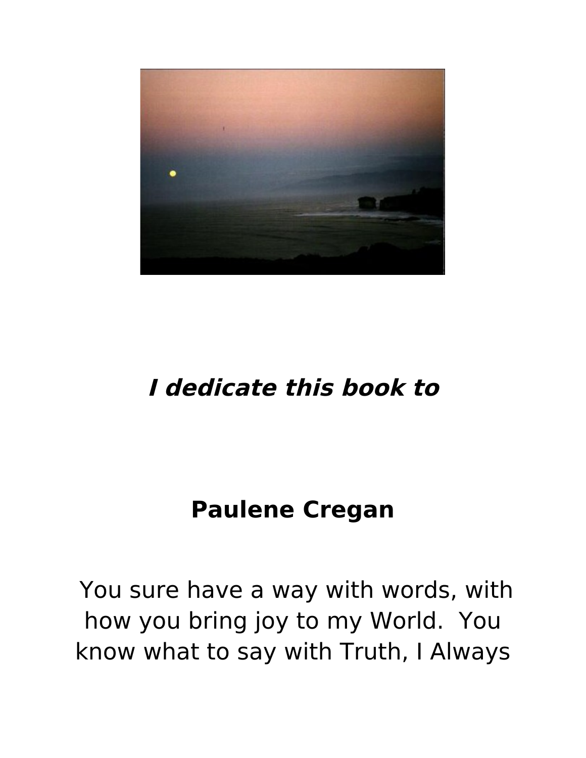

# **I dedicate this book to**

# **Paulene Cregan**

You sure have a way with words, with how you bring joy to my World. You know what to say with Truth, I Always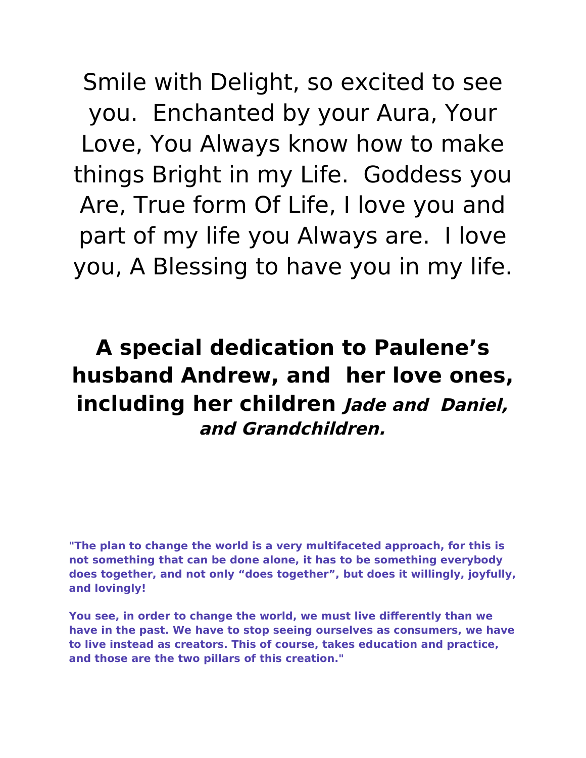Smile with Delight, so excited to see you. Enchanted by your Aura, Your Love, You Always know how to make things Bright in my Life. Goddess you Are, True form Of Life, I love you and part of my life you Always are. I love you, A Blessing to have you in my life.

## **A special dedication to Paulene's husband Andrew, and her love ones, including her children Jade and Daniel, and Grandchildren.**

**"The plan to change the world is a very multifaceted approach, for this is not something that can be done alone, it has to be something everybody does together, and not only "does together", but does it willingly, joyfully, and lovingly!**

**You see, in order to change the world, we must live diferently than we have in the past. We have to stop seeing ourselves as consumers, we have to live instead as creators. This of course, takes education and practice, and those are the two pillars of this creation."**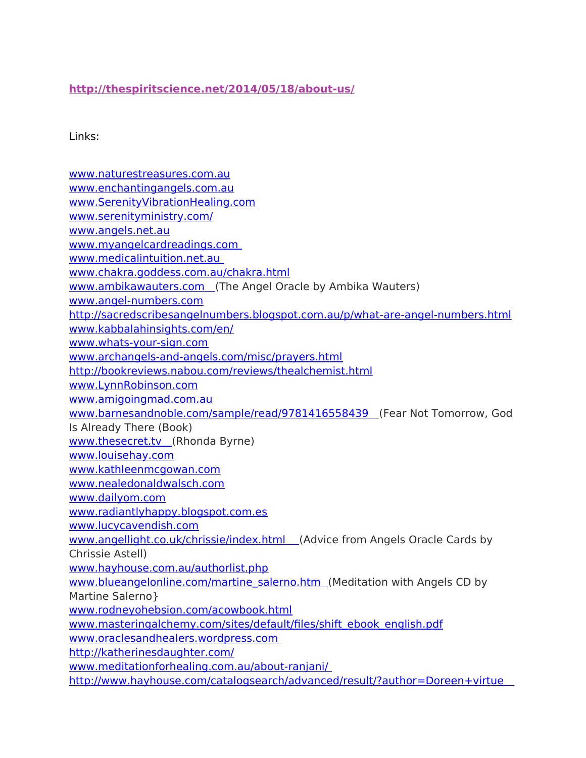### **<http://thespiritscience.net/2014/05/18/about-us/>**

### Links:

[www.naturestreasures.com.au](http://www.naturestreasures.com.au/) [www.enchantingangels.com.au](http://www.enchantingangels.com.au/) [www.SerenityVibrationHealing.com](http://www.SerenityVibrationHealing.com/) [www.serenityministry.com/](http://www.serenityministry.com/) [www.angels.net.au](http://www.angels.net.au/) [www.myangelcardreadings.com](http://www.myangelcardreadings.com/)  [www.medicalintuition.net.au](http://www.medicalintuition.net.au/)  [www.chakra.goddess.com.au/chakra.html](http://www.chakra.goddess.com.au/chakra.html)  [www.ambikawauters.com](http://www.ambikawauters.com/) (The Angel Oracle by Ambika Wauters) [www.angel-numbers.com](http://www.angel-numbers.com/) <http://sacredscribesangelnumbers.blogspot.com.au/p/what-are-angel-numbers.html> [www.kabbalahinsights.com/en/](http://www.kabbalahinsights.com/en/) [www.whats-your-sign.com](http://www.whats-your-sign.com/) [www.archangels-and-angels.com/misc/prayers.html](http://www.archangels-and-angels.com/misc/prayers.html) <http://bookreviews.nabou.com/reviews/thealchemist.html> [www.LynnRobinson.com](http://www.LynnRobinson.com/) [www.amigoingmad.com.au](http://www.amigoingmad.com.au/)  [www.barnesandnoble.com/sample/read/9781416558439](http://www.barnesandnoble.com/sample/read/9781416558439) (Fear Not Tomorrow, God Is Already There (Book) www.thesecret.tv (Rhonda Byrne) [www.louisehay.com](http://www.louisehay.com/) [www.kathleenmcgowan.com](http://www.kathleenmcgowan.com/) [www.nealedonaldwalsch.com](http://www.nealedonaldwalsch.com/) [www.dailyom.com](http://www.dailyom.com/) [www.radiantlyhappy.blogspot.com.es](http://www.radiantlyhappy.blogspot.com.es/) [www.lucycavendish.com](http://www.lucycavendish.com/)  [www.angellight.co.uk/chrissie/index.html](http://www.angellight.co.uk/chrissie/index.html) (Advice from Angels Oracle Cards by Chrissie Astell) [www.hayhouse.com.au/authorlist.php](http://www.hayhouse.com.au/authorlist.php) www.blueangelonline.com/martine\_salerno.htm (Meditation with Angels CD by Martine Salerno} [www.rodneyohebsion.com/acowbook.html](http://www.rodneyohebsion.com/acowbook.html) [www.masteringalchemy.com/sites/default/fles/shift\\_ebook\\_english.pdf](http://www.masteringalchemy.com/sites/default/files/shift_ebook_english.pdf) [www.oraclesandhealers.wordpress.com](http://oraclesandhealers.wordpress.com/)  <http://katherinesdaughter.com/> [www.meditationforhealing.com.au/about-ranjani/](http://www.meditationforhealing.com.au/about-ranjani/)  <http://www.hayhouse.com/catalogsearch/advanced/result/?author=Doreen+virtue>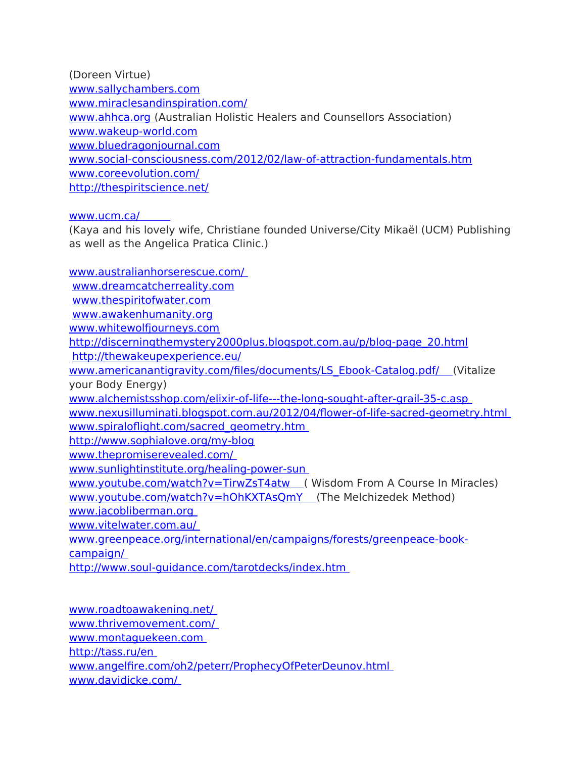[\(](http://www.hayhouse.com/catalogsearch/advanced/result/?author=Doreen+virtue)Doreen Virtue) [www.sallychambers.com](http://www.sallychambers.com/) [www.miraclesandinspiration.com/](http://www.miraclesandinspiration.com/) [www.ahhca.org \(](http://www.ahhca.org/)Australian Holistic Healers and Counsellors Association) [www.wakeup-world.com](http://www.wakeup-world.com/) [www.bluedragonjournal.com](http://www.bluedragonjournal.com/) [www.social-consciousness.com/2012/02/law-of-attraction-fundamentals.htm](http://www.social-consciousness.com/2012/02/law-of-attraction-fundamentals.htm) [www.coreevolution.com/](http://www.coreevolution.com/) <http://thespiritscience.net/>

### [www.ucm.ca/](http://www.ucm.ca/)

(Kaya and his lovely wife, Christiane founded Universe/City Mikaël (UCM) Publishing as well as the Angelica Pratica Clinic.)

[www.australianhorserescue.com/](http://www.australianhorserescue.com/)  [www.dreamcatcherreality.com](http://www.dreamcatcherreality.com/) [www.thespiritofwater.com](http://www.thespiritofwater.com/) [www.awakenhumanity.org](http://www.awakenhumanity.org/) [www.whitewolfjourneys.com](http://www.whitewolfjourneys.com/) [http://discerningthemystery2000plus.blogspot.com.au/p/blog-page\\_20.html](http://discerningthemystery2000plus.blogspot.com.au/p/blog-page_20.html) <http://thewakeupexperience.eu/>  [www.americanantigravity.com/fles/documents/LS\\_Ebook-Catalog.pdf/](http://www.americanantigravity.com/files/documents/LS_Ebook-Catalog.pdf%20) (Vitalize your Body Energy) [www.alchemistsshop.com/elixir-of-life---the-long-sought-after-grail-35-c.asp](http://www.alchemistsshop.com/elixir-of-life---the-long-sought-after-grail-35-c.asp)  [www.nexusilluminati.blogspot.com.au/2012/04/fower-of-life-sacred-geometry.html](http://www.nexusilluminati.blogspot.com.au/2012/04/flower-of-life-sacred-geometry.html)  [www.spiralofight.com/sacred\\_geometry.htm](http://www.spiraloflight.com/sacred_geometry.htm)  <http://www.sophialove.org/my-blog> [www.thepromiserevealed.com/](http://www.thepromiserevealed.com/)  [www.sunlightinstitute.org/healing-power-sun](http://www.sunlightinstitute.org/healing-power-sun%20)  www.youtube.com/watch?v=TirwZsT4atw (Wisdom From A Course In Miracles)  [www.youtube.com/watch?v=hOhKXTAsQmY](http://www.youtube.com/watch?v=hOhKXTAsQmY) (The Melchizedek Method) [www.jacobliberman.org](http://www.jacobliberman.org/)  [www.vitelwater.com.au/](http://www.vitelwater.com.au/)  [www.greenpeace.org/international/en/campaigns/forests/greenpeace-book](http://www.greenpeace.org/international/en/campaigns/forests/greenpeace-book-campaign/)[campaign/](http://www.greenpeace.org/international/en/campaigns/forests/greenpeace-book-campaign/) 

<http://www.soul-guidance.com/tarotdecks/index.htm>

[www.roadtoawakening.net/](http://www.roadtoawakening.net/)  [www.thrivemovement.com/](http://www.thrivemovement.com/)  [www.montaguekeen.com](http://www.montaguekeen.com/)  <http://tass.ru/en> [www.angelfre.com/oh2/peterr/ProphecyOfPeterDeunov.html](http://www.angelfire.com/oh2/peterr/ProphecyOfPeterDeunov.html)  [www.davidicke.com/](http://www.davidicke.com/)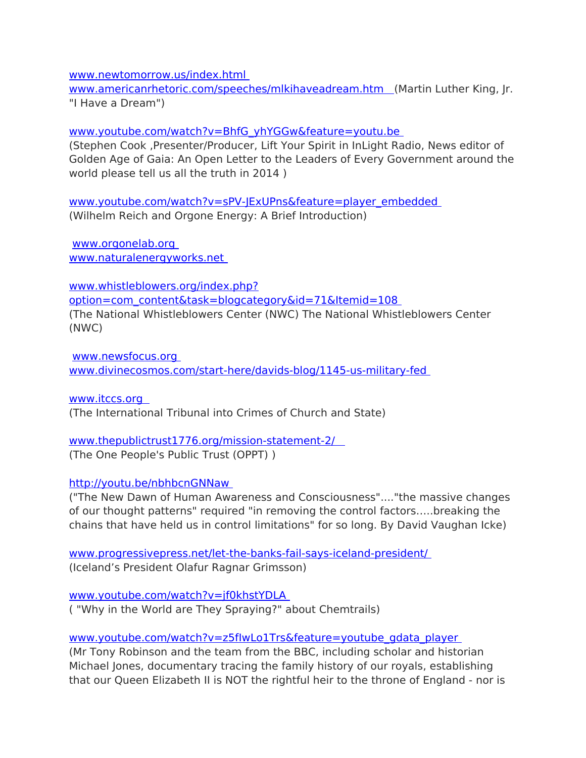[www.newtomorrow.us/index.html](http://www.newtomorrow.us/index.html) 

www.americanrhetoric.com/speeches/mlkihaveadream.htm (Martin Luther King, Jr. "I Have a Dream")

[www.youtube.com/watch?v=BhfG\\_yhYGGw&feature=youtu.be](http://www.youtube.com/watch?v=BhfG_yhYGGw&feature=youtu.be) 

(Stephen Cook ,Presenter/Producer, Lift Your Spirit in InLight Radio, News editor of Golden Age of Gaia: An Open Letter to the Leaders of Every Government around the world please tell us all the truth in 2014 )

[www.youtube.com/watch?v=sPV-JExUPns&feature=player\\_embedded](http://www.youtube.com/watch?v=sPV-JExUPns&feature=player_embedded)  (Wilhelm Reich and Orgone Energy: A Brief Introduction)

[www.orgonelab.org](http://www.orgonelab.org/)  [www.naturalenergyworks.net](http://www.naturalenergyworks.net/) 

[www.whistleblowers.org/index.php?](http://www.whistleblowers.org/index.php?option=com_content&task=blogcategory&id=71&Itemid=108) [option=com\\_content&task=blogcategory&id=71&Itemid=108](http://www.whistleblowers.org/index.php?option=com_content&task=blogcategory&id=71&Itemid=108)  (The National Whistleblowers Center (NWC) The National Whistleblowers Center (NWC)

[www.newsfocus.org](http://www.newsfocus.org/)  [www.divinecosmos.com/start-here/davids-blog/1145-us-military-fed](http://www.divinecosmos.com/start-here/davids-blog/1145-us-military-fed) 

 [www.itccs.org](http://www.itccs.org/) (The International Tribunal into Crimes of Church and State)

### [www.thepublictrust1776.org/mission-statement-2/](http://www.thepublictrust1776.org/mission-statement-2/) (The One People's Public Trust (OPPT) )

### [http://youtu.be/nbhbcnGNNaw](http://youtu.be/nbhbcnGNNaw%20)

("The New Dawn of Human Awareness and Consciousness"...."the massive changes of our thought patterns" required "in removing the control factors…..breaking the chains that have held us in control limitations" for so long. By David Vaughan Icke)

[www.progressivepress.net/let-the-banks-fail-says-iceland-president/](http://www.progressivepress.net/let-the-banks-fail-says-iceland-president/)  (Iceland's President Olafur Ragnar Grimsson)

[www.youtube.com/watch?v=jf0khstYDLA](http://www.youtube.com/watch?v=jf0khstYDLA)  ( "Why in the World are They Spraying?" about Chemtrails)

[www.youtube.com/watch?v=z5fIwLo1Trs&feature=youtube\\_gdata\\_player](http://www.youtube.com/watch?v=z5fIwLo1Trs&feature=youtube_gdata_player) 

(Mr Tony Robinson and the team from the BBC, including scholar and historian Michael Jones, documentary tracing the family history of our royals, establishing that our Queen Elizabeth II is NOT the rightful heir to the throne of England - nor is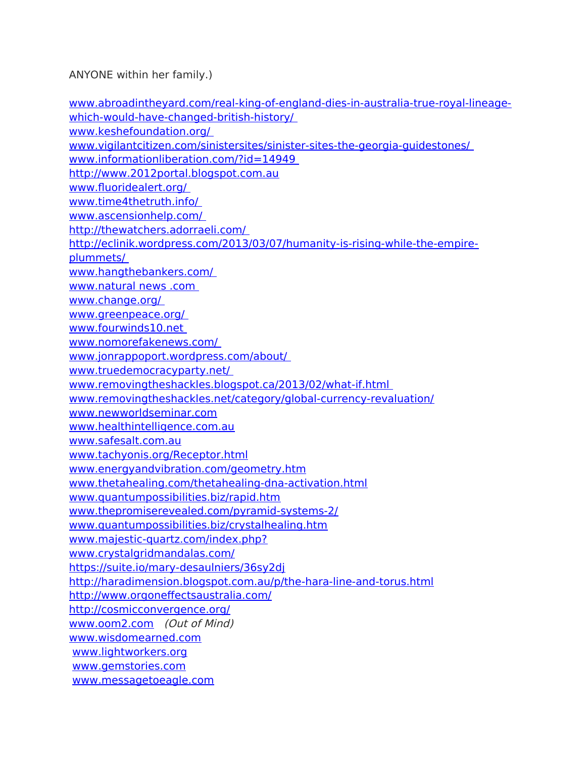ANYONE within her family.)

[www.abroadintheyard.com/real-king-of-england-dies-in-australia-true-royal-lineage](http://www.abroadintheyard.com/real-king-of-england-dies-in-australia-true-royal-lineage-which-would-have-changed-british-history/)[which-would-have-changed-british-history/](http://www.abroadintheyard.com/real-king-of-england-dies-in-australia-true-royal-lineage-which-would-have-changed-british-history/)  [www.keshefoundation.org/](http://keshefoundation.org/)  [www.vigilantcitizen.com/sinistersites/sinister-sites-the-georgia-guidestones/](http://vigilantcitizen.com/sinistersites/sinister-sites-the-georgia-guidestones/)  [www.informationliberation.com/?id=14949](http://www.informationliberation.com/?id=14949)  [http://www.2012portal.blogspot.com.au](http://www.2012portal.blogspot.com.au/) [www.fuoridealert.org/](http://www.fluoridealert.org/)  [www.time4thetruth.info/](http://www.time4thetruth.info/)  [www.ascensionhelp.com/](http://www.ascensionhelp.com/)  <http://thewatchers.adorraeli.com/> [http://eclinik.wordpress.com/2013/03/07/humanity-is-rising-while-the-empire](http://eclinik.wordpress.com/2013/03/07/humanity-is-rising-while-the-empire-plummets/)[plummets/](http://eclinik.wordpress.com/2013/03/07/humanity-is-rising-while-the-empire-plummets/)  [www.hangthebankers.com/](http://www.hangthebankers.com/)  www.natural news .com [www.change.org/](http://www.change.org/)  [www.greenpeace.org/](http://www.greenpeace.org/%20)  [www.fourwinds10.net](http://www.fourwinds10.net/)  [www.nomorefakenews.com/](http://www.nomorefakenews.com/)  [www.jonrappoport.wordpress.com/about/](http://www.jonrappoport.wordpress.com/about)  [www.truedemocracyparty.net/](http://www.truedemocracyparty.net/%20)  [www.removingtheshackles.blogspot.ca/2013/02/what-if.html](http://removingtheshackles.blogspot.ca/2013/02/what-if.html)  [www.removingtheshackles.net/category/global-currency-revaluation/](http://removingtheshackles.net/category/global-currency-revaluation/) [www.newworldseminar.com](http://www.newworldseminar.com/) [www.healthintelligence.com.au](http://www.healthintelligence.com.au/) [www.safesalt.com.au](http://www.safesalt.com.au/) [www.tachyonis.org/Receptor.html](http://www.tachyonis.org/Receptor.html) [www.energyandvibration.com/geometry.htm](http://www.energyandvibration.com/geometry.htm) [www.thetahealing.com/thetahealing-dna-activation.html](http://www.thetahealing.com/thetahealing-dna-activation.html) [www.quantumpossibilities.biz/rapid.htm](http://www.quantumpossibilities.biz/rapid.htm) [www.thepromiserevealed.com/pyramid-systems-2/](http://www.thepromiserevealed.com/pyramid-systems-2/) [www.quantumpossibilities.biz/crystalhealing.htm](http://www.quantumpossibilities.biz/crystalhealing.htm) [www.majestic-quartz.com/index.php?](http://www.majestic-quartz.com/index.php?) [www.crystalgridmandalas.com/](http://www.crystalgridmandalas.com/) <https://suite.io/mary-desaulniers/36sy2dj> <http://haradimension.blogspot.com.au/p/the-hara-line-and-torus.html> [http://www.orgonefectsaustralia.com/](http://www.orgoneffectsaustralia.com/) <http://cosmicconvergence.org/> [www.oom2.com](http://www.oom2.com/) (Out of Mind) [www.wisdomearned.com](http://www.wisdomearned.com/) [www.lightworkers.org](http://www.lightworkers.org/) [www.gemstories.com](http://www.gemstories.com/) [www.messagetoeagle.com](http://www.messagetoeagle.com/)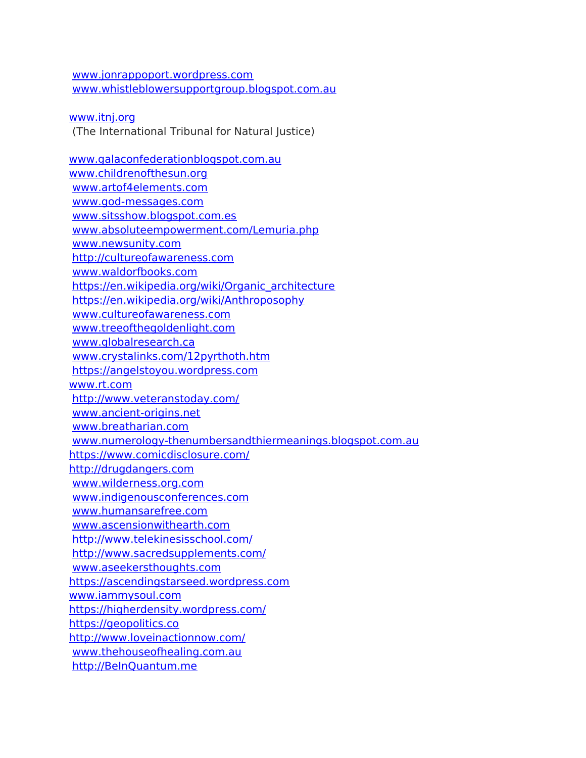[www.jonrappoport.wordpress.com](http://www.jonrappoport.wordpress.com/) [www.whistleblowersupportgroup.blogspot.com.au](http://www.whistleblowersupportgroup.blogspot.com.au/)

[www.itnj.org](http://www.itnj.org/) (The International Tribunal for Natural Justice)

[www.galaconfederationblogspot.com.au](http://www.galaconfederationblogspot.com.au/) [www.childrenofthesun.org](http://www.childrenofthesun.org/) [www.artof4elements.com](http://www.artof4elements.com/) [www.god-messages.com](http://www.god-messages.com/) [www.sitsshow.blogspot.com.es](http://www.sitsshow.blogspot.com.es/) [www.absoluteempowerment.com/Lemuria.php](http://www.absoluteempowerment.com/Lemuria.php) [www.newsunity.com](http://www.newsunity.com/) [http://cultureofawareness.com](http://cultureofawareness.com/) [www.waldorfbooks.com](http://www.waldorfbooks.com/) [https://en.wikipedia.org/wiki/Organic\\_architecture](https://en.wikipedia.org/wiki/Organic_architecture) <https://en.wikipedia.org/wiki/Anthroposophy> [www.cultureofawareness.com](http://www.cultureofawareness.com/) [www.treeofthegoldenlight.com](http://www.treeofthegoldenlight.com/) [www.globalresearch.ca](http://www.globalresearch.ca/) [www.crystalinks.com/12pyrthoth.htm](http://www.crystalinks.com/12pyrthoth.htm) [https://angelstoyou.wordpress.com](https://angelstoyou.wordpress.com/) [www.rt.com](http://www.rt.com/) <http://www.veteranstoday.com/> [www.ancient-origins.net](http://www.ancient-origins.net/) [www.breatharian.com](http://www.breatharian.com/) [www.numerology-thenumbersandthiermeanings.blogspot.com.au](http://www.numerology-thenumbersandthiermeanings.blogspot.com.au/) <https://www.comicdisclosure.com/> [http://drugdangers.com](http://drugdangers.com/) [www.wilderness.org.com](http://www.wilderness.org.com/) [www.indigenousconferences.com](http://www.indigenousconferences.com/) [www.humansarefree.com](http://www.humansarefree.com/) [www.ascensionwithearth.com](http://www.ascensionwithearth.com/) <http://www.telekinesisschool.com/> <http://www.sacredsupplements.com/> [www.aseekersthoughts.com](http://www.aseekersthoughts.com/) [https://ascendingstarseed.wordpress.com](https://ascendingstarseed.wordpress.com/) [www.iammysoul.com](http://www.iammysoul.com/) <https://higherdensity.wordpress.com/> [https://geopolitics.co](https://geopolitics.co/) <http://www.loveinactionnow.com/> [www.thehouseofhealing.com.au](http://www.thehouseofhealing.com.au/) [http://BeInQuantum.me](http://BeInQuantum.me/)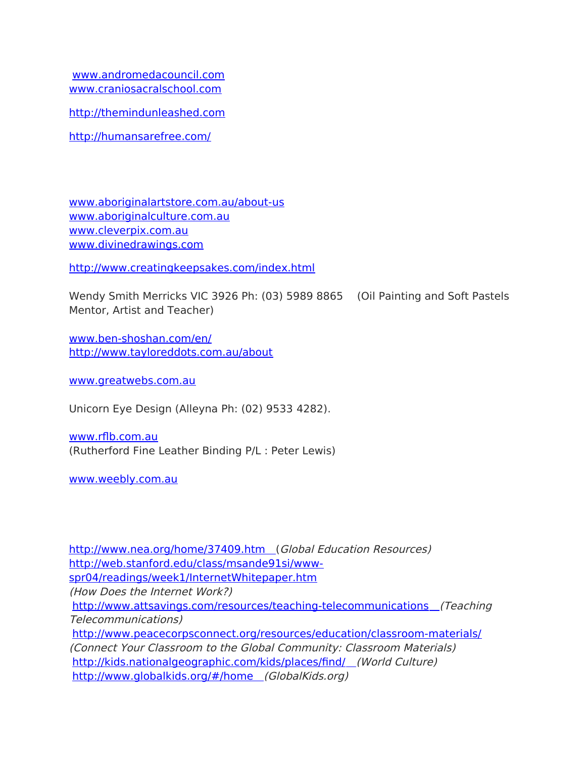[www.andromedacouncil.com](http://www.andromedacouncil.com/) [www.craniosacralschool.com](http://craniosacralschool.us10.list-manage.com/track/click?u=81231429c9655f46f91adf521&id=215b701a4c&e=484b6187e2)

[http://themindunleashed.com](http://themindunleashed.com/)

<http://humansarefree.com/>

[www.aboriginalartstore.com.au/about-us](http://www.aboriginalartstore.com.au/about-us) [www.aboriginalculture.com.au](http://www.aboriginalculture.com.au/) [www.cleverpix.com.au](http://www.cleverpix.com.au/) [www.divinedrawings.com](http://www.divinedrawings.com/)

<http://www.creatingkeepsakes.com/index.html>

Wendy Smith Merricks VIC 3926 Ph: (03) 5989 8865 (Oil Painting and Soft Pastels Mentor, Artist and Teacher)

[www.ben-shoshan.com/en/](http://www.ben-shoshan.com/en/) <http://www.tayloreddots.com.au/about>

[www.greatwebs.com.au](http://www.greatwebs.com.au/)

Unicorn Eye Design (Alleyna Ph: (02) 9533 4282).

[www.rfb.com.au](http://www.rflb.com.auu/) (Rutherford Fine Leather Binding P/L : Peter Lewis)

[www.weebly.com.au](http://www.weebly.com.au/)

<http://www.nea.org/home/37409.htm> (Global Education Resources) [http://web.stanford.edu/class/msande91si/www](http://web.stanford.edu/class/msande91si/www-spr04/readings/week1/InternetWhitepaper.htm)[spr04/readings/week1/InternetWhitepaper.htm](http://web.stanford.edu/class/msande91si/www-spr04/readings/week1/InternetWhitepaper.htm) (How Does the Internet Work?) <http://www.attsavings.com/resources/teaching-telecommunications> (Teaching Telecommunications) <http://www.peacecorpsconnect.org/resources/education/classroom-materials/> (Connect Your Classroom to the Global Community: Classroom Materials) http://kids.nationalgeographic.com/kids/places/find/ (World Culture) <http://www.globalkids.org/#/home> (GlobalKids.org)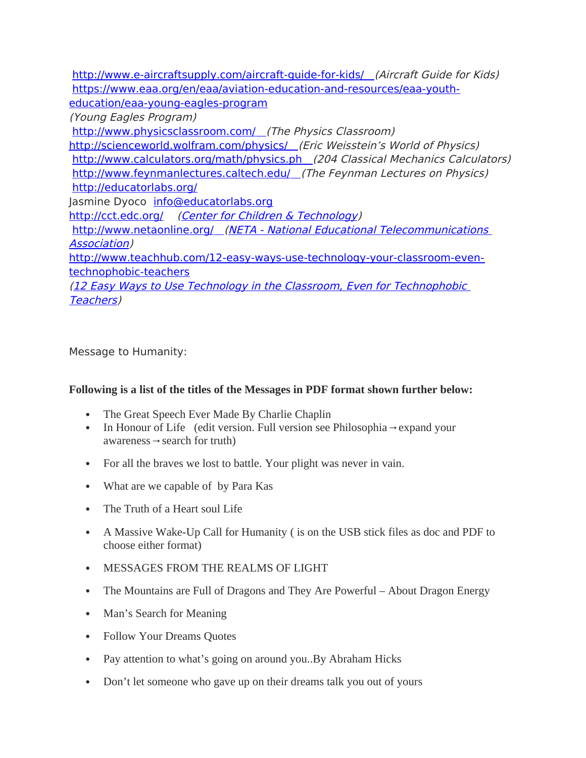<http://www.e-aircraftsupply.com/aircraft-guide-for-kids/> (Aircraft Guide for Kids) [https://www.eaa.org/en/eaa/aviation-education-and-resources/eaa-youth](https://www.eaa.org/en/eaa/aviation-education-and-resources/eaa-youth-education/eaa-young-eagles-program)[education/eaa-young-eagles-program](https://www.eaa.org/en/eaa/aviation-education-and-resources/eaa-youth-education/eaa-young-eagles-program)

(Young Eagles Program)

http://www.physicsclassroom.com/ (The Physics Classroom) <http://scienceworld.wolfram.com/physics/> (Eric Weisstein's World of Physics)  [http://www.calculators.org/math/physics.ph](http://www.calculators.org/math/physics.php) (204 Classical Mechanics Calculators) http://www.feynmanlectures.caltech.edu/ (The Feynman Lectures on Physics) <http://educatorlabs.org/> Jasmine Dyoco [info@educatorlabs.org](mailto:info@educatorlabs.org) <http://cct.edc.org/> [\(Center for Children & Technology](http://cct.edc.org/)) <http://www.netaonline.org/> [\(NETA - National Educational Telecommunications](http://www.netaonline.org/)  [Association](http://www.netaonline.org/))

[http://www.teachhub.com/12-easy-ways-use-technology-your-classroom-even](http://www.teachhub.com/12-easy-ways-use-technology-your-classroom-even-technophobic-teachers)[technophobic-teachers](http://www.teachhub.com/12-easy-ways-use-technology-your-classroom-even-technophobic-teachers)

[\(12 Easy Ways to Use Technology in the Classroom, Even for Technophobic](http://www.teachhub.com/12-easy-ways-use-technology-your-classroom-even-technophobic-teachers)  [Teachers\)](http://www.teachhub.com/12-easy-ways-use-technology-your-classroom-even-technophobic-teachers)

Message to Humanity:

### **Following is a list of the titles of the Messages in PDF format shown further below:**

- The Great Speech Ever Made By Charlie Chaplin
- In Honour of Life (edit version. Full version see Philosophia→expand your awareness  $\rightarrow$  search for truth)
- For all the braves we lost to battle. Your plight was never in vain.
- What are we capable of by Para Kas
- The Truth of a Heart soul Life
- A Massive Wake-Up Call for Humanity ( is on the USB stick files as doc and PDF to choose either format)
- MESSAGES FROM THE REALMS OF LIGHT
- The Mountains are Full of Dragons and They Are Powerful About Dragon Energy
- Man's Search for Meaning
- Follow Your Dreams Quotes
- Pay attention to what's going on around you. By Abraham Hicks
- Don't let someone who gave up on their dreams talk you out of yours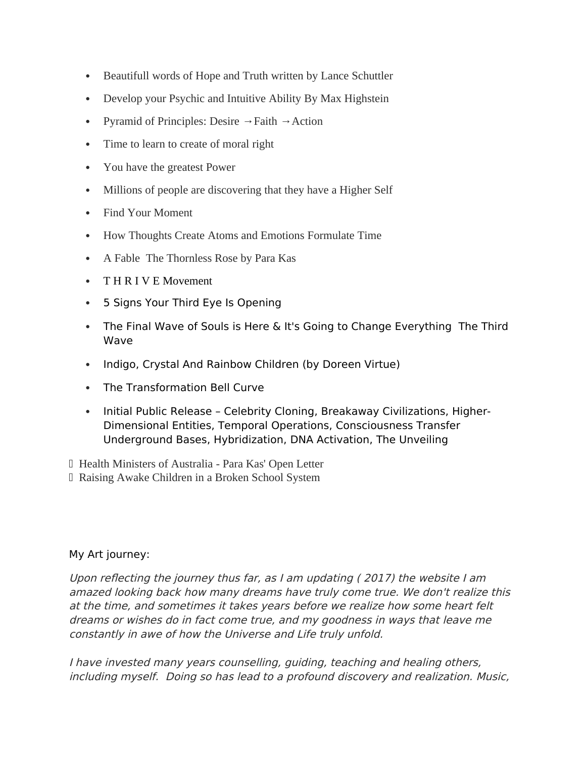- Beautifull words of Hope and Truth written by Lance Schuttler
- Develop your Psychic and Intuitive Ability By Max Highstein
- Pyramid of Principles: Desire  $\rightarrow$  Faith  $\rightarrow$  Action
- Time to learn to create of moral right
- You have the greatest Power
- Millions of people are discovering that they have a Higher Self
- Find Your Moment
- How Thoughts Create Atoms and Emotions Formulate Time
- A Fable The Thornless Rose by Para Kas
- T H R I V E Movement
- 5 Signs Your Third Eye Is Opening
- The Final Wave of Souls is Here & It's Going to Change Everything The Third Wave
- Indigo, Crystal And Rainbow Children (by Doreen Virtue)
- The Transformation Bell Curve
- Initial Public Release Celebrity Cloning, Breakaway Civilizations, Higher-Dimensional Entities, Temporal Operations, Consciousness Transfer Underground Bases, Hybridization, DNA Activation, The Unveiling
- Health Ministers of Australia Para Kas' Open Letter
- Raising Awake Children in a Broken School System

### My Art journey:

Upon reflecting the journey thus far, as I am updating ( $2017$ ) the website I am amazed looking back how many dreams have truly come true. We don't realize this at the time, and sometimes it takes years before we realize how some heart felt dreams or wishes do in fact come true, and my goodness in ways that leave me constantly in awe of how the Universe and Life truly unfold.

I have invested many years counselling, guiding, teaching and healing others, including myself. Doing so has lead to a profound discovery and realization. Music,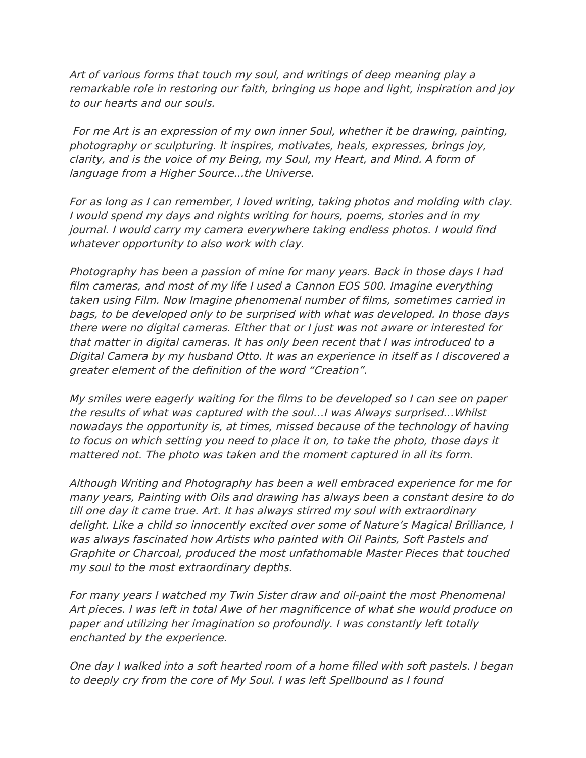Art of various forms that touch my soul, and writings of deep meaning play a remarkable role in restoring our faith, bringing us hope and light, inspiration and joy to our hearts and our souls.

For me Art is an expression of my own inner Soul, whether it be drawing, painting, photography or sculpturing. It inspires, motivates, heals, expresses, brings joy, clarity, and is the voice of my Being, my Soul, my Heart, and Mind. A form of language from a Higher Source...the Universe.

For as long as I can remember, I loved writing, taking photos and molding with clay. I would spend my days and nights writing for hours, poems, stories and in my journal. I would carry my camera everywhere taking endless photos. I would fnd whatever opportunity to also work with clay.

Photography has been a passion of mine for many years. Back in those days I had flm cameras, and most of my life I used a Cannon EOS 500. Imagine everything taken using Film. Now Imagine phenomenal number of flms, sometimes carried in bags, to be developed only to be surprised with what was developed. In those days there were no digital cameras. Either that or I just was not aware or interested for that matter in digital cameras. It has only been recent that I was introduced to a Digital Camera by my husband Otto. It was an experience in itself as I discovered a greater element of the defnition of the word "Creation".

My smiles were eagerly waiting for the flms to be developed so I can see on paper the results of what was captured with the soul…I was Always surprised…Whilst nowadays the opportunity is, at times, missed because of the technology of having to focus on which setting you need to place it on, to take the photo, those days it mattered not. The photo was taken and the moment captured in all its form.

Although Writing and Photography has been a well embraced experience for me for many years, Painting with Oils and drawing has always been a constant desire to do till one day it came true. Art. It has always stirred my soul with extraordinary delight. Like a child so innocently excited over some of Nature's Magical Brilliance, I was always fascinated how Artists who painted with Oil Paints, Soft Pastels and Graphite or Charcoal, produced the most unfathomable Master Pieces that touched my soul to the most extraordinary depths.

For many years I watched my Twin Sister draw and oil-paint the most Phenomenal Art pieces. I was left in total Awe of her magnifcence of what she would produce on paper and utilizing her imagination so profoundly. I was constantly left totally enchanted by the experience.

One day I walked into a soft hearted room of a home flled with soft pastels. I began to deeply cry from the core of My Soul. I was left Spellbound as I found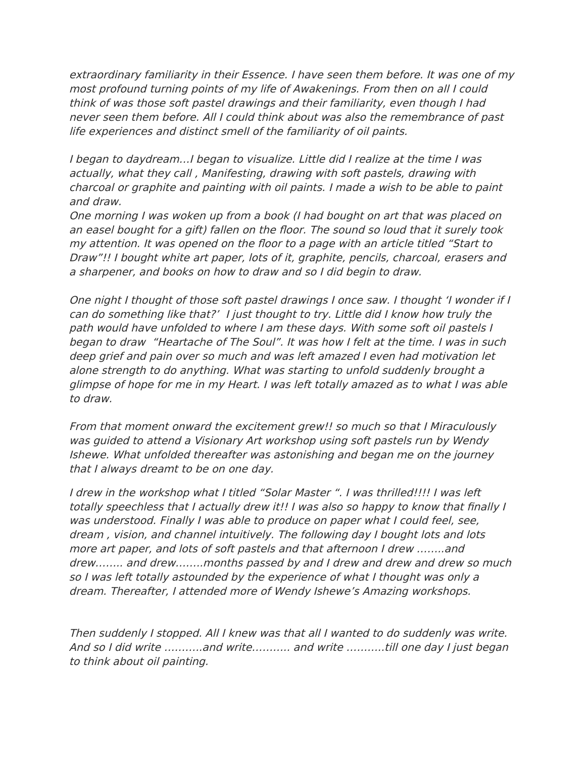extraordinary familiarity in their Essence. I have seen them before. It was one of my most profound turning points of my life of Awakenings. From then on all I could think of was those soft pastel drawings and their familiarity, even though I had never seen them before. All I could think about was also the remembrance of past life experiences and distinct smell of the familiarity of oil paints.

I began to daydream…I began to visualize. Little did I realize at the time I was actually, what they call , Manifesting, drawing with soft pastels, drawing with charcoal or graphite and painting with oil paints. I made a wish to be able to paint and draw.

One morning I was woken up from a book (I had bought on art that was placed on an easel bought for a gift) fallen on the foor. The sound so loud that it surely took my attention. It was opened on the foor to a page with an article titled "Start to Draw"!! I bought white art paper, lots of it, graphite, pencils, charcoal, erasers and a sharpener, and books on how to draw and so I did begin to draw.

One night I thought of those soft pastel drawings I once saw. I thought 'I wonder if I can do something like that?' I just thought to try. Little did I know how truly the path would have unfolded to where I am these days. With some soft oil pastels I began to draw "Heartache of The Soul". It was how I felt at the time. I was in such deep grief and pain over so much and was left amazed I even had motivation let alone strength to do anything. What was starting to unfold suddenly brought a glimpse of hope for me in my Heart. I was left totally amazed as to what I was able to draw.

From that moment onward the excitement grew!! so much so that I Miraculously was guided to attend a Visionary Art workshop using soft pastels run by Wendy Ishewe. What unfolded thereafter was astonishing and began me on the journey that I always dreamt to be on one day.

I drew in the workshop what I titled "Solar Master ". I was thrilled!!!! I was left totally speechless that I actually drew it!! I was also so happy to know that fnally I was understood. Finally I was able to produce on paper what I could feel, see, dream , vision, and channel intuitively. The following day I bought lots and lots more art paper, and lots of soft pastels and that afternoon I drew ……..and drew…….. and drew……..months passed by and I drew and drew and drew so much so I was left totally astounded by the experience of what I thought was only a dream. Thereafter, I attended more of Wendy Ishewe's Amazing workshops.

Then suddenly I stopped. All I knew was that all I wanted to do suddenly was write. And so I did write ………..and write……….. and write ………..till one day I just began to think about oil painting.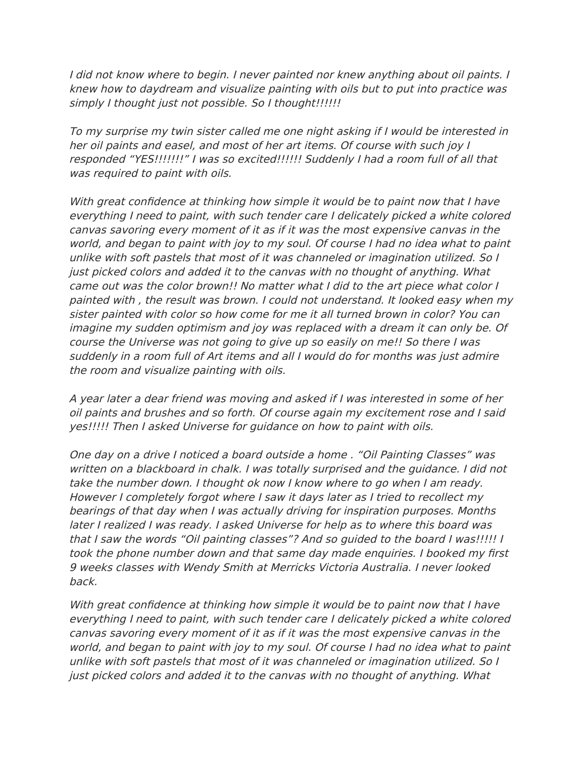I did not know where to begin. I never painted nor knew anything about oil paints. I knew how to daydream and visualize painting with oils but to put into practice was simply I thought just not possible. So I thought!!!!!!

To my surprise my twin sister called me one night asking if I would be interested in her oil paints and easel, and most of her art items. Of course with such joy I responded "YES!!!!!!!" I was so excited!!!!!! Suddenly I had a room full of all that was required to paint with oils.

With great confdence at thinking how simple it would be to paint now that I have everything I need to paint, with such tender care I delicately picked a white colored canvas savoring every moment of it as if it was the most expensive canvas in the world, and began to paint with joy to my soul. Of course I had no idea what to paint unlike with soft pastels that most of it was channeled or imagination utilized. So I just picked colors and added it to the canvas with no thought of anything. What came out was the color brown!! No matter what I did to the art piece what color I painted with , the result was brown. I could not understand. It looked easy when my sister painted with color so how come for me it all turned brown in color? You can imagine my sudden optimism and joy was replaced with a dream it can only be. Of course the Universe was not going to give up so easily on me!! So there I was suddenly in a room full of Art items and all I would do for months was just admire the room and visualize painting with oils.

A year later a dear friend was moving and asked if I was interested in some of her oil paints and brushes and so forth. Of course again my excitement rose and I said yes!!!!! Then I asked Universe for guidance on how to paint with oils.

One day on a drive I noticed a board outside a home . "Oil Painting Classes" was written on a blackboard in chalk. I was totally surprised and the guidance. I did not take the number down. I thought ok now I know where to go when I am ready. However I completely forgot where I saw it days later as I tried to recollect my bearings of that day when I was actually driving for inspiration purposes. Months later I realized I was ready. I asked Universe for help as to where this board was that I saw the words "Oil painting classes"? And so guided to the board I was!!!!! I took the phone number down and that same day made enquiries. I booked my frst 9 weeks classes with Wendy Smith at Merricks Victoria Australia. I never looked back.

With great confidence at thinking how simple it would be to paint now that I have everything I need to paint, with such tender care I delicately picked a white colored canvas savoring every moment of it as if it was the most expensive canvas in the world, and began to paint with joy to my soul. Of course I had no idea what to paint unlike with soft pastels that most of it was channeled or imagination utilized. So I just picked colors and added it to the canvas with no thought of anything. What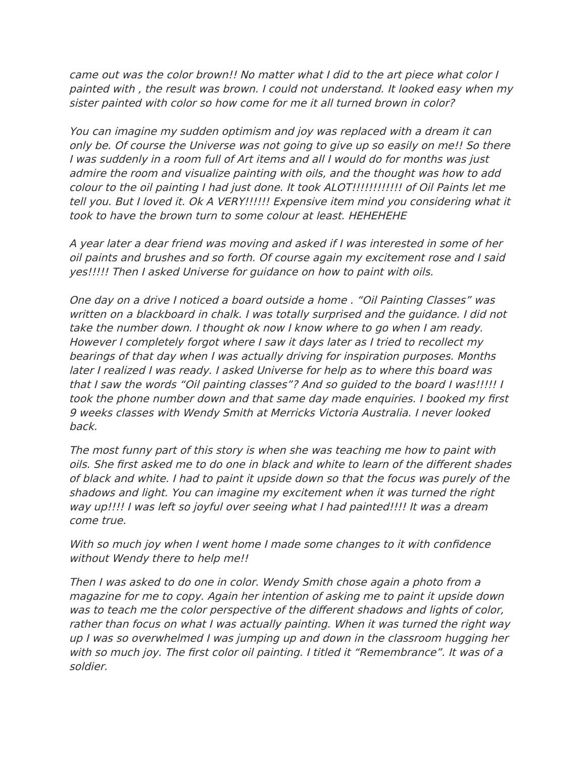came out was the color brown!! No matter what I did to the art piece what color I painted with , the result was brown. I could not understand. It looked easy when my sister painted with color so how come for me it all turned brown in color?

You can imagine my sudden optimism and joy was replaced with a dream it can only be. Of course the Universe was not going to give up so easily on me!! So there I was suddenly in a room full of Art items and all I would do for months was just admire the room and visualize painting with oils, and the thought was how to add colour to the oil painting I had just done. It took ALOT!!!!!!!!!!!! of Oil Paints let me tell you. But I loved it. Ok A VERY!!!!!! Expensive item mind you considering what it took to have the brown turn to some colour at least. HEHEHEHE

A year later a dear friend was moving and asked if I was interested in some of her oil paints and brushes and so forth. Of course again my excitement rose and I said yes!!!!! Then I asked Universe for guidance on how to paint with oils.

One day on a drive I noticed a board outside a home . "Oil Painting Classes" was written on a blackboard in chalk. I was totally surprised and the guidance. I did not take the number down. I thought ok now I know where to go when I am ready. However I completely forgot where I saw it days later as I tried to recollect my bearings of that day when I was actually driving for inspiration purposes. Months later I realized I was ready. I asked Universe for help as to where this board was that I saw the words "Oil painting classes"? And so guided to the board I was!!!!! I took the phone number down and that same day made enquiries. I booked my frst 9 weeks classes with Wendy Smith at Merricks Victoria Australia. I never looked back.

The most funny part of this story is when she was teaching me how to paint with oils. She frst asked me to do one in black and white to learn of the diferent shades of black and white. I had to paint it upside down so that the focus was purely of the shadows and light. You can imagine my excitement when it was turned the right way up!!!! I was left so joyful over seeing what I had painted!!!! It was a dream come true.

With so much joy when I went home I made some changes to it with confdence without Wendy there to help me!!

Then I was asked to do one in color. Wendy Smith chose again a photo from a magazine for me to copy. Again her intention of asking me to paint it upside down was to teach me the color perspective of the diferent shadows and lights of color, rather than focus on what I was actually painting. When it was turned the right way up I was so overwhelmed I was jumping up and down in the classroom hugging her with so much joy. The frst color oil painting. I titled it "Remembrance". It was of a soldier.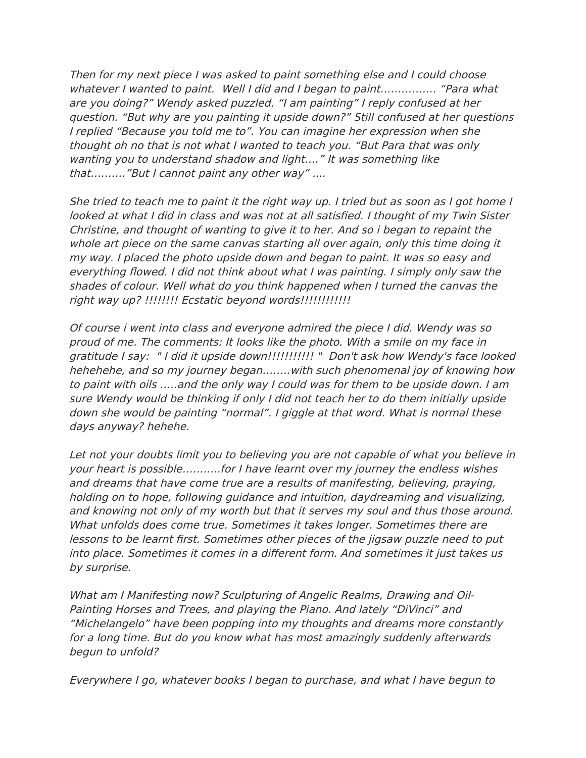Then for my next piece I was asked to paint something else and I could choose whatever I wanted to paint. Well I did and I began to paint……………. "Para what are you doing?" Wendy asked puzzled. "I am painting" I reply confused at her question. "But why are you painting it upside down?" Still confused at her questions I replied "Because you told me to". You can imagine her expression when she thought oh no that is not what I wanted to teach you. "But Para that was only wanting you to understand shadow and light…." It was something like that………."But I cannot paint any other way" ....

She tried to teach me to paint it the right way up. I tried but as soon as I got home I looked at what I did in class and was not at all satisfied. I thought of my Twin Sister Christine, and thought of wanting to give it to her. And so i began to repaint the whole art piece on the same canvas starting all over again, only this time doing it my way. I placed the photo upside down and began to paint. It was so easy and everything flowed. I did not think about what I was painting. I simply only saw the shades of colour. Well what do you think happened when I turned the canvas the right way up? !!!!!!!! Ecstatic beyond words!!!!!!!!!!!!!

Of course i went into class and everyone admired the piece I did. Wendy was so proud of me. The comments: It looks like the photo. With a smile on my face in gratitude I say: " I did it upside down!!!!!!!!!!! " Don't ask how Wendy's face looked hehehehe, and so my journey began……..with such phenomenal joy of knowing how to paint with oils …..and the only way I could was for them to be upside down. I am sure Wendy would be thinking if only I did not teach her to do them initially upside down she would be painting "normal". I giggle at that word. What is normal these days anyway? hehehe.

Let not your doubts limit you to believing you are not capable of what you believe in your heart is possible………..for I have learnt over my journey the endless wishes and dreams that have come true are a results of manifesting, believing, praying, holding on to hope, following guidance and intuition, daydreaming and visualizing, and knowing not only of my worth but that it serves my soul and thus those around. What unfolds does come true. Sometimes it takes longer. Sometimes there are lessons to be learnt frst. Sometimes other pieces of the jigsaw puzzle need to put into place. Sometimes it comes in a diferent form. And sometimes it just takes us by surprise.

What am I Manifesting now? Sculpturing of Angelic Realms, Drawing and Oil-Painting Horses and Trees, and playing the Piano. And lately "DiVinci" and "Michelangelo" have been popping into my thoughts and dreams more constantly for a long time. But do you know what has most amazingly suddenly afterwards begun to unfold?

Everywhere I go, whatever books I began to purchase, and what I have begun to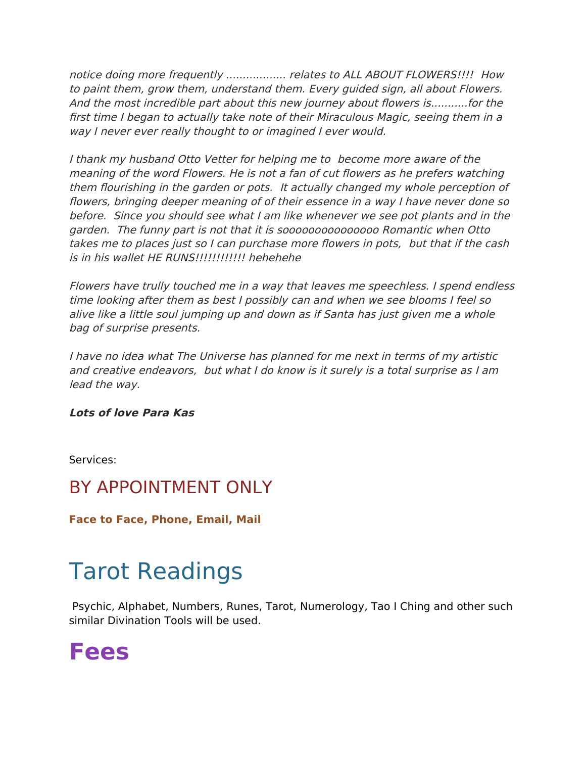notice doing more frequently .................. relates to ALL ABOUT FLOWERS!!!! How to paint them, grow them, understand them. Every guided sign, all about Flowers. And the most incredible part about this new journey about flowers is...........for the frst time I began to actually take note of their Miraculous Magic, seeing them in a way I never ever really thought to or imagined I ever would.

I thank my husband Otto Vetter for helping me to become more aware of the meaning of the word Flowers. He is not a fan of cut flowers as he prefers watching them fourishing in the garden or pots. It actually changed my whole perception of fowers, bringing deeper meaning of of their essence in a way I have never done so before. Since you should see what I am like whenever we see pot plants and in the garden. The funny part is not that it is sooooooooooooooo Romantic when Otto takes me to places just so I can purchase more fowers in pots, but that if the cash is in his wallet HE RUNS!!!!!!!!!!!! hehehehe

Flowers have trully touched me in a way that leaves me speechless. I spend endless time looking after them as best I possibly can and when we see blooms I feel so alive like a little soul jumping up and down as if Santa has just given me a whole bag of surprise presents.

I have no idea what The Universe has planned for me next in terms of my artistic and creative endeavors, but what I do know is it surely is a total surprise as I am lead the way.

### **Lots of love Para Kas**

Services:

### BY APPOINTMENT ONLY

**Face to Face, Phone, Email, Mail** 

## Tarot Readings

Psychic, Alphabet, Numbers, Runes, Tarot, Numerology, Tao I Ching and other such similar Divination Tools will be used.

### **Fees**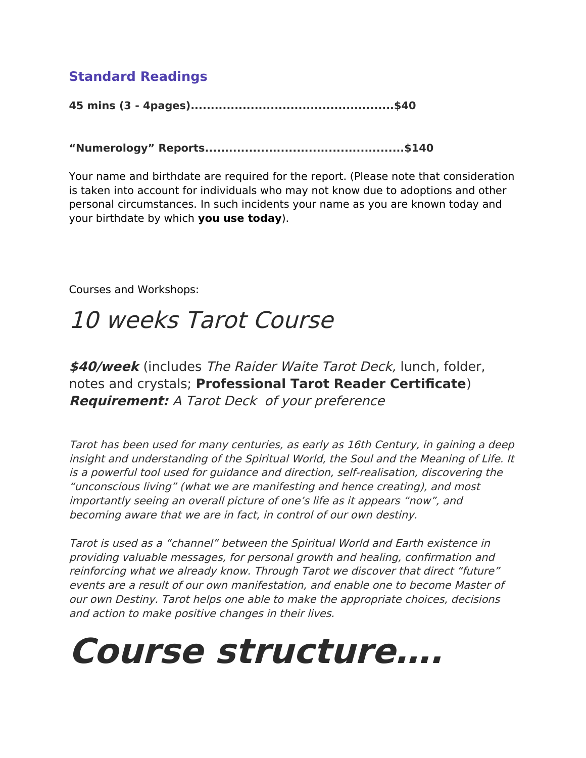### **Standard Readings**

**45 mins (3 - 4pages)...................................................\$40**

**"Numerology" Reports..................................................\$140**

Your name and birthdate are required for the report. (Please note that consideration is taken into account for individuals who may not know due to adoptions and other personal circumstances. In such incidents your name as you are known today and your birthdate by which **you use today**).

Courses and Workshops:

## 10 weeks Tarot Course

**\$40/week** (includes The Raider Waite Tarot Deck, lunch, folder, notes and crystals; **Professional Tarot Reader Certifcate**) **Requirement:** A Tarot Deck of your preference

Tarot has been used for many centuries, as early as 16th Century, in gaining a deep insight and understanding of the Spiritual World, the Soul and the Meaning of Life. It is a powerful tool used for guidance and direction, self-realisation, discovering the "unconscious living" (what we are manifesting and hence creating), and most importantly seeing an overall picture of one's life as it appears "now", and becoming aware that we are in fact, in control of our own destiny.

Tarot is used as a "channel" between the Spiritual World and Earth existence in providing valuable messages, for personal growth and healing, confrmation and reinforcing what we already know. Through Tarot we discover that direct "future" events are a result of our own manifestation, and enable one to become Master of our own Destiny. Tarot helps one able to make the appropriate choices, decisions and action to make positive changes in their lives.

# **Course structure….**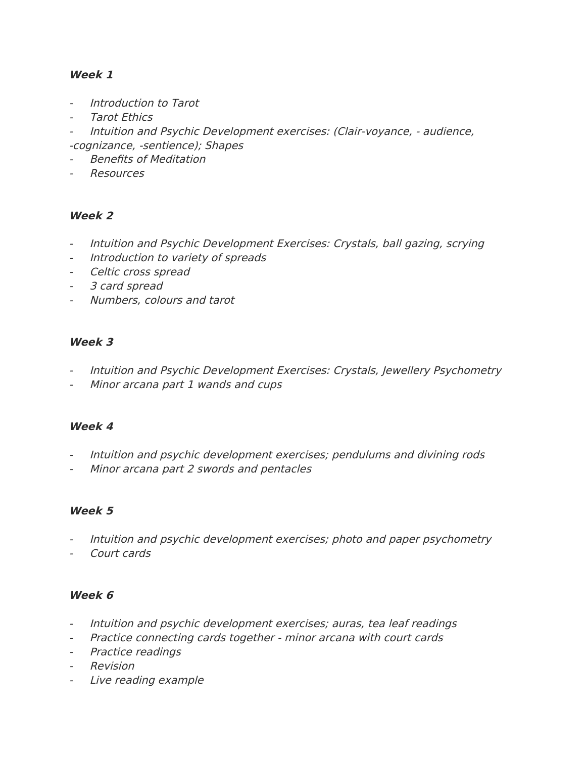### **Week 1**

- Introduction to Tarot
- Tarot Ethics
- Intuition and Psychic Development exercises: (Clair-voyance, audience, -cognizance, -sentience); Shapes
- Benefits of Meditation
- **Resources**

### **Week 2**

- Intuition and Psychic Development Exercises: Crystals, ball gazing, scrying
- Introduction to variety of spreads
- Celtic cross spread
- 3 card spread
- Numbers, colours and tarot

### **Week 3**

- Intuition and Psychic Development Exercises: Crystals, Jewellery Psychometry
- Minor arcana part 1 wands and cups

### **Week 4**

- Intuition and psychic development exercises; pendulums and divining rods
- Minor arcana part 2 swords and pentacles

### **Week 5**

- Intuition and psychic development exercises; photo and paper psychometry
- Court cards

### **Week 6**

- Intuition and psychic development exercises; auras, tea leaf readings
- Practice connecting cards together minor arcana with court cards
- Practice readings
- Revision
- Live reading example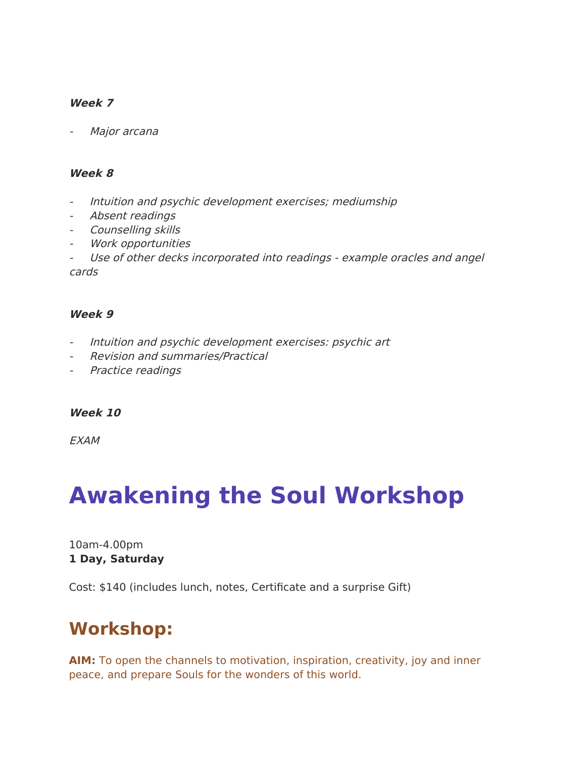### **Week 7**

Major arcana

#### **Week 8**

- Intuition and psychic development exercises; mediumship
- Absent readings
- Counselling skills
- Work opportunities
- Use of other decks incorporated into readings example oracles and angel cards

#### **Week 9**

- Intuition and psychic development exercises: psychic art
- Revision and summaries/Practical
- Practice readings

#### **Week 10**

**FXAM** 

## **Awakening the Soul Workshop**

10am-4.00pm **1 Day, Saturday**

Cost: \$140 (includes lunch, notes, Certifcate and a surprise Gift)

### **Workshop:**

**AIM:** To open the channels to motivation, inspiration, creativity, joy and inner peace, and prepare Souls for the wonders of this world.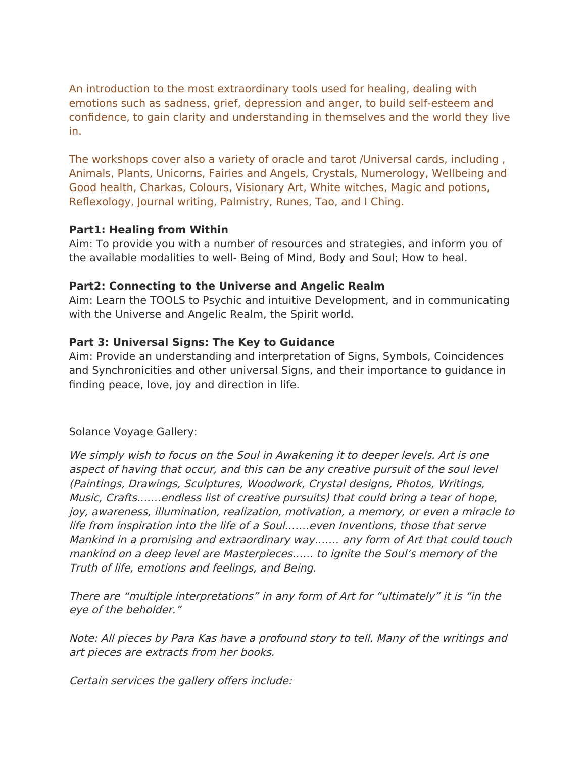An introduction to the most extraordinary tools used for healing, dealing with emotions such as sadness, grief, depression and anger, to build self-esteem and confdence, to gain clarity and understanding in themselves and the world they live in.

The workshops cover also a variety of oracle and tarot /Universal cards, including , Animals, Plants, Unicorns, Fairies and Angels, Crystals, Numerology, Wellbeing and Good health, Charkas, Colours, Visionary Art, White witches, Magic and potions, Refexology, Journal writing, Palmistry, Runes, Tao, and I Ching.

### **Part1: Healing from Within**

Aim: To provide you with a number of resources and strategies, and inform you of the available modalities to well- Being of Mind, Body and Soul; How to heal.

### **Part2: Connecting to the Universe and Angelic Realm**

Aim: Learn the TOOLS to Psychic and intuitive Development, and in communicating with the Universe and Angelic Realm, the Spirit world.

### **Part 3: Universal Signs: The Key to Guidance**

Aim: Provide an understanding and interpretation of Signs, Symbols, Coincidences and Synchronicities and other universal Signs, and their importance to guidance in fnding peace, love, joy and direction in life.

Solance Voyage Gallery:

We simply wish to focus on the Soul in Awakening it to deeper levels. Art is one aspect of having that occur, and this can be any creative pursuit of the soul level (Paintings, Drawings, Sculptures, Woodwork, Crystal designs, Photos, Writings, Music, Crafts...….endless list of creative pursuits) that could bring a tear of hope, joy, awareness, illumination, realization, motivation, a memory, or even a miracle to life from inspiration into the life of a Soul.……even Inventions, those that serve Mankind in a promising and extraordinary way.…… any form of Art that could touch mankind on a deep level are Masterpieces.….. to ignite the Soul's memory of the Truth of life, emotions and feelings, and Being.

There are "multiple interpretations" in any form of Art for "ultimately" it is "in the eye of the beholder."

Note: All pieces by Para Kas have a profound story to tell. Many of the writings and art pieces are extracts from her books.

Certain services the gallery offers include: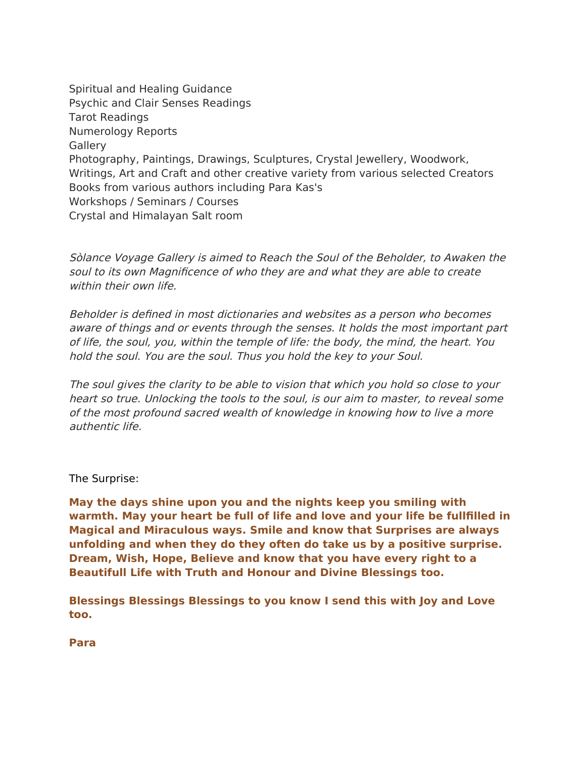Spiritual and Healing Guidance Psychic and Clair Senses Readings Tarot Readings Numerology Reports **Gallery** Photography, Paintings, Drawings, Sculptures, Crystal Jewellery, Woodwork, Writings, Art and Craft and other creative variety from various selected Creators Books from various authors including Para Kas's Workshops / Seminars / Courses Crystal and Himalayan Salt room

Sòlance Voyage Gallery is aimed to Reach the Soul of the Beholder, to Awaken the soul to its own Magnifcence of who they are and what they are able to create within their own life.

Beholder is defned in most dictionaries and websites as a person who becomes aware of things and or events through the senses. It holds the most important part of life, the soul, you, within the temple of life: the body, the mind, the heart. You hold the soul. You are the soul. Thus you hold the key to your Soul.

The soul gives the clarity to be able to vision that which you hold so close to your heart so true. Unlocking the tools to the soul, is our aim to master, to reveal some of the most profound sacred wealth of knowledge in knowing how to live a more authentic life.

The Surprise:

**May the days shine upon you and the nights keep you smiling with warmth. May your heart be full of life and love and your life be fullflled in Magical and Miraculous ways. Smile and know that Surprises are always unfolding and when they do they often do take us by a positive surprise. Dream, Wish, Hope, Believe and know that you have every right to a Beautifull Life with Truth and Honour and Divine Blessings too.**

**Blessings Blessings Blessings to you know I send this with Joy and Love too.**

**Para**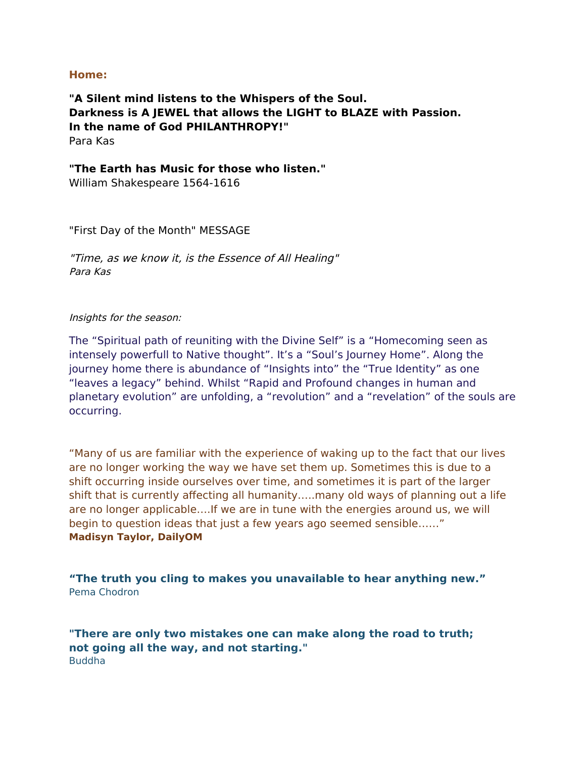#### **Home:**

**"A Silent mind listens to the Whispers of the Soul. Darkness is A JEWEL that allows the LIGHT to BLAZE with Passion. In the name of God PHILANTHROPY!"** Para Kas

#### **"The Earth has Music for those who listen."**

William Shakespeare 1564-1616

"First Day of the Month" MESSAGE

"Time, as we know it, is the Essence of All Healing" Para Kas

#### Insights for the season:

The "Spiritual path of reuniting with the Divine Self" is a "Homecoming seen as intensely powerfull to Native thought". It's a "Soul's Journey Home". Along the journey home there is abundance of "Insights into" the "True Identity" as one "leaves a legacy" behind. Whilst "Rapid and Profound changes in human and planetary evolution" are unfolding, a "revolution" and a "revelation" of the souls are occurring.

"Many of us are familiar with the experience of waking up to the fact that our lives are no longer working the way we have set them up. Sometimes this is due to a shift occurring inside ourselves over time, and sometimes it is part of the larger shift that is currently afecting all humanity…..many old ways of planning out a life are no longer applicable….If we are in tune with the energies around us, we will begin to question ideas that just a few years ago seemed sensible……" **Madisyn Taylor, DailyOM**

**"The truth you cling to makes you unavailable to hear anything new."** Pema Chodron

**"There are only two mistakes one can make along the road to truth; not going all the way, and not starting."** Buddha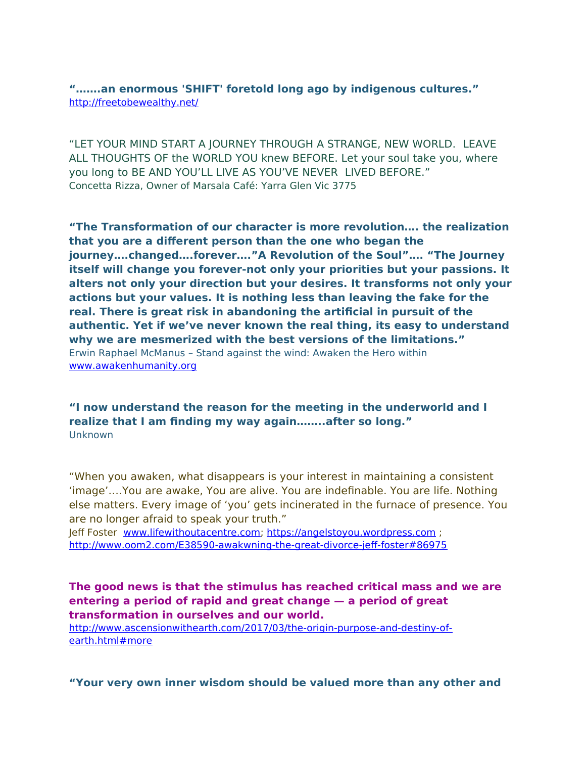**"…….an enormous 'SHIFT' foretold long ago by indigenous cultures."** <http://freetobewealthy.net/>

"LET YOUR MIND START A JOURNEY THROUGH A STRANGE, NEW WORLD. LEAVE ALL THOUGHTS OF the WORLD YOU knew BEFORE. Let your soul take you, where you long to BE AND YOU'LL LIVE AS YOU'VE NEVER LIVED BEFORE." Concetta Rizza, Owner of Marsala Café: Yarra Glen Vic 3775

**"The Transformation of our character is more revolution…. the realization that you are a diferent person than the one who began the journey….changed….forever…."A Revolution of the Soul"…. "The Journey itself will change you forever-not only your priorities but your passions. It alters not only your direction but your desires. It transforms not only your actions but your values. It is nothing less than leaving the fake for the real. There is great risk in abandoning the artifcial in pursuit of the authentic. Yet if we've never known the real thing, its easy to understand why we are mesmerized with the best versions of the limitations."** Erwin Raphael McManus – Stand against the wind: Awaken the Hero within [www.awakenhumanity.org](http://www.awakenhumanity.org/)

**"I now understand the reason for the meeting in the underworld and I realize that I am fnding my way again……..after so long."** Unknown

"When you awaken, what disappears is your interest in maintaining a consistent 'image'….You are awake, You are alive. You are indefnable. You are life. Nothing else matters. Every image of 'you' gets incinerated in the furnace of presence. You are no longer afraid to speak your truth."

Jeff Foster [www.lifewithoutacentre.com;](http://www.lifewithoutacentre.com/) [https://angelstoyou.wordpress.com](https://angelstoyou.wordpress.com/) ; http://www.oom2.com/E38590-awakwning-the-great-divorce-jeff-foster#86975

**The good news is that the stimulus has reached critical mass and we are entering a period of rapid and great change — a period of great transformation in ourselves and our world.**

[http://www.ascensionwithearth.com/2017/03/the-origin-purpose-and-destiny-of](http://www.ascensionwithearth.com/2017/03/the-origin-purpose-and-destiny-of-earth.html#more)[earth.html#more](http://www.ascensionwithearth.com/2017/03/the-origin-purpose-and-destiny-of-earth.html#more)

**"Your very own inner wisdom should be valued more than any other and**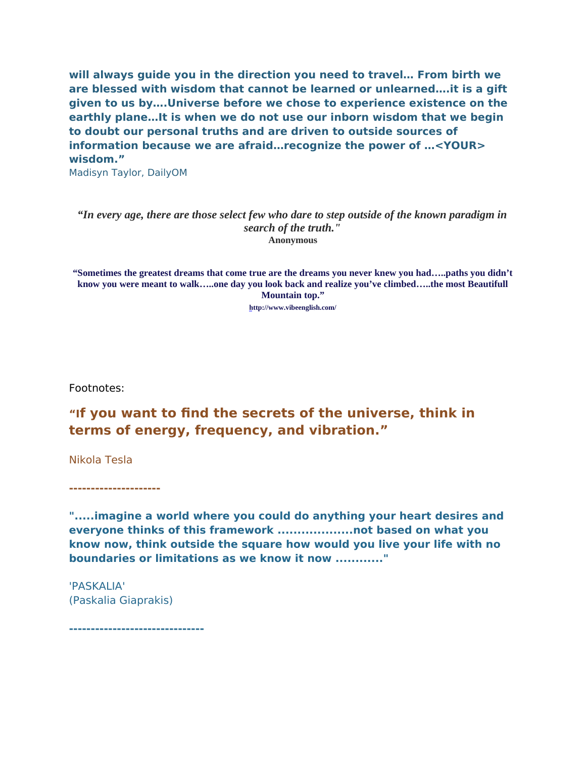**will always guide you in the direction you need to travel… From birth we are blessed with wisdom that cannot be learned or unlearned….it is a gift given to us by….Universe before we chose to experience existence on the earthly plane…It is when we do not use our inborn wisdom that we begin to doubt our personal truths and are driven to outside sources of information because we are afraid…recognize the power of …<YOUR> wisdom."** 

Madisyn Taylor, DailyOM

#### *"In every age, there are those select few who dare to step outside of the known paradigm in search of the truth."* **Anonymous**

**"Sometimes the greatest dreams that come true are the dreams you never knew you had…..paths you didn't know you were meant to walk…..one day you look back and realize you've climbed…..the most Beautifull Mountain top."**

**[h](http://www.vibeenglish.com/sometimes-the-greatest-dreams-that-come-true-are-the-dreams-you-never-even-knew-you-had.html/)ttp://www.vibeenglish.com/**

Footnotes:

### **"If you want to fnd the secrets of the universe, think in terms of energy, frequency, and vibration."**

Nikola Tesla

**---------------------**

**".....imagine a world where you could do anything your heart desires and everyone thinks of this framework ...................not based on what you know now, think outside the square how would you live your life with no boundaries or limitations as we know it now ............"**

'PASKALIA' (Paskalia Giaprakis)

**-------------------------------**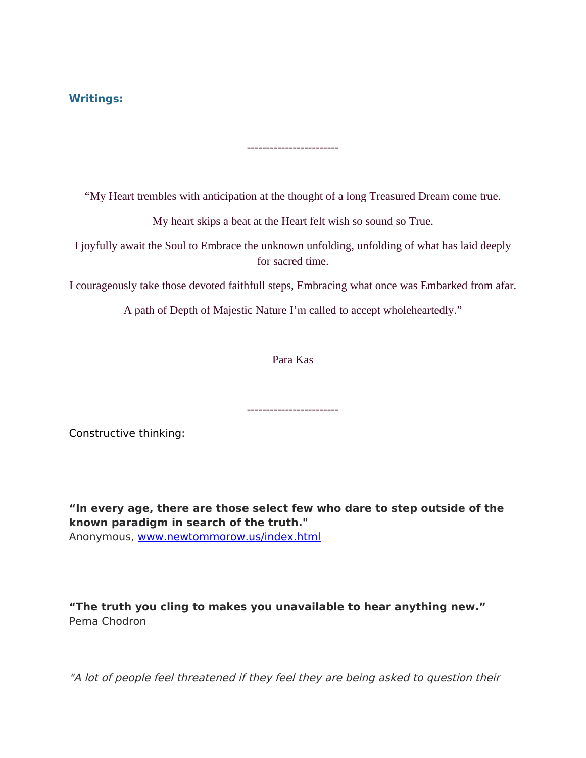### **Writings:**

"My Heart trembles with anticipation at the thought of a long Treasured Dream come true.

------------------------

My heart skips a beat at the Heart felt wish so sound so True.

I joyfully await the Soul to Embrace the unknown unfolding, unfolding of what has laid deeply for sacred time.

I courageously take those devoted faithfull steps, Embracing what once was Embarked from afar.

A path of Depth of Majestic Nature I'm called to accept wholeheartedly."

Para Kas

------------------------

Constructive thinking:

**"In every age, there are those select few who dare to step outside of the known paradigm in search of the truth."** Anonymous, [www.newtommorow.us/index.html](http://www.newtommor.us/inidex.html)

**"The truth you cling to makes you unavailable to hear anything new."** Pema Chodron

"A lot of people feel threatened if they feel they are being asked to question their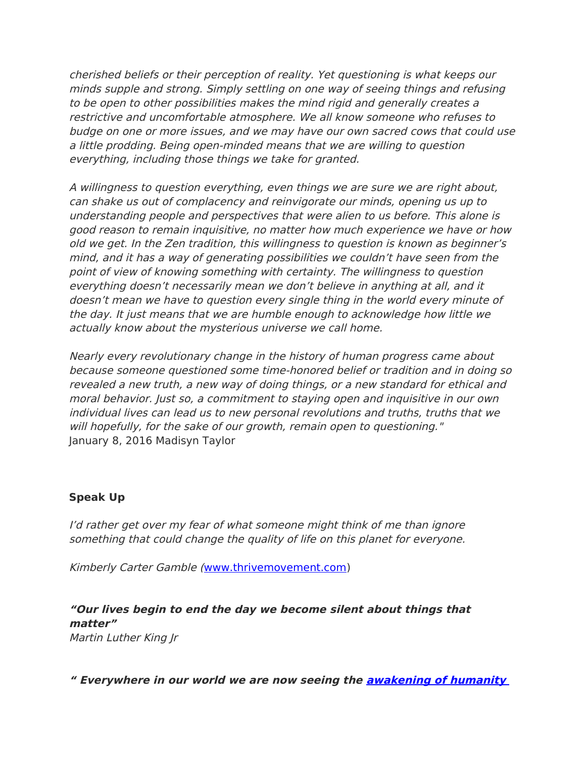cherished beliefs or their perception of reality. Yet questioning is what keeps our minds supple and strong. Simply settling on one way of seeing things and refusing to be open to other possibilities makes the mind rigid and generally creates a restrictive and uncomfortable atmosphere. We all know someone who refuses to budge on one or more issues, and we may have our own sacred cows that could use a little prodding. Being open-minded means that we are willing to question everything, including those things we take for granted.

A willingness to question everything, even things we are sure we are right about, can shake us out of complacency and reinvigorate our minds, opening us up to understanding people and perspectives that were alien to us before. This alone is good reason to remain inquisitive, no matter how much experience we have or how old we get. In the Zen tradition, this willingness to question is known as beginner's mind, and it has a way of generating possibilities we couldn't have seen from the point of view of knowing something with certainty. The willingness to question everything doesn't necessarily mean we don't believe in anything at all, and it doesn't mean we have to question every single thing in the world every minute of the day. It just means that we are humble enough to acknowledge how little we actually know about the mysterious universe we call home.

Nearly every revolutionary change in the history of human progress came about because someone questioned some time-honored belief or tradition and in doing so revealed a new truth, a new way of doing things, or a new standard for ethical and moral behavior. Just so, a commitment to staying open and inquisitive in our own individual lives can lead us to new personal revolutions and truths, truths that we will hopefully, for the sake of our growth, remain open to questioning." January 8, 2016 Madisyn Taylor

### **Speak Up**

I'd rather get over my fear of what someone might think of me than ignore something that could change the quality of life on this planet for everyone.

Kimberly Carter Gamble ([www.thrivemovement.com\)](http://www.thrivemovement.com/)

**"Our lives begin to end the day we become silent about things that matter"** 

Martin Luther King Jr

**" Everywhere in our world we are now seeing the [awakening of humanity](https://100727908-927062318473186452.preview.editmysite.com/editor/main.php)**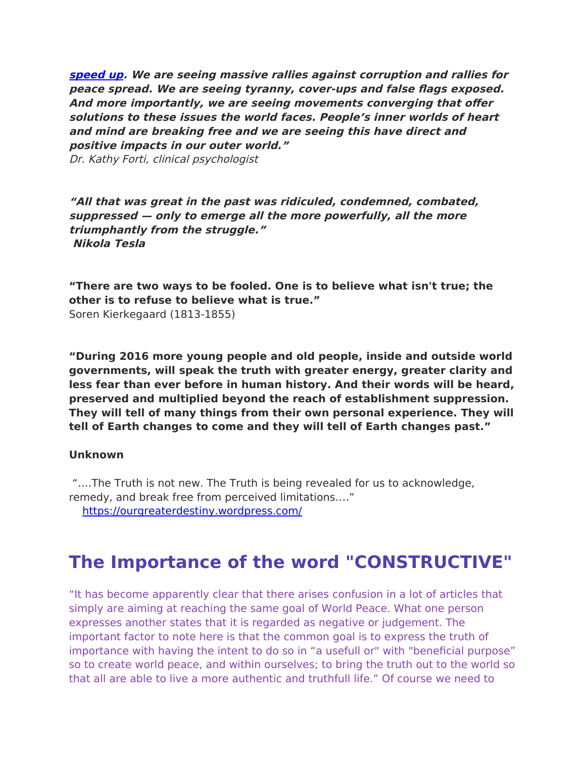**[speed up](https://100727908-927062318473186452.preview.editmysite.com/editor/main.php). We are seeing massive rallies against corruption and rallies for peace spread. We are seeing tyranny, cover-ups and false fags exposed. And more importantly, we are seeing movements converging that ofer solutions to these issues the world faces. People's inner worlds of heart and mind are breaking free and we are seeing this have direct and positive impacts in our outer world."** Dr. Kathy Forti, clinical psychologist

**"All that was great in the past was ridiculed, condemned, combated, suppressed — only to emerge all the more powerfully, all the more triumphantly from the struggle." Nikola Tesla**

**"There are two ways to be fooled. One is to believe what isn't true; the other is to refuse to believe what is true."** Soren Kierkegaard (1813-1855)

**"During 2016 more young people and old people, inside and outside world governments, will speak the truth with greater energy, greater clarity and less fear than ever before in human history. And their words will be heard, preserved and multiplied beyond the reach of establishment suppression. They will tell of many things from their own personal experience. They will tell of Earth changes to come and they will tell of Earth changes past."**

#### **Unknown**

"….The Truth is not new. The Truth is being revealed for us to acknowledge, remedy, and break free from perceived limitations…."

<https://ourgreaterdestiny.wordpress.com/>

### **The Importance of the word "CONSTRUCTIVE"**

"It has become apparently clear that there arises confusion in a lot of articles that simply are aiming at reaching the same goal of World Peace. What one person expresses another states that it is regarded as negative or judgement. The important factor to note here is that the common goal is to express the truth of importance with having the intent to do so in "a usefull or" with "beneficial purpose" so to create world peace, and within ourselves; to bring the truth out to the world so that all are able to live a more authentic and truthfull life." Of course we need to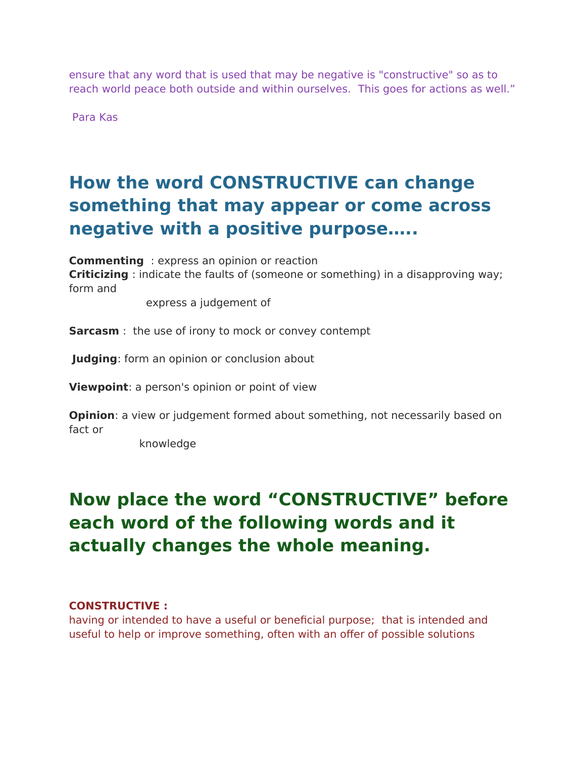ensure that any word that is used that may be negative is "constructive" so as to reach world peace both outside and within ourselves. This goes for actions as well."

Para Kas

### **How the word CONSTRUCTIVE can change something that may appear or come across negative with a positive purpose…..**

**Commenting** : express an opinion or reaction **Criticizing** : indicate the faults of (someone or something) in a disapproving way; form and

express a judgement of

**Sarcasm** : the use of irony to mock or convey contempt

**Judging**: form an opinion or conclusion about

**Viewpoint**: a person's opinion or point of view

**Opinion**: a view or judgement formed about something, not necessarily based on fact or

knowledge

### **Now place the word "CONSTRUCTIVE" before each word of the following words and it actually changes the whole meaning.**

### **CONSTRUCTIVE :**

having or intended to have a useful or beneficial purpose; that is intended and useful to help or improve something, often with an ofer of possible solutions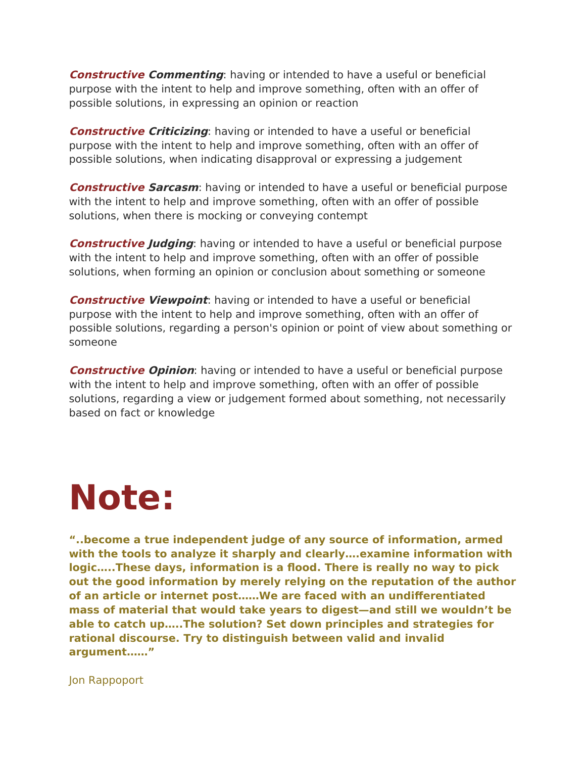**Constructive Commenting**: having or intended to have a useful or beneficial purpose with the intent to help and improve something, often with an offer of possible solutions, in expressing an opinion or reaction

**Constructive Criticizing**: having or intended to have a useful or beneficial purpose with the intent to help and improve something, often with an ofer of possible solutions, when indicating disapproval or expressing a judgement

**Constructive Sarcasm**: having or intended to have a useful or beneficial purpose with the intent to help and improve something, often with an offer of possible solutions, when there is mocking or conveying contempt

**Constructive Judging**: having or intended to have a useful or beneficial purpose with the intent to help and improve something, often with an offer of possible solutions, when forming an opinion or conclusion about something or someone

**Constructive Viewpoint:** having or intended to have a useful or beneficial purpose with the intent to help and improve something, often with an ofer of possible solutions, regarding a person's opinion or point of view about something or someone

**Constructive Opinion**: having or intended to have a useful or beneficial purpose with the intent to help and improve something, often with an offer of possible solutions, regarding a view or judgement formed about something, not necessarily based on fact or knowledge

# **Note:**

**"..become a true independent judge of any source of information, armed with the tools to analyze it sharply and clearly….examine information with logic…..These days, information is a food. There is really no way to pick out the good information by merely relying on the reputation of the author of an article or internet post……We are faced with an undiferentiated mass of material that would take years to digest—and still we wouldn't be able to catch up…..The solution? Set down principles and strategies for rational discourse. Try to distinguish between valid and invalid argument……"**

Jon Rappoport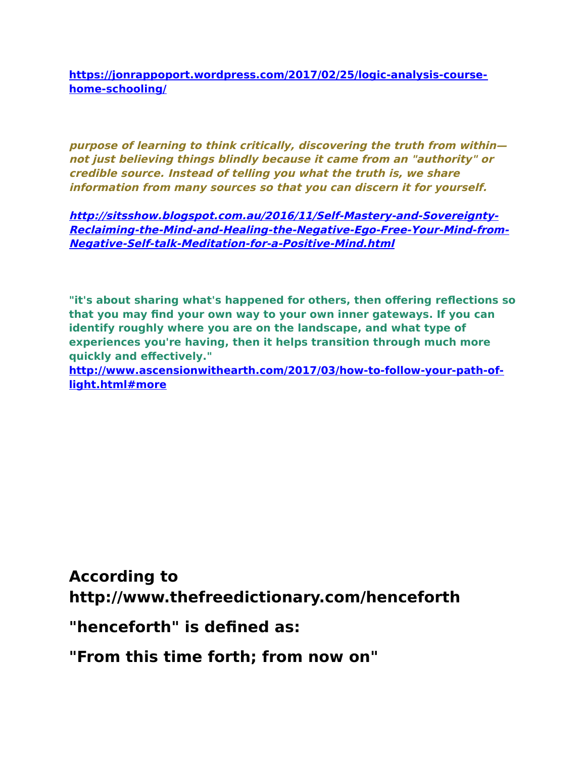**[https://jonrappoport.wordpress.com/2017/02/25/logic-analysis-course](https://jonrappoport.wordpress.com/2017/02/25/logic-analysis-course-home-schooling/)[home-schooling/](https://jonrappoport.wordpress.com/2017/02/25/logic-analysis-course-home-schooling/)**

**purpose of learning to think critically, discovering the truth from within not just believing things blindly because it came from an "authority" or credible source. Instead of telling you what the truth is, we share information from many sources so that you can discern it for yourself.**

**[http://sitsshow.blogspot.com.au/2016/11/Self-Mastery-and-Sovereignty-](http://sitsshow.blogspot.com.au/2016/11/Self-Mastery-and-Sovereignty-Reclaiming-the-Mind-and-Healing-the-Negative-Ego-Free-Your-Mind-from-Negative-Self-talk-Meditation-for-a-Positive-Mind.html)[Reclaiming-the-Mind-and-Healing-the-Negative-Ego-Free-Your-Mind-from-](http://sitsshow.blogspot.com.au/2016/11/Self-Mastery-and-Sovereignty-Reclaiming-the-Mind-and-Healing-the-Negative-Ego-Free-Your-Mind-from-Negative-Self-talk-Meditation-for-a-Positive-Mind.html)[Negative-Self-talk-Meditation-for-a-Positive-Mind.html](http://sitsshow.blogspot.com.au/2016/11/Self-Mastery-and-Sovereignty-Reclaiming-the-Mind-and-Healing-the-Negative-Ego-Free-Your-Mind-from-Negative-Self-talk-Meditation-for-a-Positive-Mind.html)**

**"it's about sharing what's happened for others, then ofering refections so that you may fnd your own way to your own inner gateways. If you can identify roughly where you are on the landscape, and what type of experiences you're having, then it helps transition through much more quickly and efectively."**

**[http://www.ascensionwithearth.com/2017/03/how-to-follow-your-path-of](http://www.ascensionwithearth.com/2017/03/how-to-follow-your-path-of-light.html#more)[light.html#more](http://www.ascensionwithearth.com/2017/03/how-to-follow-your-path-of-light.html#more)**

**According to http://www.thefreedictionary.com/henceforth**

**"henceforth" is defned as:**

**"From this time forth; from now on"**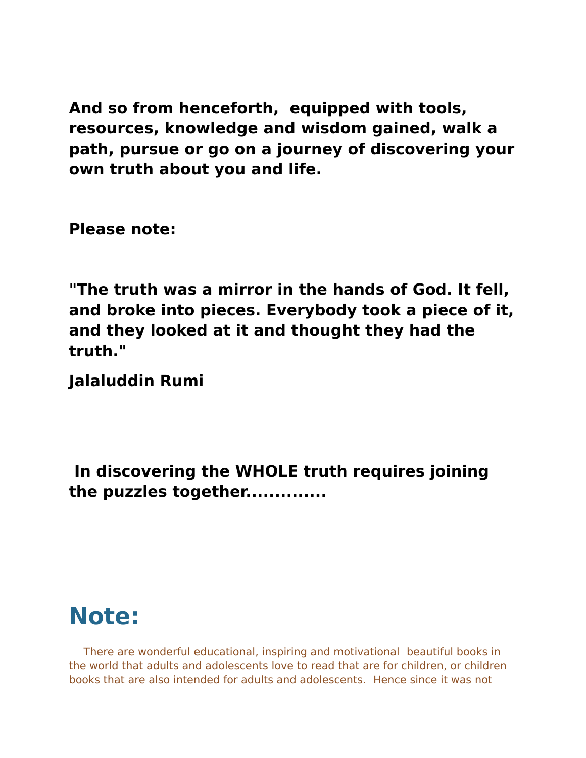**And so from henceforth, equipped with tools, resources, knowledge and wisdom gained, walk a path, pursue or go on a journey of discovering your own truth about you and life.**

**Please note:**

**"The truth was a mirror in the hands of God. It fell, and broke into pieces. Everybody took a piece of it, and they looked at it and thought they had the truth."**

**Jalaluddin Rumi**

**In discovering the WHOLE truth requires joining the puzzles together..............**

### **Note:**

There are wonderful educational, inspiring and motivational beautiful books in the world that adults and adolescents love to read that are for children, or children books that are also intended for adults and adolescents. Hence since it was not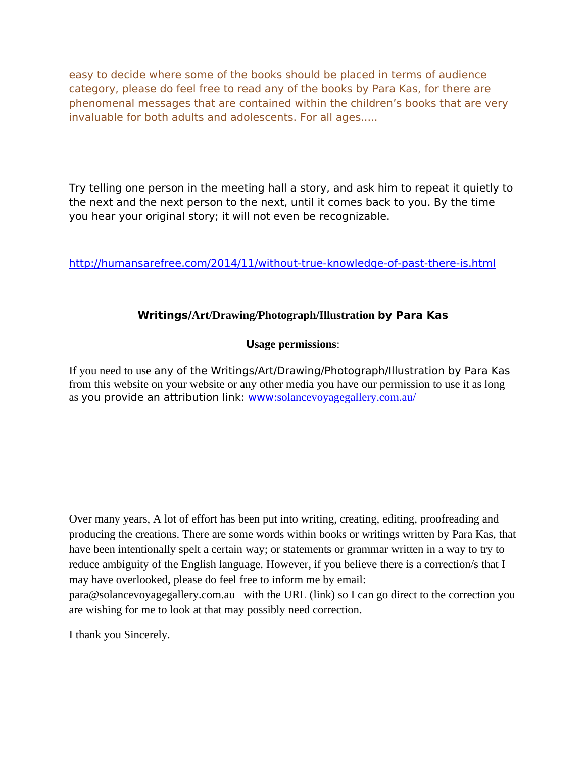easy to decide where some of the books should be placed in terms of audience category, please do feel free to read any of the books by Para Kas, for there are phenomenal messages that are contained within the children's books that are very invaluable for both adults and adolescents. For all ages.....

Try telling one person in the meeting hall a story, and ask him to repeat it quietly to the next and the next person to the next, until it comes back to you. By the time you hear your original story; it will not even be recognizable.

<http://humansarefree.com/2014/11/without-true-knowledge-of-past-there-is.html>

### **Writings/Art/Drawing/Photograph/Illustration by Para Kas**

### **Usage permissions**:

If you need to use any of the Writings/Art/Drawing/Photograph/Illustration by Para Kas from this website on your website or any other media you have our permission to use it as long as you provide an attribution link: www[:solancevoyagegallery.com.au/](http://solancevoyagegallery.com.au/)

Over many years, A lot of effort has been put into writing, creating, editing, proofreading and producing the creations. There are some words within books or writings written by Para Kas, that have been intentionally spelt a certain way; or statements or grammar written in a way to try to reduce ambiguity of the English language. However, if you believe there is a correction/s that I may have overlooked, please do feel free to inform me by email:

para@solancevoyagegallery.com.au with the URL (link) so I can go direct to the correction you are wishing for me to look at that may possibly need correction.

I thank you Sincerely.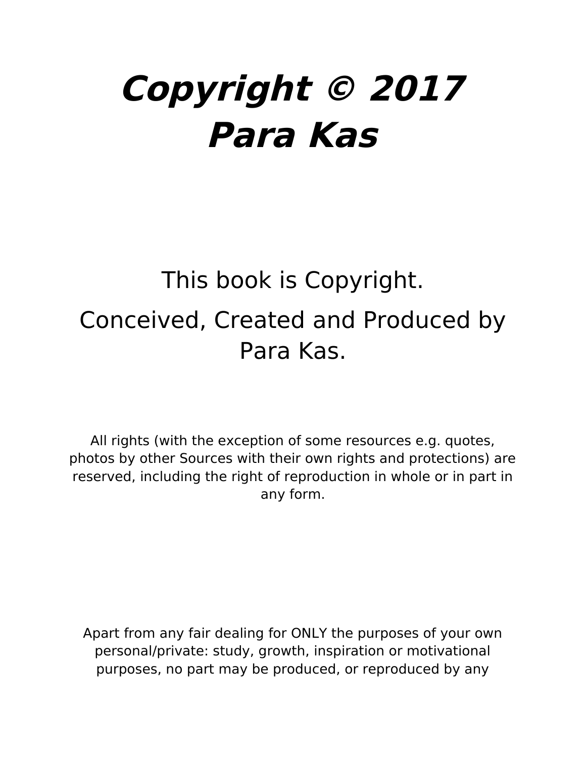# **Copyright © 2017 Para Kas**

# This book is Copyright. Conceived, Created and Produced by Para Kas.

All rights (with the exception of some resources e.g. quotes, photos by other Sources with their own rights and protections) are reserved, including the right of reproduction in whole or in part in any form.

Apart from any fair dealing for ONLY the purposes of your own personal/private: study, growth, inspiration or motivational purposes, no part may be produced, or reproduced by any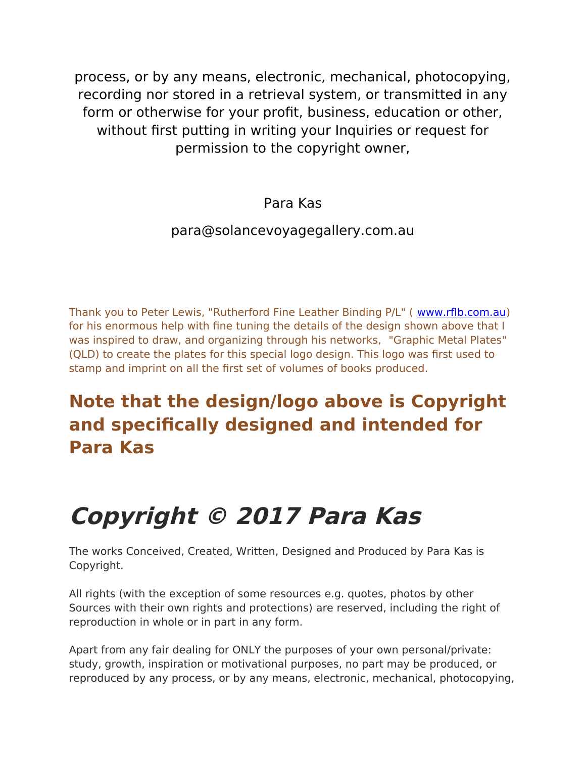process, or by any means, electronic, mechanical, photocopying, recording nor stored in a retrieval system, or transmitted in any form or otherwise for your profit, business, education or other, without first putting in writing your Inquiries or request for permission to the copyright owner,

#### Para Kas

#### para@solancevoyagegallery.com.au

Thank you to Peter Lewis, "Rutherford Fine Leather Binding P/L" ( [www.rfb.com.au\)](http://www.rflb.com.auu/) for his enormous help with fne tuning the details of the design shown above that I was inspired to draw, and organizing through his networks, "Graphic Metal Plates" (QLD) to create the plates for this special logo design. This logo was frst used to stamp and imprint on all the frst set of volumes of books produced.

# **Note that the design/logo above is Copyright and specifcally designed and intended for Para Kas**

# **Copyright © 2017 Para Kas**

The works Conceived, Created, Written, Designed and Produced by Para Kas is Copyright.

All rights (with the exception of some resources e.g. quotes, photos by other Sources with their own rights and protections) are reserved, including the right of reproduction in whole or in part in any form.

Apart from any fair dealing for ONLY the purposes of your own personal/private: study, growth, inspiration or motivational purposes, no part may be produced, or reproduced by any process, or by any means, electronic, mechanical, photocopying,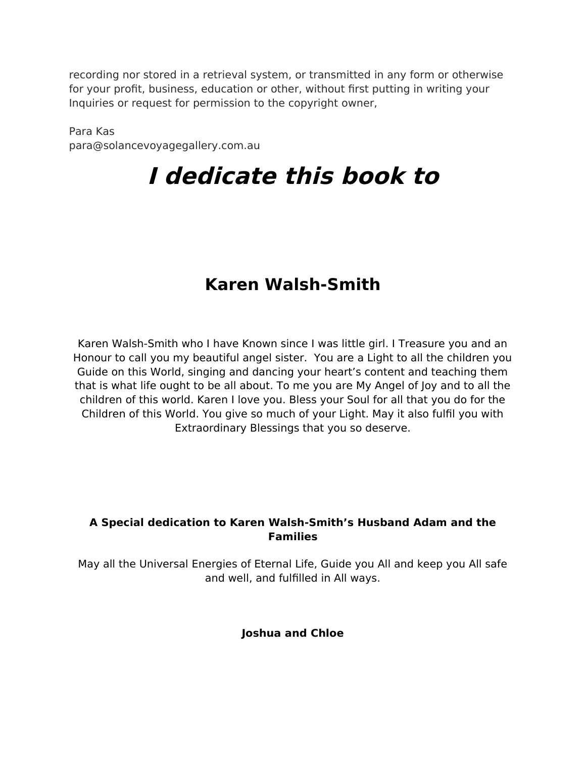recording nor stored in a retrieval system, or transmitted in any form or otherwise for your profit, business, education or other, without first putting in writing your Inquiries or request for permission to the copyright owner,

Para Kas para@solancevoyagegallery.com.au

# **I dedicate this book to**

## **Karen Walsh-Smith**

Karen Walsh-Smith who I have Known since I was little girl. I Treasure you and an Honour to call you my beautiful angel sister. You are a Light to all the children you Guide on this World, singing and dancing your heart's content and teaching them that is what life ought to be all about. To me you are My Angel of Joy and to all the children of this world. Karen I love you. Bless your Soul for all that you do for the Children of this World. You give so much of your Light. May it also fulfl you with Extraordinary Blessings that you so deserve.

#### **A Special dedication to Karen Walsh-Smith's Husband Adam and the Families**

May all the Universal Energies of Eternal Life, Guide you All and keep you All safe and well, and fulflled in All ways.

**Joshua and Chloe**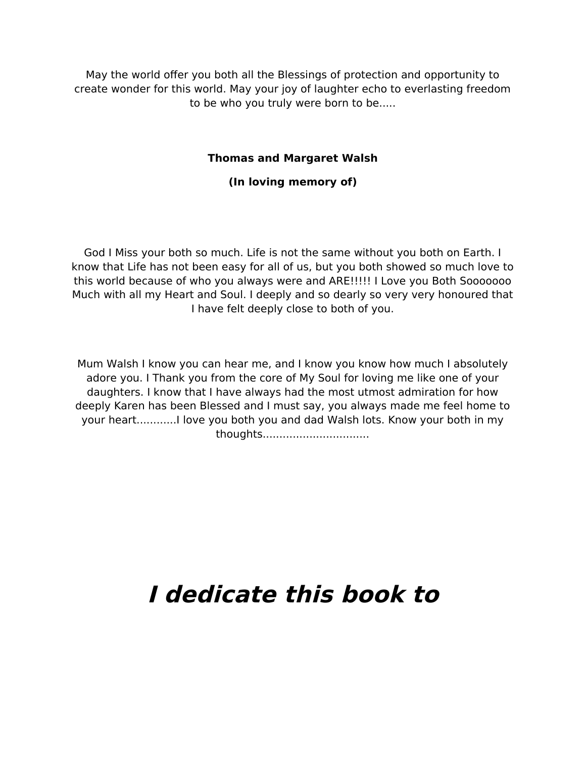May the world ofer you both all the Blessings of protection and opportunity to create wonder for this world. May your joy of laughter echo to everlasting freedom to be who you truly were born to be.....

#### **Thomas and Margaret Walsh**

#### **(In loving memory of)**

God I Miss your both so much. Life is not the same without you both on Earth. I know that Life has not been easy for all of us, but you both showed so much love to this world because of who you always were and ARE!!!!! I Love you Both Sooooooo Much with all my Heart and Soul. I deeply and so dearly so very very honoured that I have felt deeply close to both of you.

Mum Walsh I know you can hear me, and I know you know how much I absolutely adore you. I Thank you from the core of My Soul for loving me like one of your daughters. I know that I have always had the most utmost admiration for how deeply Karen has been Blessed and I must say, you always made me feel home to your heart............I love you both you and dad Walsh lots. Know your both in my thoughts................................

# **I dedicate this book to**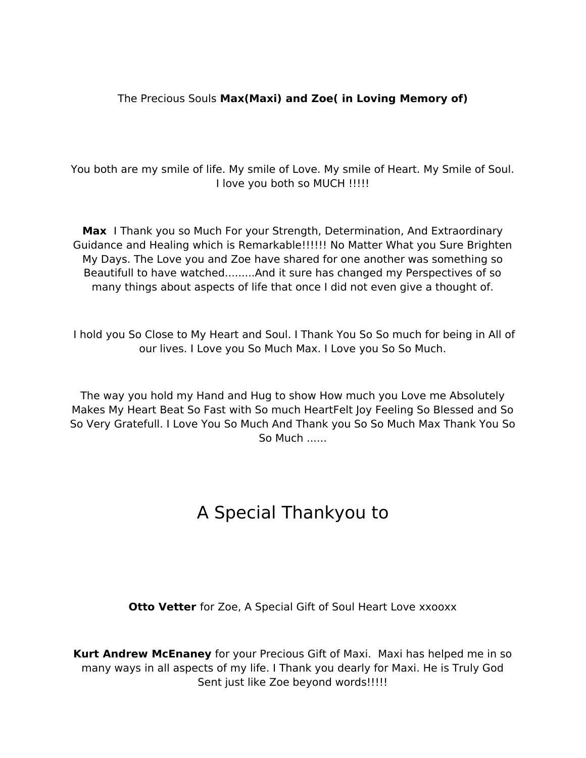#### The Precious Souls **Max(Maxi) and Zoe( in Loving Memory of)**

You both are my smile of life. My smile of Love. My smile of Heart. My Smile of Soul. I love you both so MUCH !!!!!

**Max** I Thank you so Much For your Strength, Determination, And Extraordinary Guidance and Healing which is Remarkable!!!!!! No Matter What you Sure Brighten My Days. The Love you and Zoe have shared for one another was something so Beautifull to have watched.........And it sure has changed my Perspectives of so many things about aspects of life that once I did not even give a thought of.

I hold you So Close to My Heart and Soul. I Thank You So So much for being in All of our lives. I Love you So Much Max. I Love you So So Much.

The way you hold my Hand and Hug to show How much you Love me Absolutely Makes My Heart Beat So Fast with So much HeartFelt Joy Feeling So Blessed and So So Very Gratefull. I Love You So Much And Thank you So So Much Max Thank You So So Much ......

## A Special Thankyou to

**Otto Vetter** for Zoe, A Special Gift of Soul Heart Love xxooxx

**Kurt Andrew McEnaney** for your Precious Gift of Maxi. Maxi has helped me in so many ways in all aspects of my life. I Thank you dearly for Maxi. He is Truly God Sent just like Zoe beyond words!!!!!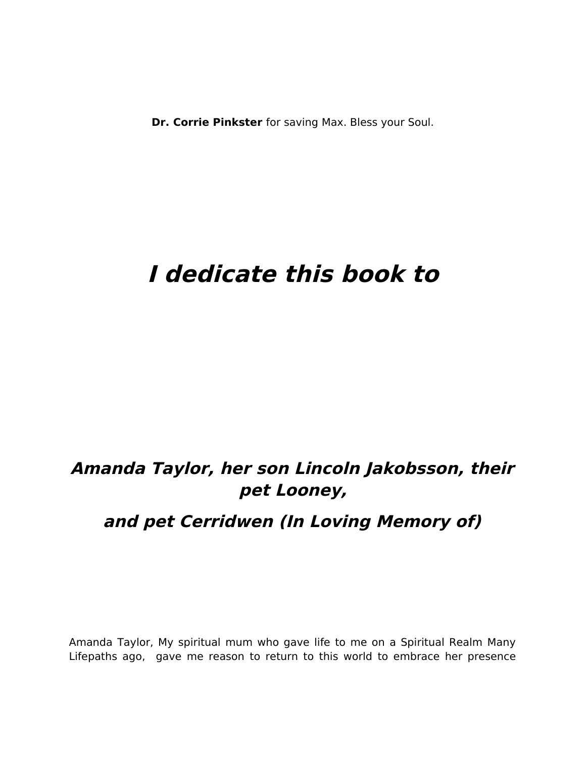**Dr. Corrie Pinkster** for saving Max. Bless your Soul.

# **I dedicate this book to**

### **Amanda Taylor, her son Lincoln Jakobsson, their pet Looney,**

### **and pet Cerridwen (In Loving Memory of)**

Amanda Taylor, My spiritual mum who gave life to me on a Spiritual Realm Many Lifepaths ago, gave me reason to return to this world to embrace her presence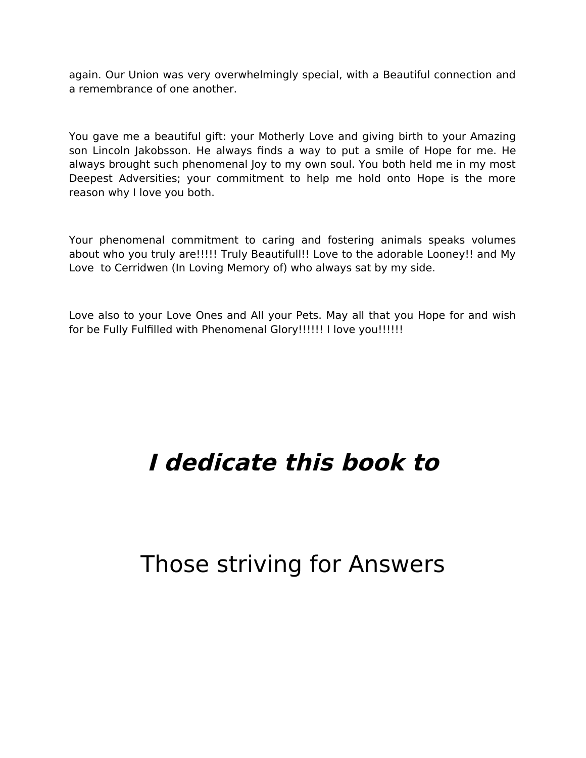again. Our Union was very overwhelmingly special, with a Beautiful connection and a remembrance of one another.

You gave me a beautiful gift: your Motherly Love and giving birth to your Amazing son Lincoln Jakobsson. He always fnds a way to put a smile of Hope for me. He always brought such phenomenal Joy to my own soul. You both held me in my most Deepest Adversities; your commitment to help me hold onto Hope is the more reason why I love you both.

Your phenomenal commitment to caring and fostering animals speaks volumes about who you truly are!!!!! Truly Beautifull!! Love to the adorable Looney!! and My Love to Cerridwen (In Loving Memory of) who always sat by my side.

Love also to your Love Ones and All your Pets. May all that you Hope for and wish for be Fully Fulfilled with Phenomenal Glory!!!!!! I love you!!!!!!

# **I dedicate this book to**

# Those striving for Answers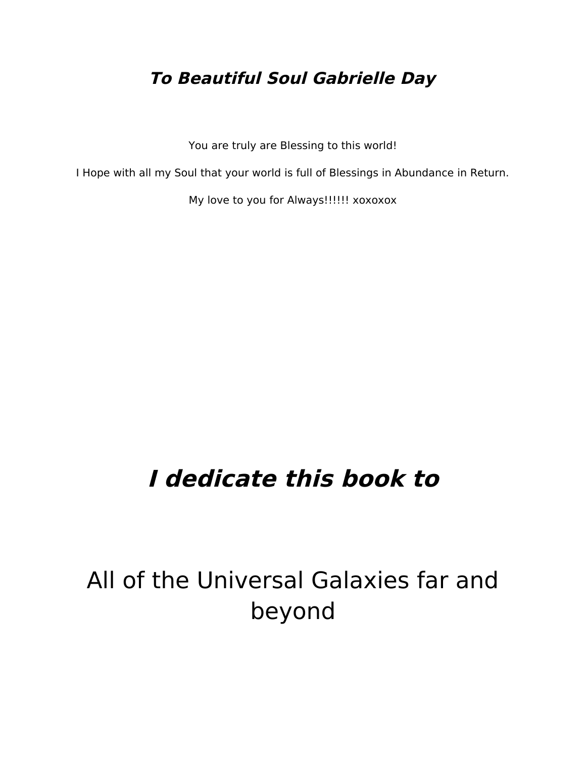### **To Beautiful Soul Gabrielle Day**

You are truly are Blessing to this world!

I Hope with all my Soul that your world is full of Blessings in Abundance in Return.

My love to you for Always!!!!!! xoxoxox

# **I dedicate this book to**

All of the Universal Galaxies far and beyond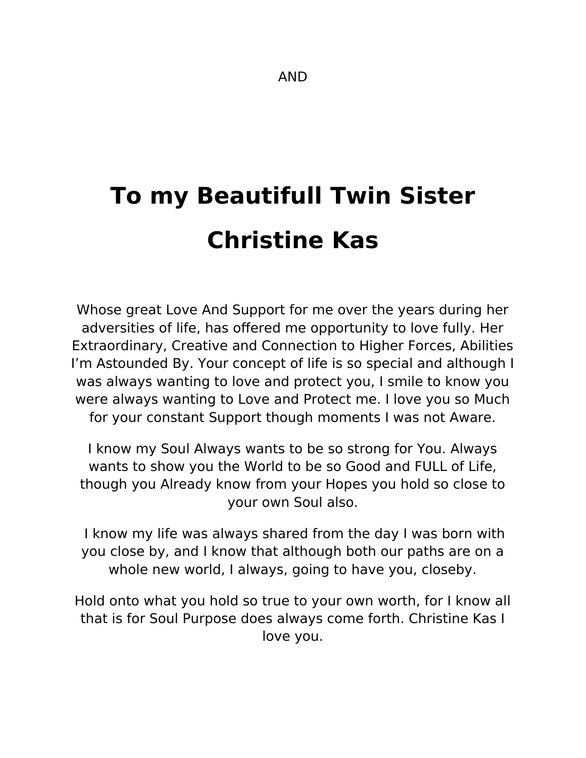# **To my Beautifull Twin Sister Christine Kas**

Whose great Love And Support for me over the years during her adversities of life, has offered me opportunity to love fully. Her Extraordinary, Creative and Connection to Higher Forces, Abilities I'm Astounded By. Your concept of life is so special and although I was always wanting to love and protect you, I smile to know you were always wanting to Love and Protect me. I love you so Much for your constant Support though moments I was not Aware.

I know my Soul Always wants to be so strong for You. Always wants to show you the World to be so Good and FULL of Life, though you Already know from your Hopes you hold so close to your own Soul also.

I know my life was always shared from the day I was born with you close by, and I know that although both our paths are on a whole new world, I always, going to have you, closeby.

Hold onto what you hold so true to your own worth, for I know all that is for Soul Purpose does always come forth. Christine Kas I love you.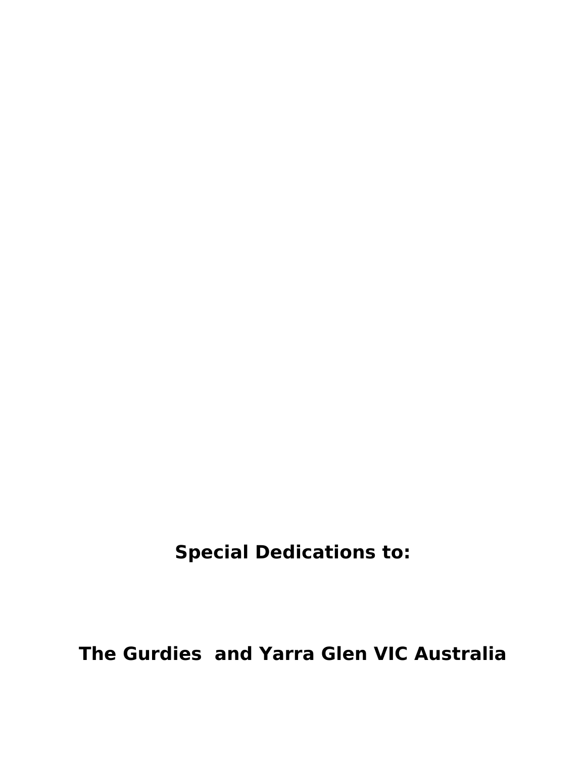**Special Dedications to:**

**The Gurdies and Yarra Glen VIC Australia**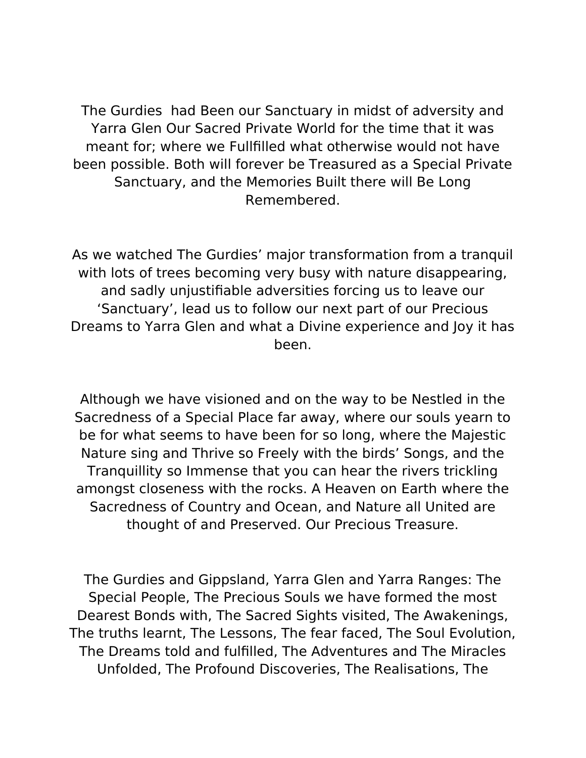The Gurdies had Been our Sanctuary in midst of adversity and Yarra Glen Our Sacred Private World for the time that it was meant for; where we Fullflled what otherwise would not have been possible. Both will forever be Treasured as a Special Private Sanctuary, and the Memories Built there will Be Long Remembered.

As we watched The Gurdies' major transformation from a tranquil with lots of trees becoming very busy with nature disappearing, and sadly unjustifable adversities forcing us to leave our 'Sanctuary', lead us to follow our next part of our Precious Dreams to Yarra Glen and what a Divine experience and Joy it has been.

Although we have visioned and on the way to be Nestled in the Sacredness of a Special Place far away, where our souls yearn to be for what seems to have been for so long, where the Majestic Nature sing and Thrive so Freely with the birds' Songs, and the Tranquillity so Immense that you can hear the rivers trickling amongst closeness with the rocks. A Heaven on Earth where the Sacredness of Country and Ocean, and Nature all United are thought of and Preserved. Our Precious Treasure.

The Gurdies and Gippsland, Yarra Glen and Yarra Ranges: The Special People, The Precious Souls we have formed the most Dearest Bonds with, The Sacred Sights visited, The Awakenings, The truths learnt, The Lessons, The fear faced, The Soul Evolution, The Dreams told and fulflled, The Adventures and The Miracles Unfolded, The Profound Discoveries, The Realisations, The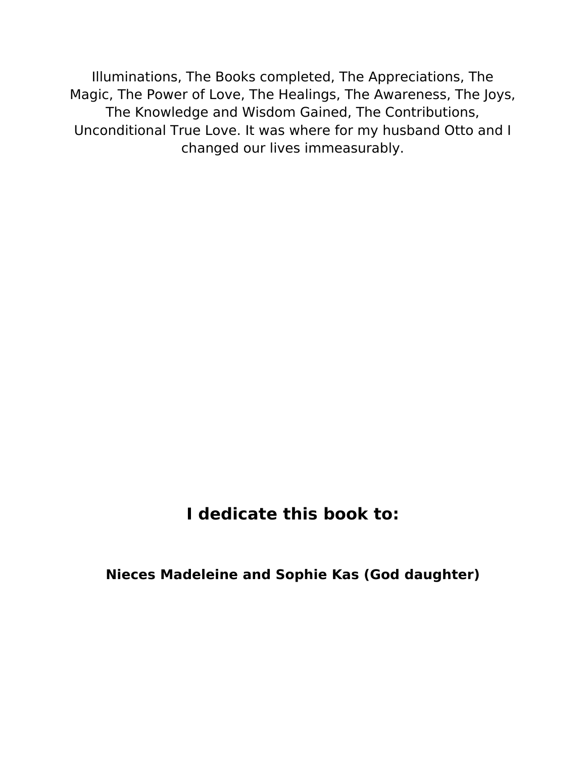Illuminations, The Books completed, The Appreciations, The Magic, The Power of Love, The Healings, The Awareness, The Joys, The Knowledge and Wisdom Gained, The Contributions, Unconditional True Love. It was where for my husband Otto and I changed our lives immeasurably.

### **I dedicate this book to:**

**Nieces Madeleine and Sophie Kas (God daughter)**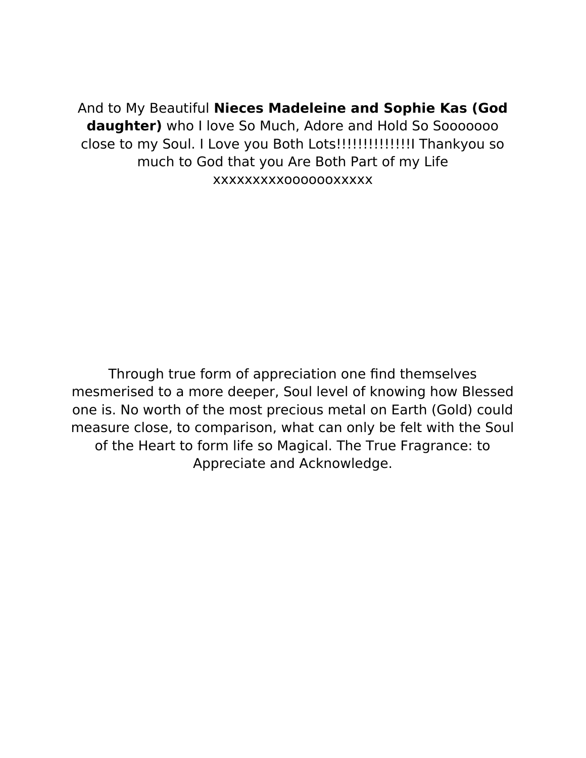And to My Beautiful **Nieces Madeleine and Sophie Kas (God daughter)** who I love So Much, Adore and Hold So Sooooooo close to my Soul. I Love you Both Lots!!!!!!!!!!!!!!!! Thankyou so much to God that you Are Both Part of my Life xxxxxxxxxooooooxxxxx

Through true form of appreciation one fnd themselves mesmerised to a more deeper, Soul level of knowing how Blessed one is. No worth of the most precious metal on Earth (Gold) could measure close, to comparison, what can only be felt with the Soul of the Heart to form life so Magical. The True Fragrance: to Appreciate and Acknowledge.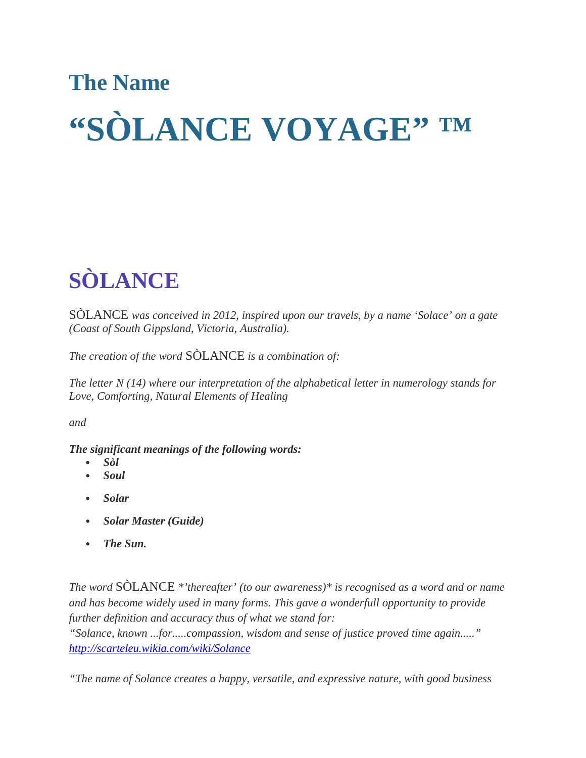# **The Name "SÒLANCE VOYAGE" ™**

# **SÒLANCE**

SÒLANCE *was conceived in 2012, inspired upon our travels, by a name 'Solace' on a gate (Coast of South Gippsland, Victoria, Australia).* 

*The creation of the word* SÒLANCE *is a combination of:*

*The letter N (14) where our interpretation of the alphabetical letter in numerology stands for Love, Comforting, Natural Elements of Healing*

*and*

#### *The significant meanings of the following words:*

- *Sòl*
- *Soul*
- *Solar*
- *Solar Master (Guide)*
- *The Sun.*

*The word* SÒLANCE *\*'thereafter' (to our awareness)\* is recognised as a word and or name and has become widely used in many forms. This gave a wonderfull opportunity to provide further definition and accuracy thus of what we stand for:*

*"Solance, known ...for.....compassion, wisdom and sense of justice proved time again....." <http://scarteleu.wikia.com/wiki/Solance>*

*"The name of Solance creates a happy, versatile, and expressive nature, with good business*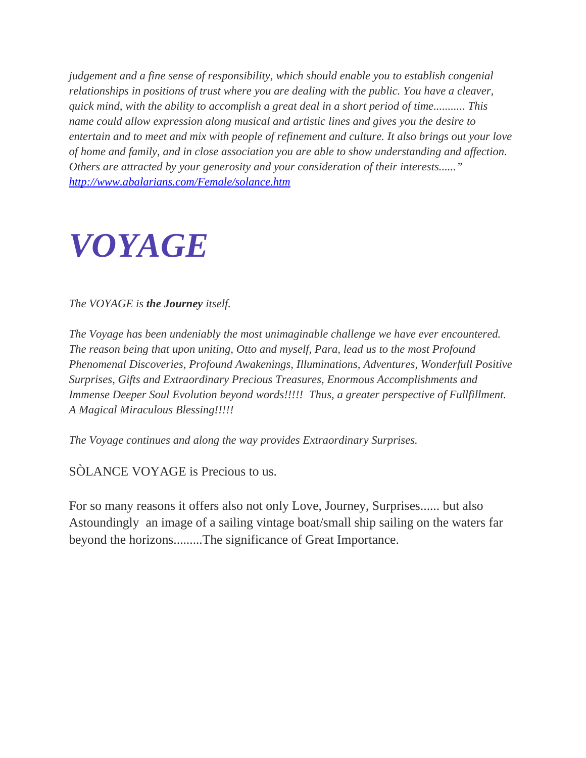*judgement and a fine sense of responsibility, which should enable you to establish congenial relationships in positions of trust where you are dealing with the public. You have a cleaver, quick mind, with the ability to accomplish a great deal in a short period of time........... This name could allow expression along musical and artistic lines and gives you the desire to entertain and to meet and mix with people of refinement and culture. It also brings out your love of home and family, and in close association you are able to show understanding and affection. Others are attracted by your generosity and your consideration of their interests......" <http://www.abalarians.com/Female/solance.htm>*

# *VOYAGE*

*The VOYAGE is the Journey itself.*

*The Voyage has been undeniably the most unimaginable challenge we have ever encountered. The reason being that upon uniting, Otto and myself, Para, lead us to the most Profound Phenomenal Discoveries, Profound Awakenings, Illuminations, Adventures, Wonderfull Positive Surprises, Gifts and Extraordinary Precious Treasures, Enormous Accomplishments and Immense Deeper Soul Evolution beyond words!!!!! Thus, a greater perspective of Fullfillment. A Magical Miraculous Blessing!!!!!*

*The Voyage continues and along the way provides Extraordinary Surprises.*

SÒLANCE VOYAGE is Precious to us.

For so many reasons it offers also not only Love, Journey, Surprises...... but also Astoundingly an image of a sailing vintage boat/small ship sailing on the waters far beyond the horizons.........The significance of Great Importance.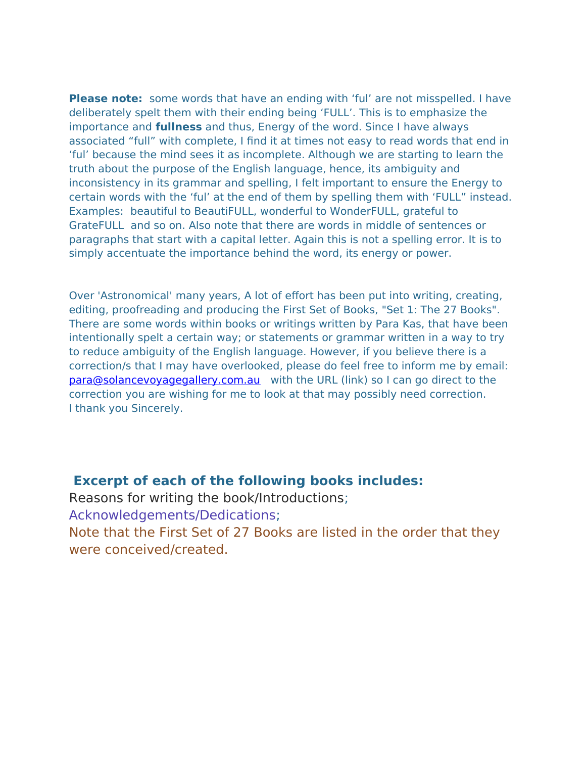**Please note:** some words that have an ending with 'ful' are not misspelled. I have deliberately spelt them with their ending being 'FULL'. This is to emphasize the importance and **fullness** and thus, Energy of the word. Since I have always associated "full" with complete, I fnd it at times not easy to read words that end in 'ful' because the mind sees it as incomplete. Although we are starting to learn the truth about the purpose of the English language, hence, its ambiguity and inconsistency in its grammar and spelling, I felt important to ensure the Energy to certain words with the 'ful' at the end of them by spelling them with 'FULL" instead. Examples: beautiful to BeautiFULL, wonderful to WonderFULL, grateful to GrateFULL and so on. Also note that there are words in middle of sentences or paragraphs that start with a capital letter. Again this is not a spelling error. It is to simply accentuate the importance behind the word, its energy or power.

Over 'Astronomical' many years, A lot of efort has been put into writing, creating, editing, proofreading and producing the First Set of Books, "Set 1: The 27 Books". There are some words within books or writings written by Para Kas, that have been intentionally spelt a certain way; or statements or grammar written in a way to try to reduce ambiguity of the English language. However, if you believe there is a correction/s that I may have overlooked, please do feel free to inform me by email: [para@solancevoyagegallery.com.au](mailto:para@solancevoyagegallery.com.au) with the URL (link) so I can go direct to the correction you are wishing for me to look at that may possibly need correction. I thank you Sincerely.

#### **Excerpt of each of the following books includes:**

Reasons for writing the book/Introductions; Acknowledgements/Dedications; Note that the First Set of 27 Books are listed in the order that they were conceived/created.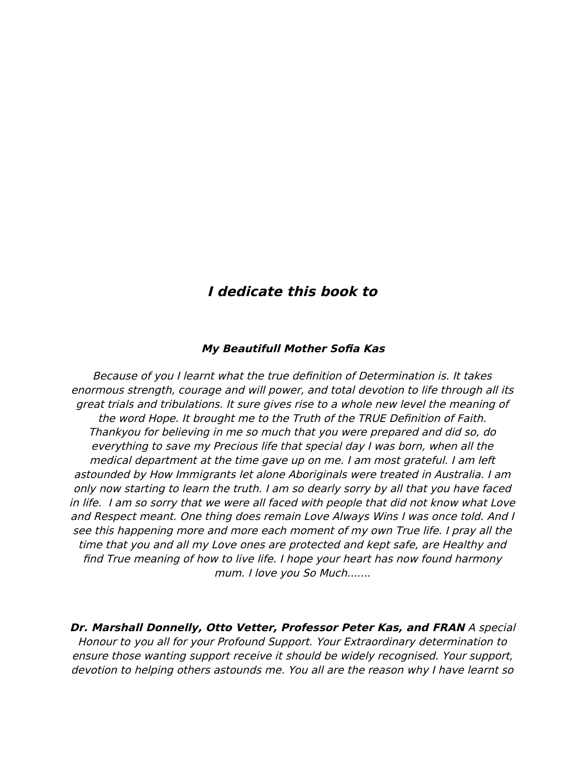### **I dedicate this book to**

#### **My Beautifull Mother Sofa Kas**

Because of you I learnt what the true defnition of Determination is. It takes enormous strength, courage and will power, and total devotion to life through all its great trials and tribulations. It sure gives rise to a whole new level the meaning of the word Hope. It brought me to the Truth of the TRUE Defnition of Faith. Thankyou for believing in me so much that you were prepared and did so, do everything to save my Precious life that special day I was born, when all the medical department at the time gave up on me. I am most grateful. I am left astounded by How Immigrants let alone Aboriginals were treated in Australia. I am only now starting to learn the truth. I am so dearly sorry by all that you have faced in life. I am so sorry that we were all faced with people that did not know what Love and Respect meant. One thing does remain Love Always Wins I was once told. And I see this happening more and more each moment of my own True life. I pray all the time that you and all my Love ones are protected and kept safe, are Healthy and fnd True meaning of how to live life. I hope your heart has now found harmony mum. I love you So Much.......

**Dr. Marshall Donnelly, Otto Vetter, Professor Peter Kas, and FRAN** A special Honour to you all for your Profound Support. Your Extraordinary determination to ensure those wanting support receive it should be widely recognised. Your support, devotion to helping others astounds me. You all are the reason why I have learnt so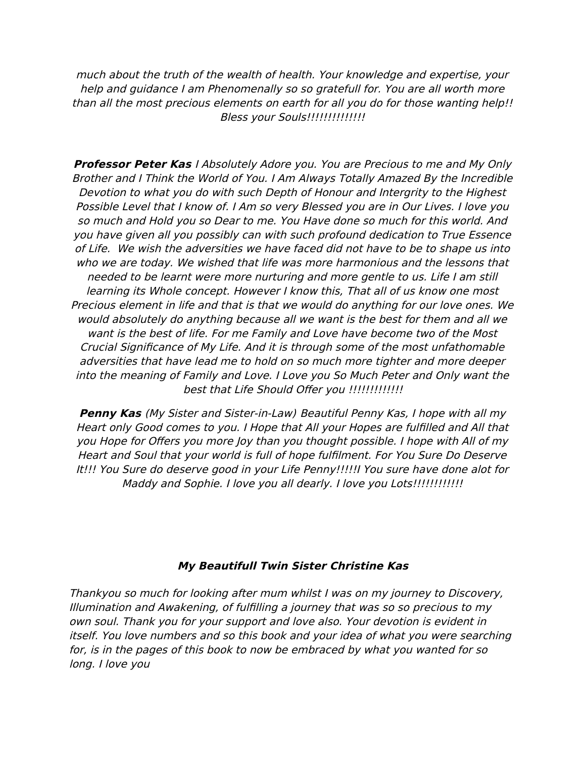much about the truth of the wealth of health. Your knowledge and expertise, your help and guidance I am Phenomenally so so gratefull for. You are all worth more than all the most precious elements on earth for all you do for those wanting help!! Bless your Souls!!!!!!!!!!!!!!!!

**Professor Peter Kas** I Absolutely Adore you. You are Precious to me and My Only Brother and I Think the World of You. I Am Always Totally Amazed By the Incredible Devotion to what you do with such Depth of Honour and Intergrity to the Highest Possible Level that I know of. I Am so very Blessed you are in Our Lives. I love you so much and Hold you so Dear to me. You Have done so much for this world. And you have given all you possibly can with such profound dedication to True Essence of Life. We wish the adversities we have faced did not have to be to shape us into who we are today. We wished that life was more harmonious and the lessons that needed to be learnt were more nurturing and more gentle to us. Life I am still learning its Whole concept. However I know this, That all of us know one most Precious element in life and that is that we would do anything for our love ones. We would absolutely do anything because all we want is the best for them and all we want is the best of life. For me Family and Love have become two of the Most Crucial Signifcance of My Life. And it is through some of the most unfathomable adversities that have lead me to hold on so much more tighter and more deeper into the meaning of Family and Love. I Love you So Much Peter and Only want the best that Life Should Offer you !!!!!!!!!!!!!!

**Penny Kas** (My Sister and Sister-in-Law) Beautiful Penny Kas, I hope with all my Heart only Good comes to you. I Hope that All your Hopes are fulflled and All that you Hope for Offers you more Joy than you thought possible. I hope with All of my Heart and Soul that your world is full of hope fulflment. For You Sure Do Deserve It!!! You Sure do deserve good in your Life Penny!!!!!I You sure have done alot for Maddy and Sophie. I love you all dearly. I love you Lots!!!!!!!!!!!!

#### **My Beautifull Twin Sister Christine Kas**

Thankyou so much for looking after mum whilst I was on my journey to Discovery, Illumination and Awakening, of fulflling a journey that was so so precious to my own soul. Thank you for your support and love also. Your devotion is evident in itself. You love numbers and so this book and your idea of what you were searching for, is in the pages of this book to now be embraced by what you wanted for so long. I love you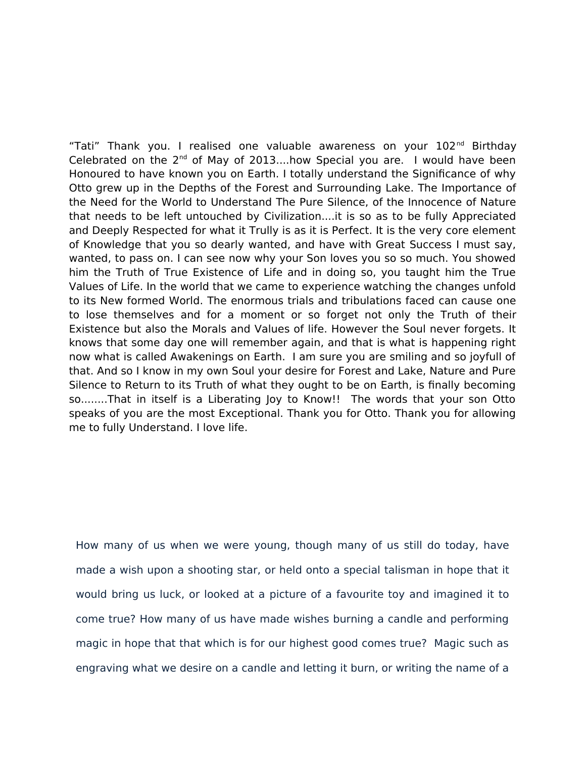"Tati" Thank you. I realised one valuable awareness on your 102<sup>nd</sup> Birthday Celebrated on the  $2^{nd}$  of May of 2013....how Special you are. I would have been Honoured to have known you on Earth. I totally understand the Signifcance of why Otto grew up in the Depths of the Forest and Surrounding Lake. The Importance of the Need for the World to Understand The Pure Silence, of the Innocence of Nature that needs to be left untouched by Civilization....it is so as to be fully Appreciated and Deeply Respected for what it Trully is as it is Perfect. It is the very core element of Knowledge that you so dearly wanted, and have with Great Success I must say, wanted, to pass on. I can see now why your Son loves you so so much. You showed him the Truth of True Existence of Life and in doing so, you taught him the True Values of Life. In the world that we came to experience watching the changes unfold to its New formed World. The enormous trials and tribulations faced can cause one to lose themselves and for a moment or so forget not only the Truth of their Existence but also the Morals and Values of life. However the Soul never forgets. It knows that some day one will remember again, and that is what is happening right now what is called Awakenings on Earth. I am sure you are smiling and so joyfull of that. And so I know in my own Soul your desire for Forest and Lake, Nature and Pure Silence to Return to its Truth of what they ought to be on Earth, is fnally becoming so........That in itself is a Liberating Joy to Know!! The words that your son Otto speaks of you are the most Exceptional. Thank you for Otto. Thank you for allowing me to fully Understand. I love life.

How many of us when we were young, though many of us still do today, have made a wish upon a shooting star, or held onto a special talisman in hope that it would bring us luck, or looked at a picture of a favourite toy and imagined it to come true? How many of us have made wishes burning a candle and performing magic in hope that that which is for our highest good comes true? Magic such as engraving what we desire on a candle and letting it burn, or writing the name of a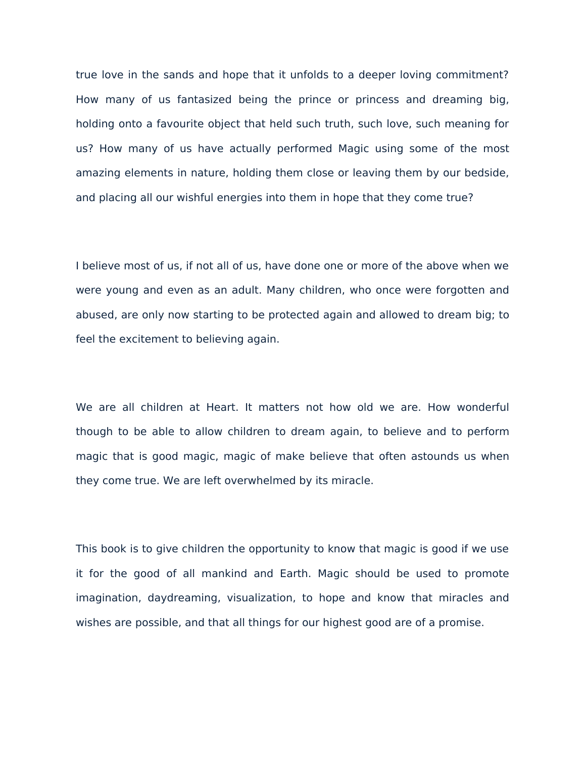true love in the sands and hope that it unfolds to a deeper loving commitment? How many of us fantasized being the prince or princess and dreaming big, holding onto a favourite object that held such truth, such love, such meaning for us? How many of us have actually performed Magic using some of the most amazing elements in nature, holding them close or leaving them by our bedside, and placing all our wishful energies into them in hope that they come true?

I believe most of us, if not all of us, have done one or more of the above when we were young and even as an adult. Many children, who once were forgotten and abused, are only now starting to be protected again and allowed to dream big; to feel the excitement to believing again.

We are all children at Heart. It matters not how old we are. How wonderful though to be able to allow children to dream again, to believe and to perform magic that is good magic, magic of make believe that often astounds us when they come true. We are left overwhelmed by its miracle.

This book is to give children the opportunity to know that magic is good if we use it for the good of all mankind and Earth. Magic should be used to promote imagination, daydreaming, visualization, to hope and know that miracles and wishes are possible, and that all things for our highest good are of a promise.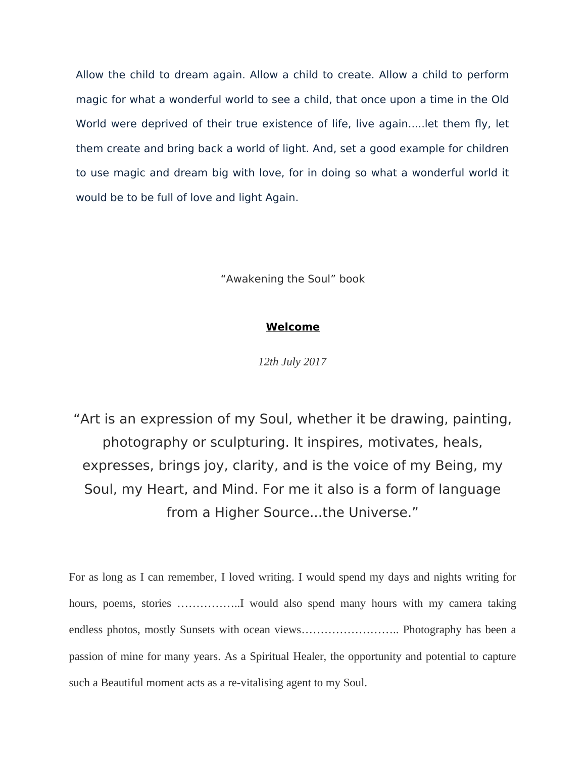Allow the child to dream again. Allow a child to create. Allow a child to perform magic for what a wonderful world to see a child, that once upon a time in the Old World were deprived of their true existence of life, live again.....let them fy, let them create and bring back a world of light. And, set a good example for children to use magic and dream big with love, for in doing so what a wonderful world it would be to be full of love and light Again.

"Awakening the Soul" book

#### **Welcome**

*12th July 2017*

"Art is an expression of my Soul, whether it be drawing, painting, photography or sculpturing. It inspires, motivates, heals, expresses, brings joy, clarity, and is the voice of my Being, my Soul, my Heart, and Mind. For me it also is a form of language from a Higher Source...the Universe."

For as long as I can remember, I loved writing. I would spend my days and nights writing for hours, poems, stories ..................I would also spend many hours with my camera taking endless photos, mostly Sunsets with ocean views.................................. Photography has been a passion of mine for many years. As a Spiritual Healer, the opportunity and potential to capture such a Beautiful moment acts as a re-vitalising agent to my Soul.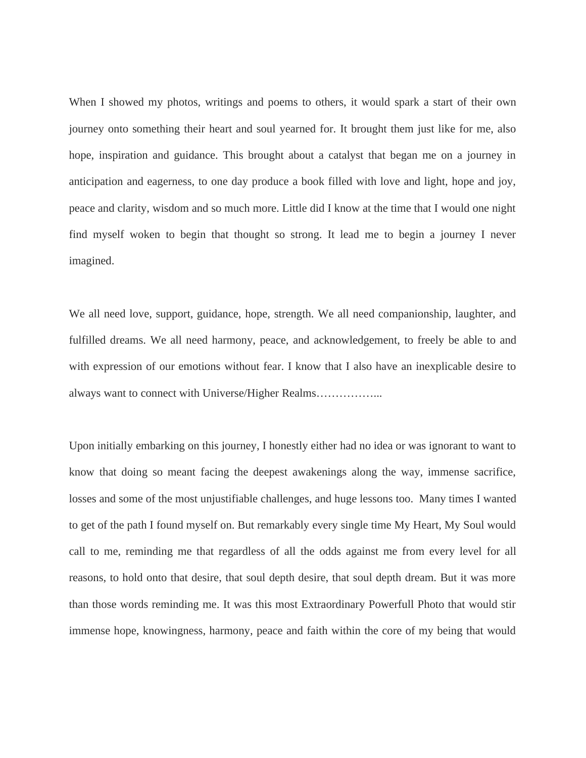When I showed my photos, writings and poems to others, it would spark a start of their own journey onto something their heart and soul yearned for. It brought them just like for me, also hope, inspiration and guidance. This brought about a catalyst that began me on a journey in anticipation and eagerness, to one day produce a book filled with love and light, hope and joy, peace and clarity, wisdom and so much more. Little did I know at the time that I would one night find myself woken to begin that thought so strong. It lead me to begin a journey I never imagined.

We all need love, support, guidance, hope, strength. We all need companionship, laughter, and fulfilled dreams. We all need harmony, peace, and acknowledgement, to freely be able to and with expression of our emotions without fear. I know that I also have an inexplicable desire to always want to connect with Universe/Higher Realms……………...

Upon initially embarking on this journey, I honestly either had no idea or was ignorant to want to know that doing so meant facing the deepest awakenings along the way, immense sacrifice, losses and some of the most unjustifiable challenges, and huge lessons too. Many times I wanted to get of the path I found myself on. But remarkably every single time My Heart, My Soul would call to me, reminding me that regardless of all the odds against me from every level for all reasons, to hold onto that desire, that soul depth desire, that soul depth dream. But it was more than those words reminding me. It was this most Extraordinary Powerfull Photo that would stir immense hope, knowingness, harmony, peace and faith within the core of my being that would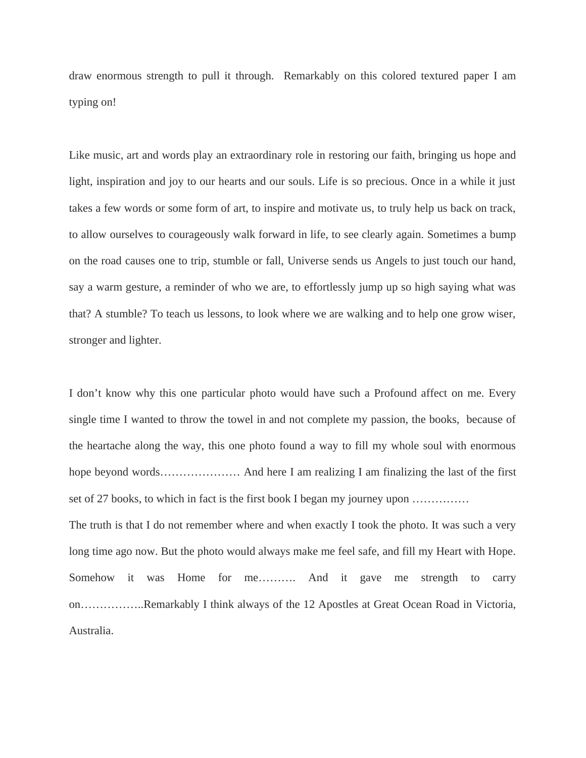draw enormous strength to pull it through. Remarkably on this colored textured paper I am typing on!

Like music, art and words play an extraordinary role in restoring our faith, bringing us hope and light, inspiration and joy to our hearts and our souls. Life is so precious. Once in a while it just takes a few words or some form of art, to inspire and motivate us, to truly help us back on track, to allow ourselves to courageously walk forward in life, to see clearly again. Sometimes a bump on the road causes one to trip, stumble or fall, Universe sends us Angels to just touch our hand, say a warm gesture, a reminder of who we are, to effortlessly jump up so high saying what was that? A stumble? To teach us lessons, to look where we are walking and to help one grow wiser, stronger and lighter.

I don't know why this one particular photo would have such a Profound affect on me. Every single time I wanted to throw the towel in and not complete my passion, the books, because of the heartache along the way, this one photo found a way to fill my whole soul with enormous hope beyond words………………… And here I am realizing I am finalizing the last of the first set of 27 books, to which in fact is the first book I began my journey upon ……………

The truth is that I do not remember where and when exactly I took the photo. It was such a very long time ago now. But the photo would always make me feel safe, and fill my Heart with Hope. Somehow it was Home for me………. And it gave me strength to carry on……………..Remarkably I think always of the 12 Apostles at Great Ocean Road in Victoria, Australia.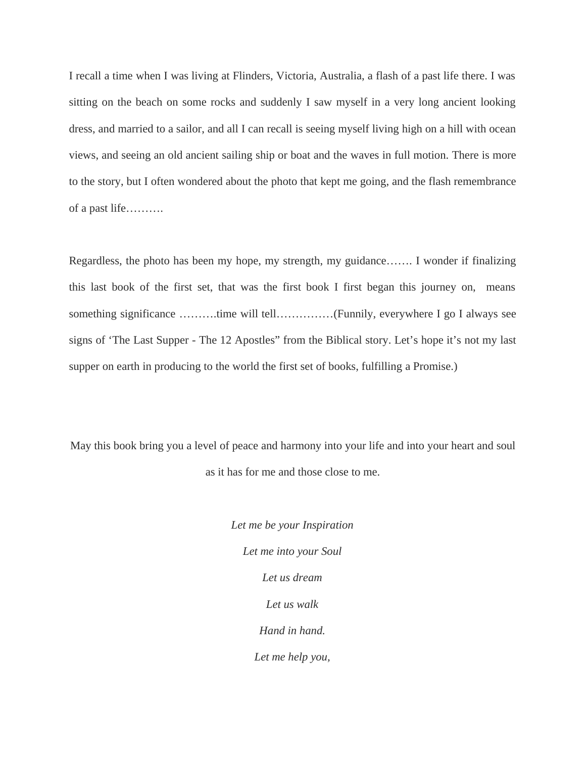I recall a time when I was living at Flinders, Victoria, Australia, a flash of a past life there. I was sitting on the beach on some rocks and suddenly I saw myself in a very long ancient looking dress, and married to a sailor, and all I can recall is seeing myself living high on a hill with ocean views, and seeing an old ancient sailing ship or boat and the waves in full motion. There is more to the story, but I often wondered about the photo that kept me going, and the flash remembrance of a past life……….

Regardless, the photo has been my hope, my strength, my guidance……. I wonder if finalizing this last book of the first set, that was the first book I first began this journey on, means something significance ……….time will tell……………(Funnily, everywhere I go I always see signs of 'The Last Supper - The 12 Apostles" from the Biblical story. Let's hope it's not my last supper on earth in producing to the world the first set of books, fulfilling a Promise.)

May this book bring you a level of peace and harmony into your life and into your heart and soul as it has for me and those close to me.

> *Let me be your Inspiration Let me into your Soul Let us dream Let us walk Hand in hand. Let me help you,*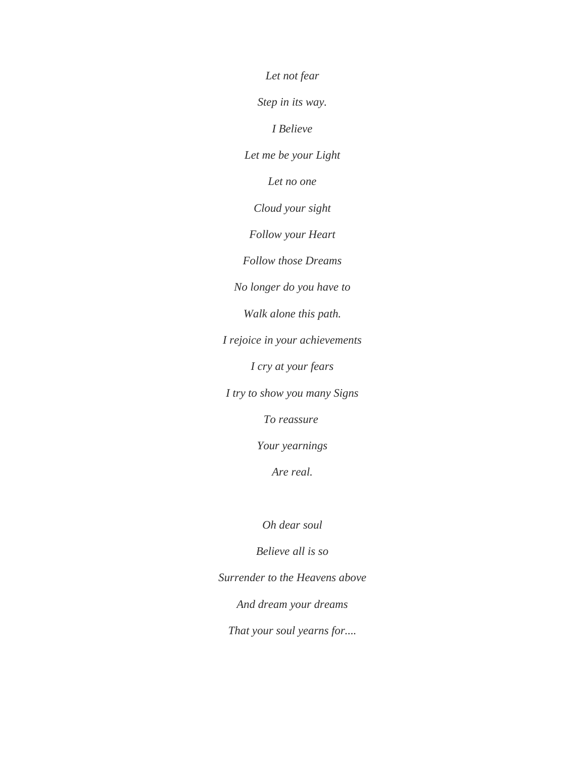*Let not fear Step in its way. I Believe Let me be your Light Let no one Cloud your sight Follow your Heart Follow those Dreams No longer do you have to Walk alone this path. I rejoice in your achievements I cry at your fears I try to show you many Signs To reassure Your yearnings Are real.*

*Oh dear soul*

*Believe all is so*

*Surrender to the Heavens above*

*And dream your dreams*

*That your soul yearns for....*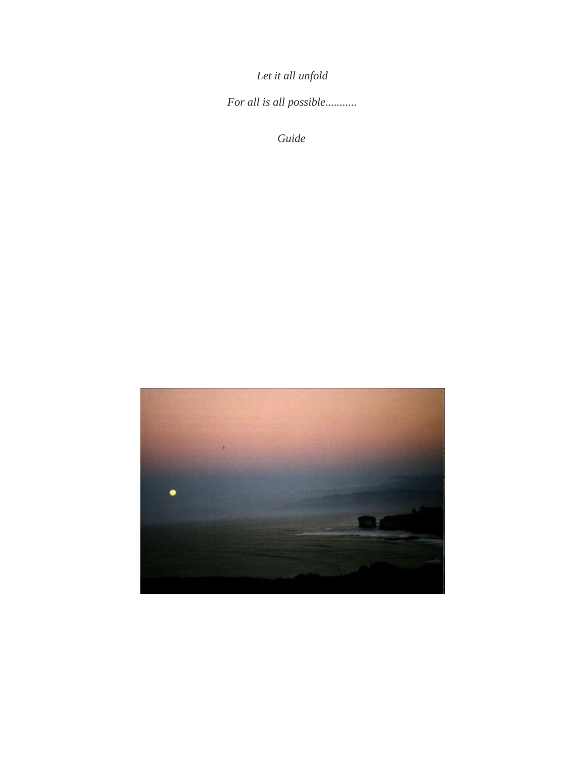*Let it all unfold*

*For all is all possible...........*

*Guide* 

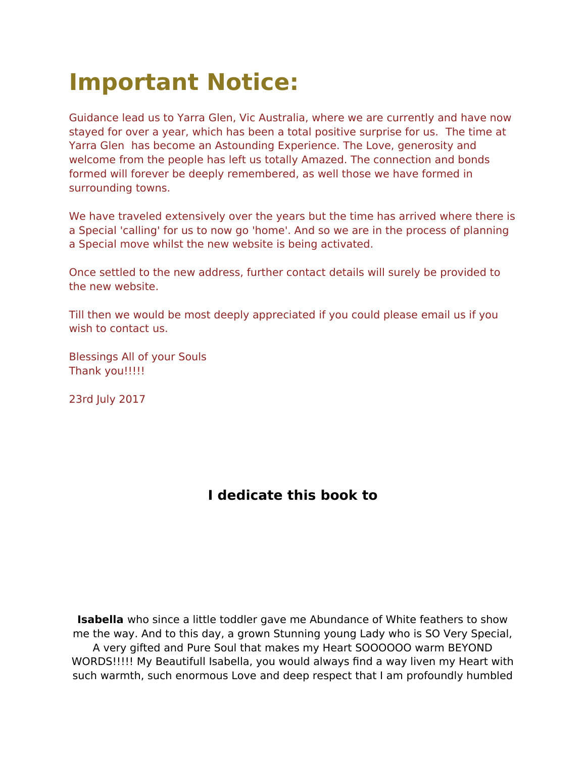# **Important Notice:**

Guidance lead us to Yarra Glen, Vic Australia, where we are currently and have now stayed for over a year, which has been a total positive surprise for us. The time at Yarra Glen has become an Astounding Experience. The Love, generosity and welcome from the people has left us totally Amazed. The connection and bonds formed will forever be deeply remembered, as well those we have formed in surrounding towns.

We have traveled extensively over the years but the time has arrived where there is a Special 'calling' for us to now go 'home'. And so we are in the process of planning a Special move whilst the new website is being activated.

Once settled to the new address, further contact details will surely be provided to the new website.

Till then we would be most deeply appreciated if you could please email us if you wish to contact us.

Blessings All of your Souls Thank you!!!!!

23rd July 2017

### **I dedicate this book to**

**Isabella** who since a little toddler gave me Abundance of White feathers to show me the way. And to this day, a grown Stunning young Lady who is SO Very Special, A very gifted and Pure Soul that makes my Heart SOOOOOO warm BEYOND WORDS!!!!! My Beautifull Isabella, you would always fnd a way liven my Heart with such warmth, such enormous Love and deep respect that I am profoundly humbled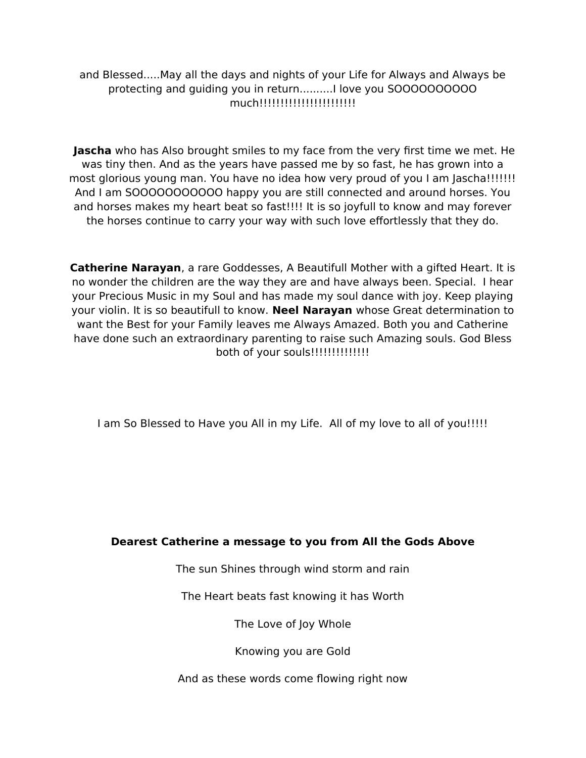and Blessed.....May all the days and nights of your Life for Always and Always be protecting and guiding you in return..........I love you SOOOOOOOOOO much!!!!!!!!!!!!!!!!!!!!!!!!!

**Jascha** who has Also brought smiles to my face from the very first time we met. He was tiny then. And as the years have passed me by so fast, he has grown into a most glorious young man. You have no idea how very proud of you I am Jascha!!!!!!! And I am SOOOOOOOOOOO happy you are still connected and around horses. You and horses makes my heart beat so fast!!!! It is so joyfull to know and may forever the horses continue to carry your way with such love effortlessly that they do.

**Catherine Narayan**, a rare Goddesses, A Beautifull Mother with a gifted Heart. It is no wonder the children are the way they are and have always been. Special. I hear your Precious Music in my Soul and has made my soul dance with joy. Keep playing your violin. It is so beautifull to know. **Neel Narayan** whose Great determination to want the Best for your Family leaves me Always Amazed. Both you and Catherine have done such an extraordinary parenting to raise such Amazing souls. God Bless both of your souls!!!!!!!!!!!!!!!!

I am So Blessed to Have you All in my Life. All of my love to all of you!!!!!

#### **Dearest Catherine a message to you from All the Gods Above**

The sun Shines through wind storm and rain

The Heart beats fast knowing it has Worth

The Love of Joy Whole

Knowing you are Gold

And as these words come flowing right now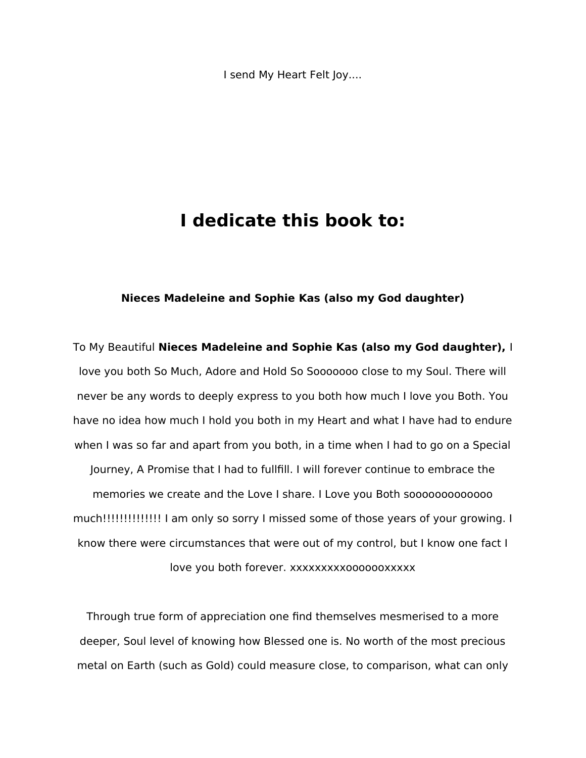I send My Heart Felt Joy....

### **I dedicate this book to:**

#### **Nieces Madeleine and Sophie Kas (also my God daughter)**

To My Beautiful **Nieces Madeleine and Sophie Kas (also my God daughter),** I love you both So Much, Adore and Hold So Sooooooo close to my Soul. There will never be any words to deeply express to you both how much I love you Both. You have no idea how much I hold you both in my Heart and what I have had to endure when I was so far and apart from you both, in a time when I had to go on a Special Journey, A Promise that I had to fullfill. I will forever continue to embrace the memories we create and the Love I share. I Love you Both sooooooooooooo much!!!!!!!!!!!!!! I am only so sorry I missed some of those years of your growing. I know there were circumstances that were out of my control, but I know one fact I love you both forever. xxxxxxxxxooooooxxxxx

Through true form of appreciation one fnd themselves mesmerised to a more deeper, Soul level of knowing how Blessed one is. No worth of the most precious metal on Earth (such as Gold) could measure close, to comparison, what can only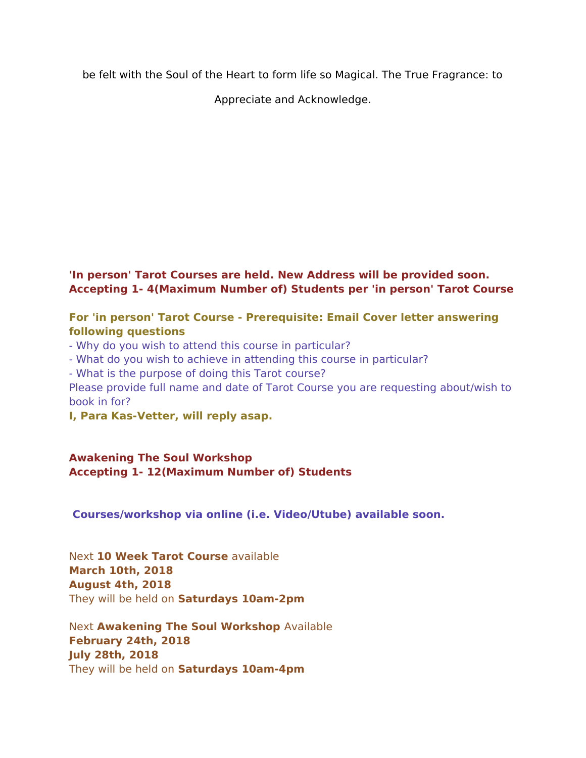be felt with the Soul of the Heart to form life so Magical. The True Fragrance: to

Appreciate and Acknowledge.

#### **'In person' Tarot Courses are held. New Address will be provided soon. Accepting 1- 4(Maximum Number of) Students per 'in person' Tarot Course**

#### **For 'in person' Tarot Course - Prerequisite: Email Cover letter answering following questions**

- Why do you wish to attend this course in particular?

- What do you wish to achieve in attending this course in particular?

- What is the purpose of doing this Tarot course?

Please provide full name and date of Tarot Course you are requesting about/wish to book in for?

**I, Para Kas-Vetter, will reply asap.** 

#### **Awakening The Soul Workshop Accepting 1- 12(Maximum Number of) Students**

**Courses/workshop via online (i.e. Video/Utube) available soon.**

Next **10 Week Tarot Course** available **March 10th, 2018 August 4th, 2018** They will be held on **Saturdays 10am-2pm**

Next **Awakening The Soul Workshop** Available **February 24th, 2018 July 28th, 2018** They will be held on **Saturdays 10am-4pm**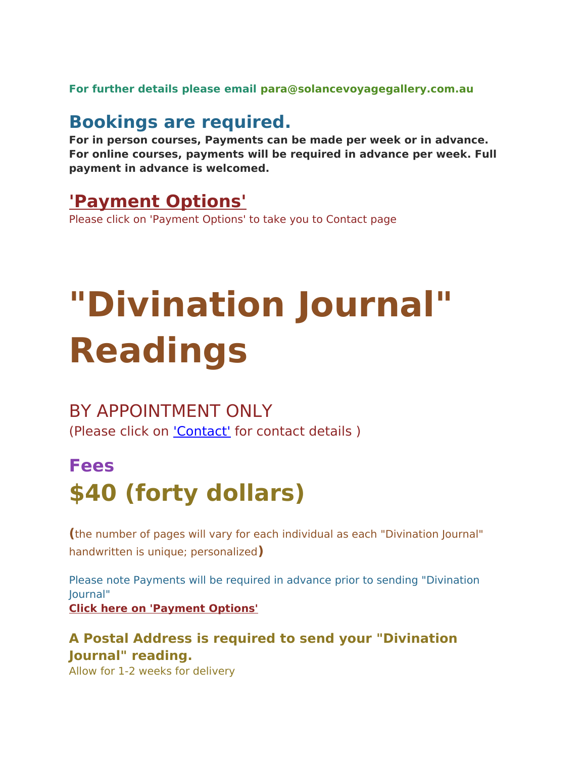**For further details please email para@solancevoyagegallery.com.au**

### **Bookings are required.**

**For in person courses, Payments can be made per week or in advance. For online courses, payments will be required in advance per week. Full payment in advance is welcomed.**

### **['Payment Options'](http://weebly-link/172549522160625332)**

Please click on 'Payment Options' to take you to Contact page

# **"Divination Journal" Readings**

### BY APPOINTMENT ONLY

(Please click on ['Contact'](http://www.solancevoyagegallery.com.au/contactpayment-options.html) for contact details )

# **Fees \$40 (forty dollars)**

**(**the number of pages will vary for each individual as each "Divination Journal" handwritten is unique; personalized**)**

Please note Payments will be required in advance prior to sending "Divination Journal" **[Click here on 'Payment Options'](http://weebly-link/172549522160625332)**

### **A Postal Address is required to send your "Divination Journal" reading.**

Allow for 1-2 weeks for delivery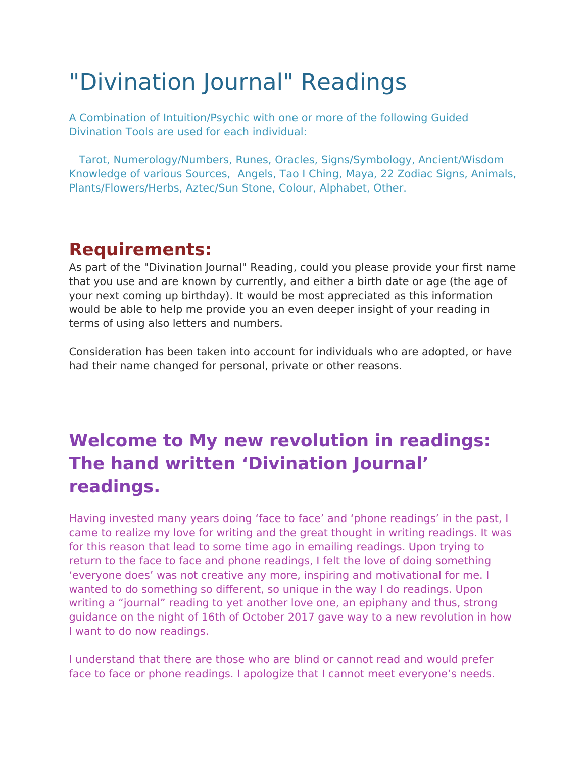# "Divination Journal" Readings

A Combination of Intuition/Psychic with one or more of the following Guided Divination Tools are used for each individual:

Tarot, Numerology/Numbers, Runes, Oracles, Signs/Symbology, Ancient/Wisdom Knowledge of various Sources, Angels, Tao I Ching, Maya, 22 Zodiac Signs, Animals, Plants/Flowers/Herbs, Aztec/Sun Stone, Colour, Alphabet, Other.

## **Requirements:**

As part of the "Divination Journal" Reading, could you please provide your frst name that you use and are known by currently, and either a birth date or age (the age of your next coming up birthday). It would be most appreciated as this information would be able to help me provide you an even deeper insight of your reading in terms of using also letters and numbers.

Consideration has been taken into account for individuals who are adopted, or have had their name changed for personal, private or other reasons.

# **Welcome to My new revolution in readings: The hand written 'Divination Journal' readings.**

Having invested many years doing 'face to face' and 'phone readings' in the past, I came to realize my love for writing and the great thought in writing readings. It was for this reason that lead to some time ago in emailing readings. Upon trying to return to the face to face and phone readings, I felt the love of doing something 'everyone does' was not creative any more, inspiring and motivational for me. I wanted to do something so diferent, so unique in the way I do readings. Upon writing a "journal" reading to yet another love one, an epiphany and thus, strong guidance on the night of 16th of October 2017 gave way to a new revolution in how I want to do now readings.

I understand that there are those who are blind or cannot read and would prefer face to face or phone readings. I apologize that I cannot meet everyone's needs.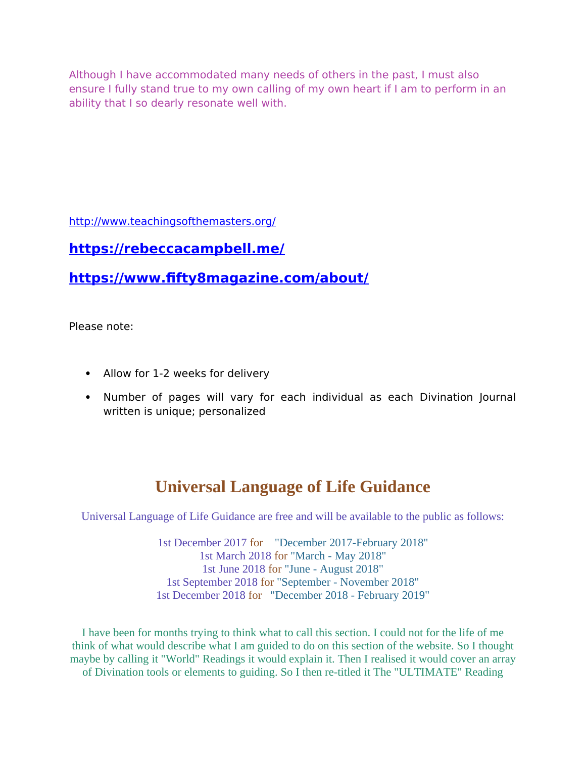Although I have accommodated many needs of others in the past, I must also ensure I fully stand true to my own calling of my own heart if I am to perform in an ability that I so dearly resonate well with.

<http://www.teachingsofthemasters.org/>

### **<https://rebeccacampbell.me/>**

**[https://www.ffty8magazine.com/about/](https://www.fifty8magazine.com/about/)**

Please note:

- Allow for 1-2 weeks for delivery
- Number of pages will vary for each individual as each Divination Journal written is unique; personalized

### **Universal Language of Life Guidance**

Universal Language of Life Guidance are free and will be available to the public as follows:

1st December 2017 for "December 2017-February 2018" 1st March 2018 for "March - May 2018" 1st June 2018 for "June - August 2018" 1st September 2018 for "September - November 2018" 1st December 2018 for "December 2018 - February 2019"

I have been for months trying to think what to call this section. I could not for the life of me think of what would describe what I am guided to do on this section of the website. So I thought maybe by calling it "World" Readings it would explain it. Then I realised it would cover an array of Divination tools or elements to guiding. So I then re-titled it The "ULTIMATE" Reading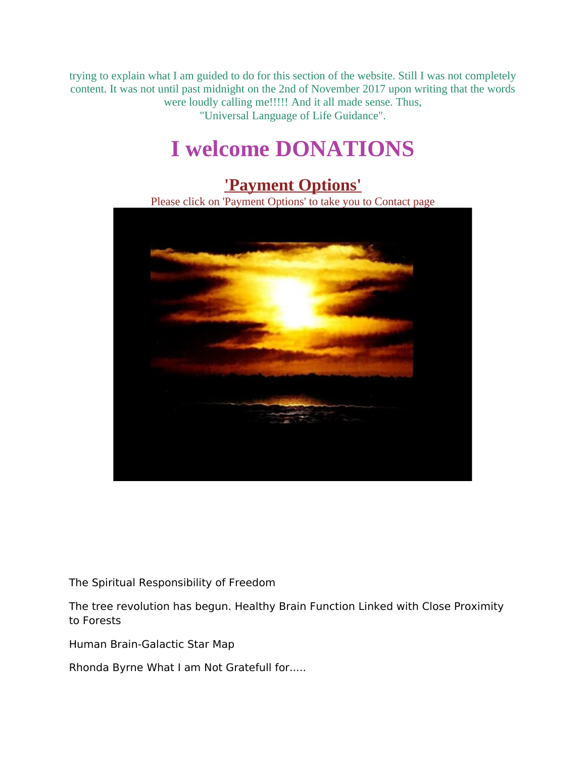trying to explain what I am guided to do for this section of the website. Still I was not completely content. It was not until past midnight on the 2nd of November 2017 upon writing that the words were loudly calling me!!!!! And it all made sense. Thus, "Universal Language of Life Guidance".

# **I welcome DONATIONS**

### **['Payment Options'](http://www.solancevoyagegallery.com.au/contactpayment-options.html)**

Please click on 'Payment Options' to take you to Contact page



The Spiritual Responsibility of Freedom

The tree revolution has begun. Healthy Brain Function Linked with Close Proximity to Forests

Human Brain-Galactic Star Map

Rhonda Byrne What I am Not Gratefull for.....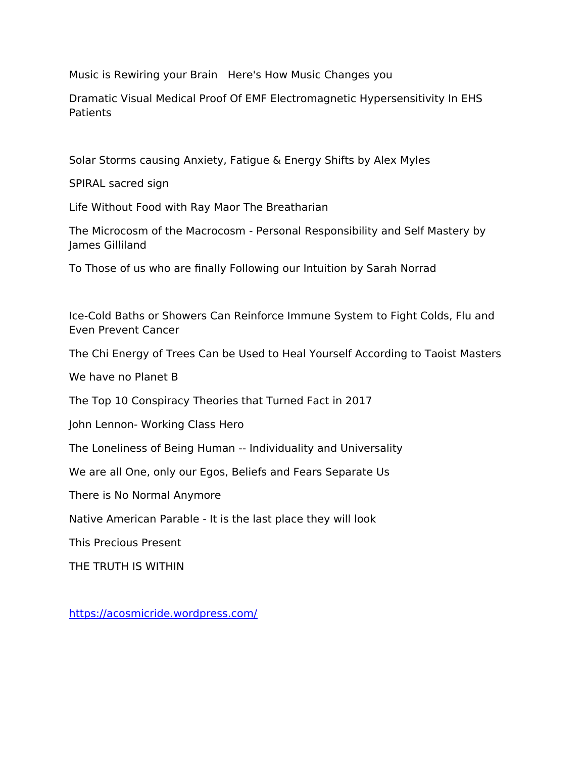Music is Rewiring your Brain Here's How Music Changes you

Dramatic Visual Medical Proof Of EMF Electromagnetic Hypersensitivity In EHS Patients

Solar Storms causing Anxiety, Fatigue & Energy Shifts by Alex Myles

SPIRAL sacred sign

Life Without Food with Ray Maor The Breatharian

The Microcosm of the Macrocosm - Personal Responsibility and Self Mastery by James Gilliland

To Those of us who are fnally Following our Intuition by Sarah Norrad

Ice-Cold Baths or Showers Can Reinforce Immune System to Fight Colds, Flu and Even Prevent Cancer

The Chi Energy of Trees Can be Used to Heal Yourself According to Taoist Masters

We have no Planet B

The Top 10 Conspiracy Theories that Turned Fact in 2017

John Lennon- Working Class Hero

The Loneliness of Being Human -- Individuality and Universality

We are all One, only our Egos, Beliefs and Fears Separate Us

There is No Normal Anymore

Native American Parable - It is the last place they will look

This Precious Present

THE TRUTH IS WITHIN

<https://acosmicride.wordpress.com/>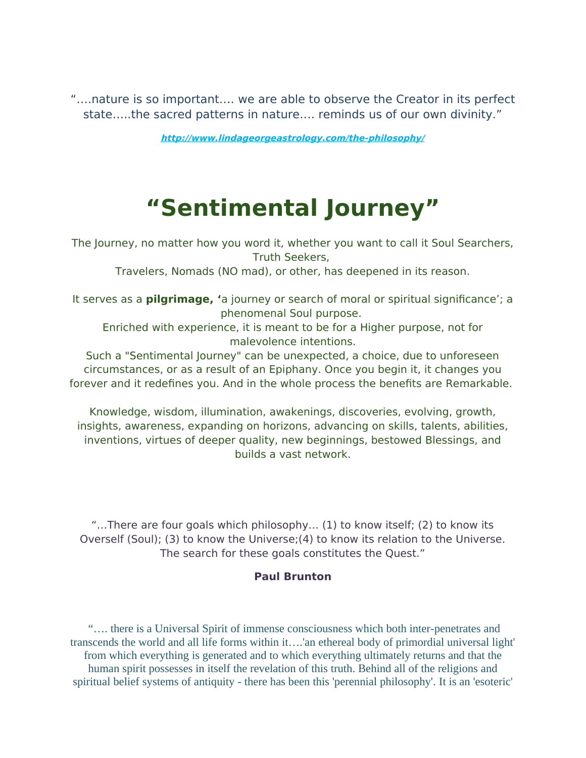"….nature is so important…. we are able to observe the Creator in its perfect state…..the sacred patterns in nature…. reminds us of our own divinity."

**<http://www.lindageorgeastrology.com/the-philosophy/>**

# **"Sentimental Journey"**

The Journey, no matter how you word it, whether you want to call it Soul Searchers, Truth Seekers,

Travelers, Nomads (NO mad), or other, has deepened in its reason.

It serves as a **pilgrimage, '**a journey or search of moral or spiritual signifcance'; a phenomenal Soul purpose.

Enriched with experience, it is meant to be for a Higher purpose, not for malevolence intentions.

Such a "Sentimental Journey" can be unexpected, a choice, due to unforeseen circumstances, or as a result of an Epiphany. Once you begin it, it changes you forever and it redefines you. And in the whole process the benefits are Remarkable.

Knowledge, wisdom, illumination, awakenings, discoveries, evolving, growth, insights, awareness, expanding on horizons, advancing on skills, talents, abilities, inventions, virtues of deeper quality, new beginnings, bestowed Blessings, and builds a vast network.

"…There are four goals which philosophy… (1) to know itself; (2) to know its Overself (Soul); (3) to know the Universe;(4) to know its relation to the Universe. The search for these goals constitutes the Quest."

#### **Paul Brunton**

 "…. there is a Universal Spirit of immense consciousness which both inter-penetrates and transcends the world and all life forms within it….'an ethereal body of primordial universal light' from which everything is generated and to which everything ultimately returns and that the human spirit possesses in itself the revelation of this truth. Behind all of the religions and spiritual belief systems of antiquity - there has been this 'perennial philosophy'. It is an 'esoteric'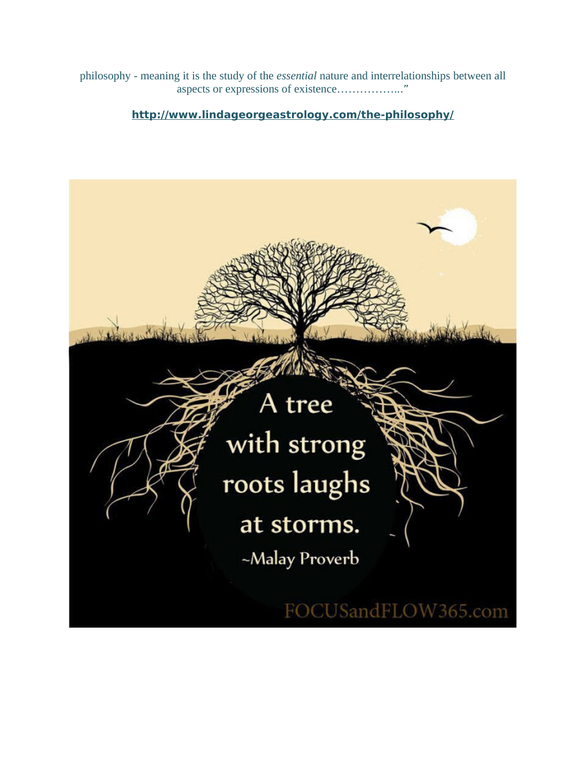philosophy - meaning it is the study of the *essential* nature and interrelationships between all aspects or expressions of existence……………..."

#### **<http://www.lindageorgeastrology.com/the-philosophy/>**